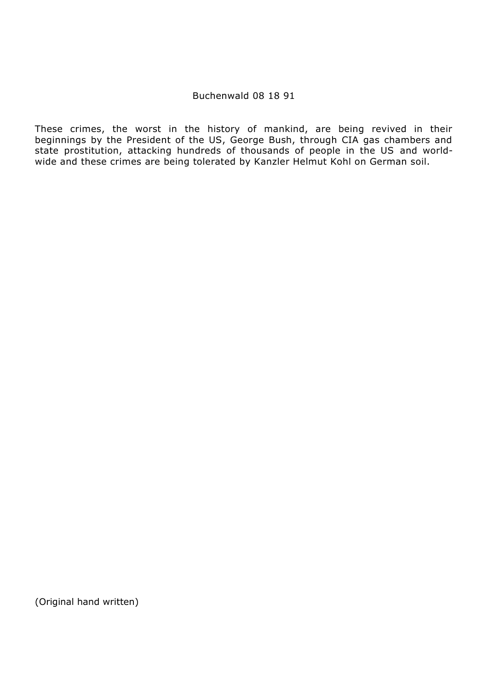# Buchenwald 08 18 91

These crimes, the worst in the history of mankind, are being revived in their beginnings by the President of the US, George Bush, through CIA gas chambers and state prostitution, attacking hundreds of thousands of people in the US and worldwide and these crimes are being tolerated by Kanzler Helmut Kohl on German soil.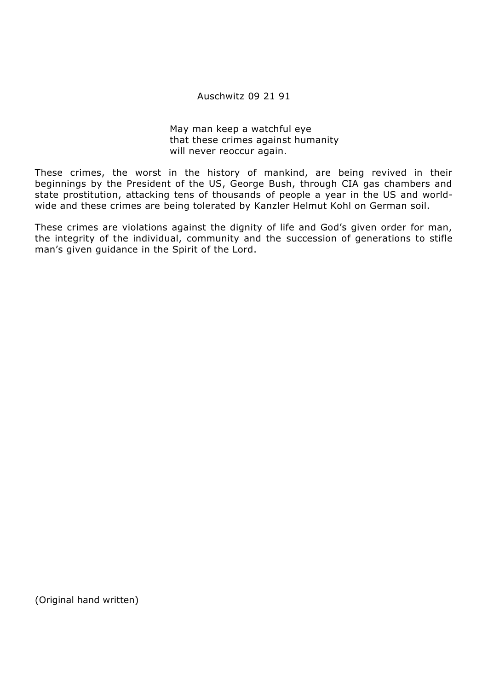# Auschwitz 09 21 91

May man keep a watchful eye that these crimes against humanity will never reoccur again.

These crimes, the worst in the history of mankind, are being revived in their beginnings by the President of the US, George Bush, through CIA gas chambers and state prostitution, attacking tens of thousands of people a year in the US and worldwide and these crimes are being tolerated by Kanzler Helmut Kohl on German soil.

These crimes are violations against the dignity of life and God's given order for man, the integrity of the individual, community and the succession of generations to stifle man's given guidance in the Spirit of the Lord.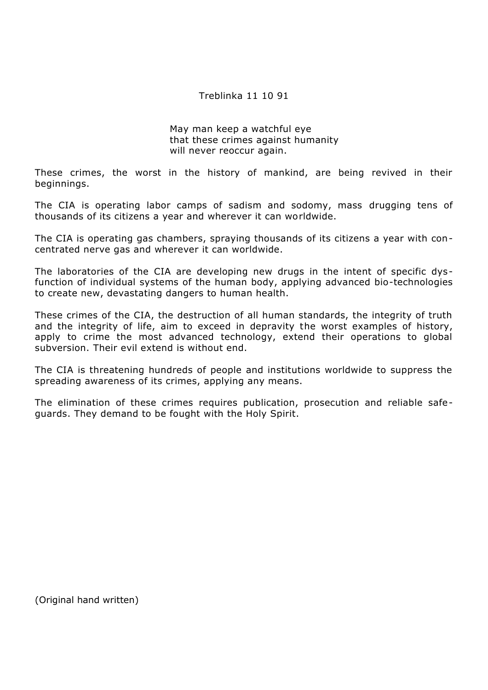# Treblinka 11 10 91

May man keep a watchful eye that these crimes against humanity will never reoccur again.

These crimes, the worst in the history of mankind, are being revived in their beginnings.

The CIA is operating labor camps of sadism and sodomy, mass drugging tens of thousands of its citizens a year and wherever it can worldwide.

The CIA is operating gas chambers, spraying thousands of its citizens a year with concentrated nerve gas and wherever it can worldwide.

The laboratories of the CIA are developing new drugs in the intent of specific dysfunction of individual systems of the human body, applying advanced bio-technologies to create new, devastating dangers to human health.

These crimes of the CIA, the destruction of all human standards, the integrity of truth and the integrity of life, aim to exceed in depravity the worst examples of history, apply to crime the most advanced technology, extend their operations to global subversion. Their evil extend is without end.

The CIA is threatening hundreds of people and institutions worldwide to suppress the spreading awareness of its crimes, applying any means.

The elimination of these crimes requires publication, prosecution and reliable safeguards. They demand to be fought with the Holy Spirit.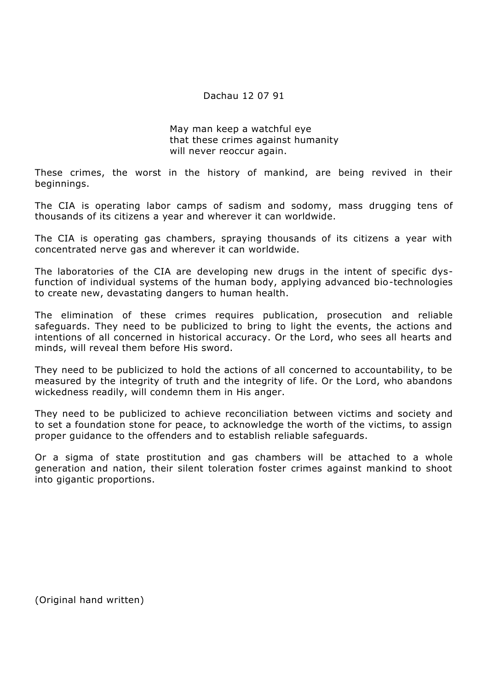# Dachau 12 07 91

May man keep a watchful eye that these crimes against humanity will never reoccur again.

These crimes, the worst in the history of mankind, are being revived in their beginnings.

The CIA is operating labor camps of sadism and sodomy, mass drugging tens of thousands of its citizens a year and wherever it can worldwide.

The CIA is operating gas chambers, spraying thousands of its citizens a year with concentrated nerve gas and wherever it can worldwide.

The laboratories of the CIA are developing new drugs in the intent of specific dysfunction of individual systems of the human body, applying advanced bio-technologies to create new, devastating dangers to human health.

The elimination of these crimes requires publication, prosecution and reliable safeguards. They need to be publicized to bring to light the events, the actions and intentions of all concerned in historical accuracy. Or the Lord, who sees all hearts and minds, will reveal them before His sword.

They need to be publicized to hold the actions of all concerned to accountability, to be measured by the integrity of truth and the integrity of life. Or the Lord, who abandons wickedness readily, will condemn them in His anger.

They need to be publicized to achieve reconciliation between victims and society and to set a foundation stone for peace, to acknowledge the worth of the victims, to assign proper guidance to the offenders and to establish reliable safeguards.

Or a sigma of state prostitution and gas chambers will be attached to a whole generation and nation, their silent toleration foster crimes against mankind to shoot into gigantic proportions.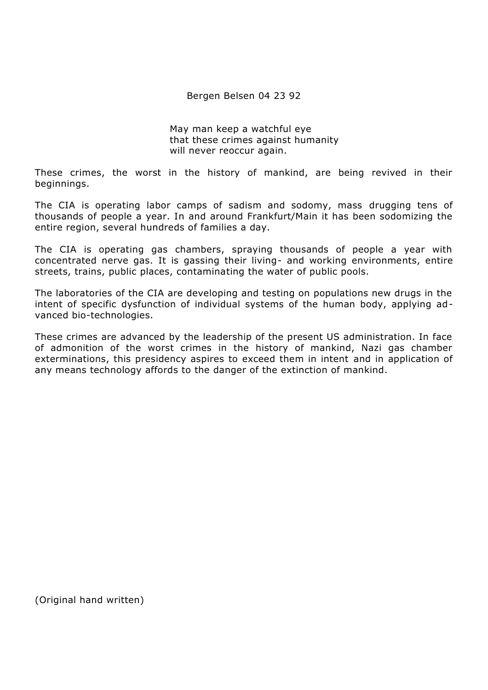Bergen Belsen 04 23 92

May man keep a watchful eye that these crimes against humanity will never reoccur again.

These crimes, the worst in the history of mankind, are being revived in their beginnings.

The CIA is operating labor camps of sadism and sodomy, mass drugging tens of thousands of people a year. In and around Frankfurt/Main it has been sodomizing the entire region, several hundreds of families a day.

The CIA is operating gas chambers, spraying thousands of people a year with concentrated nerve gas. It is gassing their living- and working environments, entire streets, trains, public places, contaminating the water of public pools.

The laboratories of the CIA are developing and testing on populations new drugs in the intent of specific dysfunction of individual systems of the human body, applying advanced bio-technologies.

These crimes are advanced by the leadership of the present US administration. In face of admonition of the worst crimes in the history of mankind, Nazi gas chamber exterminations, this presidency aspires to exceed them in intent and in application of any means technology affords to the danger of the extinction of mankind.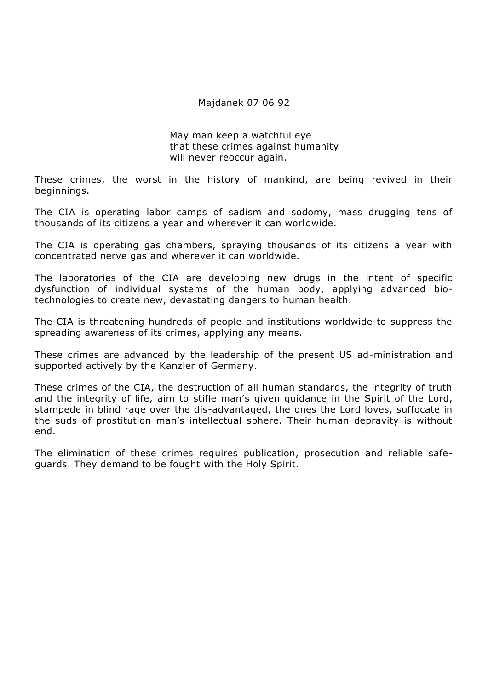### Majdanek 07 06 92

May man keep a watchful eye that these crimes against humanity will never reoccur again.

These crimes, the worst in the history of mankind, are being revived in their beginnings.

The CIA is operating labor camps of sadism and sodomy, mass drugging tens of thousands of its citizens a year and wherever it can worldwide.

The CIA is operating gas chambers, spraying thousands of its citizens a year with concentrated nerve gas and wherever it can worldwide.

The laboratories of the CIA are developing new drugs in the intent of specific dysfunction of individual systems of the human body, applying advanced biotechnologies to create new, devastating dangers to human health.

The CIA is threatening hundreds of people and institutions worldwide to suppress the spreading awareness of its crimes, applying any means.

These crimes are advanced by the leadership of the present US ad-ministration and supported actively by the Kanzler of Germany.

These crimes of the CIA, the destruction of all human standards, the integrity of truth and the integrity of life, aim to stifle man's given guidance in the Spirit of the Lord, stampede in blind rage over the dis-advantaged, the ones the Lord loves, suffocate in the suds of prostitution man's intellectual sphere. Their human depravity is without end.

The elimination of these crimes requires publication, prosecution and reliable safeguards. They demand to be fought with the Holy Spirit.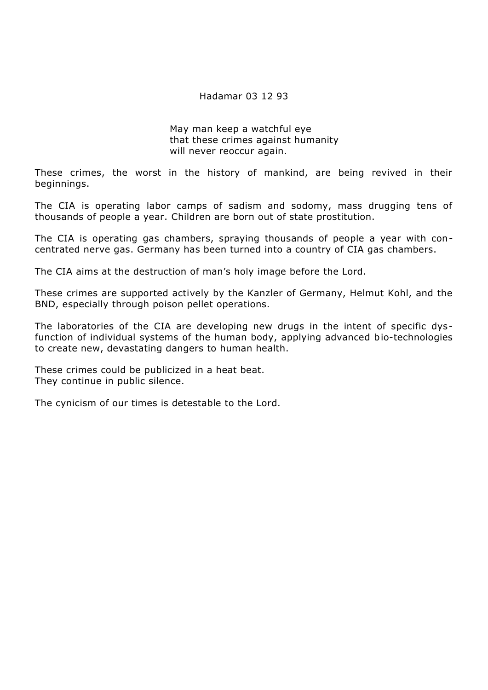### Hadamar 03 12 93

May man keep a watchful eye that these crimes against humanity will never reoccur again.

These crimes, the worst in the history of mankind, are being revived in their beginnings.

The CIA is operating labor camps of sadism and sodomy, mass drugging tens of thousands of people a year. Children are born out of state prostitution.

The CIA is operating gas chambers, spraying thousands of people a year with concentrated nerve gas. Germany has been turned into a country of CIA gas chambers.

The CIA aims at the destruction of man's holy image before the Lord.

These crimes are supported actively by the Kanzler of Germany, Helmut Kohl, and the BND, especially through poison pellet operations.

The laboratories of the CIA are developing new drugs in the intent of specific dysfunction of individual systems of the human body, applying advanced bio-technologies to create new, devastating dangers to human health.

These crimes could be publicized in a heat beat. They continue in public silence.

The cynicism of our times is detestable to the Lord.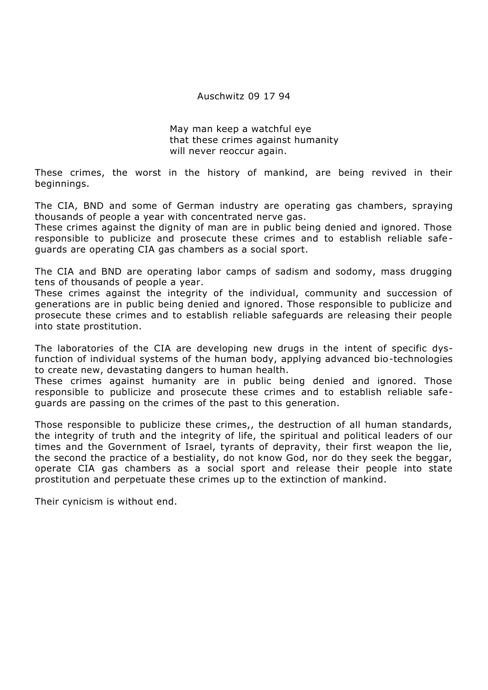### Auschwitz 09 17 94

May man keep a watchful eye that these crimes against humanity will never reoccur again.

These crimes, the worst in the history of mankind, are being revived in their beginnings.

The CIA, BND and some of German industry are operating gas chambers, spraying thousands of people a year with concentrated nerve gas.

These crimes against the dignity of man are in public being denied and ignored. Those responsible to publicize and prosecute these crimes and to establish reliable safeguards are operating CIA gas chambers as a social sport.

The CIA and BND are operating labor camps of sadism and sodomy, mass drugging tens of thousands of people a year.

These crimes against the integrity of the individual, community and succession of generations are in public being denied and ignored. Those responsible to publicize and prosecute these crimes and to establish reliable safeguards are releasing their people into state prostitution.

The laboratories of the CIA are developing new drugs in the intent of specific dysfunction of individual systems of the human body, applying advanced bio-technologies to create new, devastating dangers to human health.

These crimes against humanity are in public being denied and ignored. Those responsible to publicize and prosecute these crimes and to establish reliable safeguards are passing on the crimes of the past to this generation.

Those responsible to publicize these crimes,, the destruction of all human standards, the integrity of truth and the integrity of life, the spiritual and political leaders of our times and the Government of Israel, tyrants of depravity, their first weapon the lie, the second the practice of a bestiality, do not know God, nor do they seek the beggar, operate CIA gas chambers as a social sport and release their people into state prostitution and perpetuate these crimes up to the extinction of mankind.

Their cynicism is without end.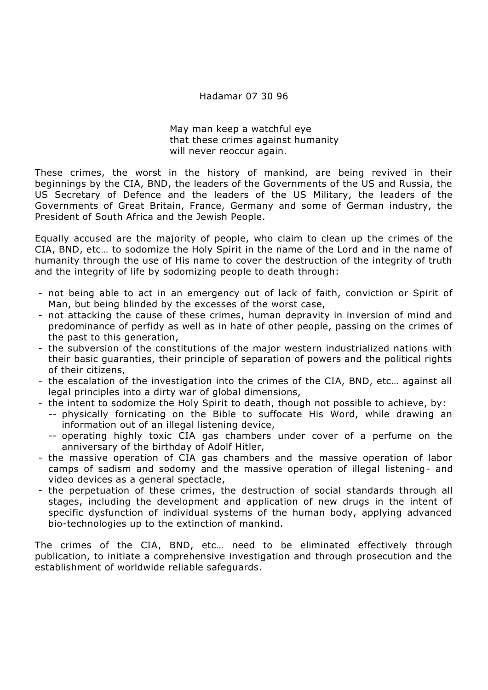# Hadamar 07 30 96

May man keep a watchful eye that these crimes against humanity will never reoccur again.

These crimes, the worst in the history of mankind, are being revived in their beginnings by the CIA, BND, the leaders of the Governments of the US and Russia, the US Secretary of Defence and the leaders of the US Military, the leaders of the Governments of Great Britain, France, Germany and some of German industry, the President of South Africa and the Jewish People.

Equally accused are the majority of people, who claim to clean up the crimes of the CIA, BND, etc… to sodomize the Holy Spirit in the name of the Lord and in the name of humanity through the use of His name to cover the destruction of the integrity of truth and the integrity of life by sodomizing people to death through:

- not being able to act in an emergency out of lack of faith, conviction or Spirit of Man, but being blinded by the excesses of the worst case,
- not attacking the cause of these crimes, human depravity in inversion of mind and predominance of perfidy as well as in hate of other people, passing on the crimes of the past to this generation,
- the subversion of the constitutions of the major western industrialized nations with their basic guaranties, their principle of separation of powers and the political rights of their citizens,
- the escalation of the investigation into the crimes of the CIA, BND, etc… against all legal principles into a dirty war of global dimensions,
- the intent to sodomize the Holy Spirit to death, though not possible to achieve, by:
	- -- physically fornicating on the Bible to suffocate His Word, while drawing an information out of an illegal listening device,
	- -- operating highly toxic CIA gas chambers under cover of a perfume on the anniversary of the birthday of Adolf Hitler,
- the massive operation of CIA gas chambers and the massive operation of labor camps of sadism and sodomy and the massive operation of illegal listening- and video devices as a general spectacle,
- the perpetuation of these crimes, the destruction of social standards through all stages, including the development and application of new drugs in the intent of specific dysfunction of individual systems of the human body, applying advanced bio-technologies up to the extinction of mankind.

The crimes of the CIA, BND, etc… need to be eliminated effectively through publication, to initiate a comprehensive investigation and through prosecution and the establishment of worldwide reliable safeguards.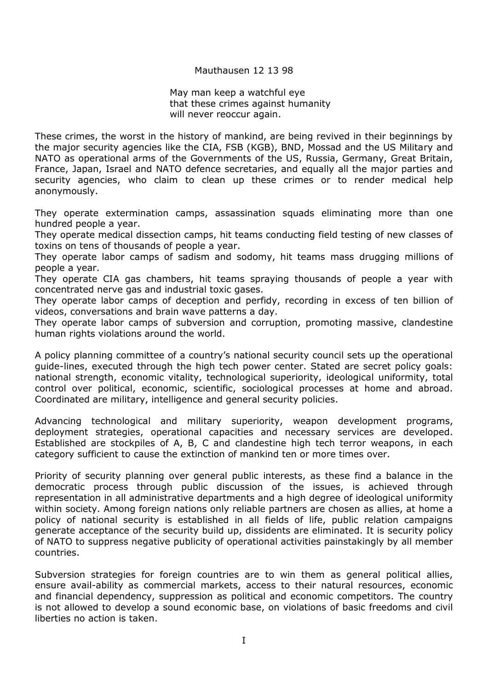### Mauthausen 12 13 98

May man keep a watchful eye that these crimes against humanity will never reoccur again.

These crimes, the worst in the history of mankind, are being revived in their beginnings by the major security agencies like the CIA, FSB (KGB), BND, Mossad and the US Military and NATO as operational arms of the Governments of the US, Russia, Germany, Great Britain, France, Japan, Israel and NATO defence secretaries, and equally all the major parties and security agencies, who claim to clean up these crimes or to render medical help anonymously.

They operate extermination camps, assassination squads eliminating more than one hundred people a year.

They operate medical dissection camps, hit teams conducting field testing of new classes of toxins on tens of thousands of people a year.

They operate labor camps of sadism and sodomy, hit teams mass drugging millions of people a year.

They operate CIA gas chambers, hit teams spraying thousands of people a year with concentrated nerve gas and industrial toxic gases.

They operate labor camps of deception and perfidy, recording in excess of ten billion of videos, conversations and brain wave patterns a day.

They operate labor camps of subversion and corruption, promoting massive, clandestine human rights violations around the world.

A policy planning committee of a country's national security council sets up the operational guide-lines, executed through the high tech power center. Stated are secret policy goals: national strength, economic vitality, technological superiority, ideological uniformity, total control over political, economic, scientific, sociological processes at home and abroad. Coordinated are military, intelligence and general security policies.

Advancing technological and military superiority, weapon development programs, deployment strategies, operational capacities and necessary services are developed. Established are stockpiles of A, B, C and clandestine high tech terror weapons, in each category sufficient to cause the extinction of mankind ten or more times over.

Priority of security planning over general public interests, as these find a balance in the democratic process through public discussion of the issues, is achieved through representation in all administrative departments and a high degree of ideological uniformity within society. Among foreign nations only reliable partners are chosen as allies, at home a policy of national security is established in all fields of life, public relation campaigns generate acceptance of the security build up, dissidents are eliminated. It is security policy of NATO to suppress negative publicity of operational activities painstakingly by all member countries.

Subversion strategies for foreign countries are to win them as general political allies, ensure avail-ability as commercial markets, access to their natural resources, economic and financial dependency, suppression as political and economic competitors. The country is not allowed to develop a sound economic base, on violations of basic freedoms and civil liberties no action is taken.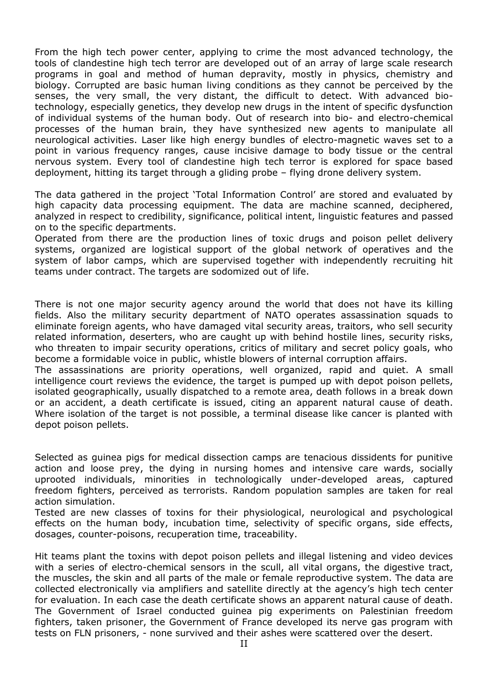From the high tech power center, applying to crime the most advanced technology, the tools of clandestine high tech terror are developed out of an array of large scale research programs in goal and method of human depravity, mostly in physics, chemistry and biology. Corrupted are basic human living conditions as they cannot be perceived by the senses, the very small, the very distant, the difficult to detect. With advanced biotechnology, especially genetics, they develop new drugs in the intent of specific dysfunction of individual systems of the human body. Out of research into bio- and electro-chemical processes of the human brain, they have synthesized new agents to manipulate all neurological activities. Laser like high energy bundles of electro-magnetic waves set to a point in various frequency ranges, cause incisive damage to body tissue or the central nervous system. Every tool of clandestine high tech terror is explored for space based deployment, hitting its target through a gliding probe – flying drone delivery system.

The data gathered in the project 'Total Information Control' are stored and evaluated by high capacity data processing equipment. The data are machine scanned, deciphered, analyzed in respect to credibility, significance, political intent, linguistic features and passed on to the specific departments.

Operated from there are the production lines of toxic drugs and poison pellet delivery systems, organized are logistical support of the global network of operatives and the system of labor camps, which are supervised together with independently recruiting hit teams under contract. The targets are sodomized out of life.

There is not one major security agency around the world that does not have its killing fields. Also the military security department of NATO operates assassination squads to eliminate foreign agents, who have damaged vital security areas, traitors, who sell security related information, deserters, who are caught up with behind hostile lines, security risks, who threaten to impair security operations, critics of military and secret policy goals, who become a formidable voice in public, whistle blowers of internal corruption affairs.

The assassinations are priority operations, well organized, rapid and quiet. A small intelligence court reviews the evidence, the target is pumped up with depot poison pellets, isolated geographically, usually dispatched to a remote area, death follows in a break down or an accident, a death certificate is issued, citing an apparent natural cause of death. Where isolation of the target is not possible, a terminal disease like cancer is planted with depot poison pellets.

Selected as guinea pigs for medical dissection camps are tenacious dissidents for punitive action and loose prey, the dying in nursing homes and intensive care wards, socially uprooted individuals, minorities in technologically under-developed areas, captured freedom fighters, perceived as terrorists. Random population samples are taken for real action simulation.

Tested are new classes of toxins for their physiological, neurological and psychological effects on the human body, incubation time, selectivity of specific organs, side effects, dosages, counter-poisons, recuperation time, traceability.

Hit teams plant the toxins with depot poison pellets and illegal listening and video devices with a series of electro-chemical sensors in the scull, all vital organs, the digestive tract, the muscles, the skin and all parts of the male or female reproductive system. The data are collected electronically via amplifiers and satellite directly at the agency's high tech center for evaluation. In each case the death certificate shows an apparent natural cause of death. The Government of Israel conducted guinea pig experiments on Palestinian freedom fighters, taken prisoner, the Government of France developed its nerve gas program with tests on FLN prisoners, - none survived and their ashes were scattered over the desert.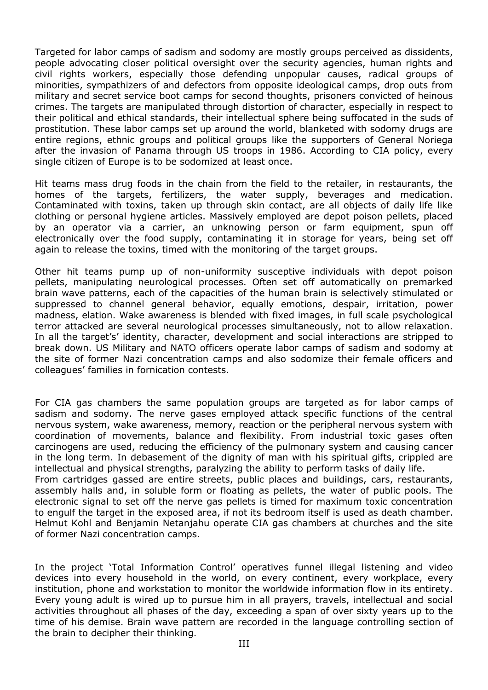Targeted for labor camps of sadism and sodomy are mostly groups perceived as dissidents, people advocating closer political oversight over the security agencies, human rights and civil rights workers, especially those defending unpopular causes, radical groups of minorities, sympathizers of and defectors from opposite ideological camps, drop outs from military and secret service boot camps for second thoughts, prisoners convicted of heinous crimes. The targets are manipulated through distortion of character, especially in respect to their political and ethical standards, their intellectual sphere being suffocated in the suds of prostitution. These labor camps set up around the world, blanketed with sodomy drugs are entire regions, ethnic groups and political groups like the supporters of General Noriega after the invasion of Panama through US troops in 1986. According to CIA policy, every single citizen of Europe is to be sodomized at least once.

Hit teams mass drug foods in the chain from the field to the retailer, in restaurants, the homes of the targets, fertilizers, the water supply, beverages and medication. Contaminated with toxins, taken up through skin contact, are all objects of daily life like clothing or personal hygiene articles. Massively employed are depot poison pellets, placed by an operator via a carrier, an unknowing person or farm equipment, spun off electronically over the food supply, contaminating it in storage for years, being set off again to release the toxins, timed with the monitoring of the target groups.

Other hit teams pump up of non-uniformity susceptive individuals with depot poison pellets, manipulating neurological processes. Often set off automatically on premarked brain wave patterns, each of the capacities of the human brain is selectively stimulated or suppressed to channel general behavior, equally emotions, despair, irritation, power madness, elation. Wake awareness is blended with fixed images, in full scale psychological terror attacked are several neurological processes simultaneously, not to allow relaxation. In all the target's' identity, character, development and social interactions are stripped to break down. US Military and NATO officers operate labor camps of sadism and sodomy at the site of former Nazi concentration camps and also sodomize their female officers and colleagues' families in fornication contests.

For CIA gas chambers the same population groups are targeted as for labor camps of sadism and sodomy. The nerve gases employed attack specific functions of the central nervous system, wake awareness, memory, reaction or the peripheral nervous system with coordination of movements, balance and flexibility. From industrial toxic gases often carcinogens are used, reducing the efficiency of the pulmonary system and causing cancer in the long term. In debasement of the dignity of man with his spiritual gifts, crippled are intellectual and physical strengths, paralyzing the ability to perform tasks of daily life. From cartridges gassed are entire streets, public places and buildings, cars, restaurants, assembly halls and, in soluble form or floating as pellets, the water of public pools. The

electronic signal to set off the nerve gas pellets is timed for maximum toxic concentration to engulf the target in the exposed area, if not its bedroom itself is used as death chamber. Helmut Kohl and Benjamin Netanjahu operate CIA gas chambers at churches and the site of former Nazi concentration camps.

In the project 'Total Information Control' operatives funnel illegal listening and video devices into every household in the world, on every continent, every workplace, every institution, phone and workstation to monitor the worldwide information flow in its entirety. Every young adult is wired up to pursue him in all prayers, travels, intellectual and social activities throughout all phases of the day, exceeding a span of over sixty years up to the time of his demise. Brain wave pattern are recorded in the language controlling section of the brain to decipher their thinking.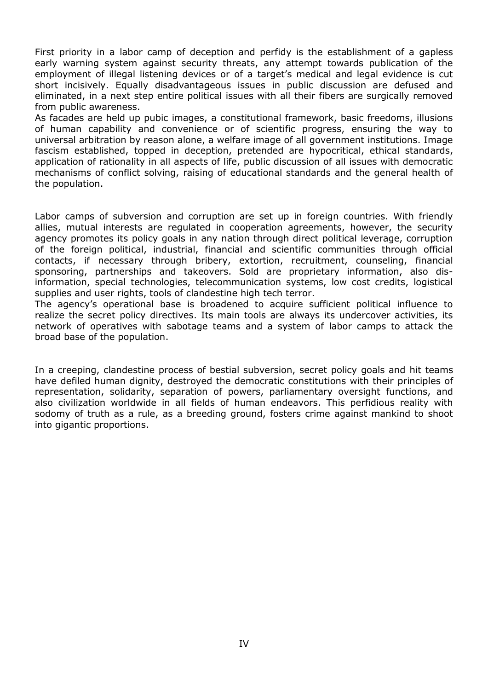First priority in a labor camp of deception and perfidy is the establishment of a gapless early warning system against security threats, any attempt towards publication of the employment of illegal listening devices or of a target's medical and legal evidence is cut short incisively. Equally disadvantageous issues in public discussion are defused and eliminated, in a next step entire political issues with all their fibers are surgically removed from public awareness.

As facades are held up pubic images, a constitutional framework, basic freedoms, illusions of human capability and convenience or of scientific progress, ensuring the way to universal arbitration by reason alone, a welfare image of all government institutions. Image fascism established, topped in deception, pretended are hypocritical, ethical standards, application of rationality in all aspects of life, public discussion of all issues with democratic mechanisms of conflict solving, raising of educational standards and the general health of the population.

Labor camps of subversion and corruption are set up in foreign countries. With friendly allies, mutual interests are regulated in cooperation agreements, however, the security agency promotes its policy goals in any nation through direct political leverage, corruption of the foreign political, industrial, financial and scientific communities through official contacts, if necessary through bribery, extortion, recruitment, counseling, financial sponsoring, partnerships and takeovers. Sold are proprietary information, also disinformation, special technologies, telecommunication systems, low cost credits, logistical supplies and user rights, tools of clandestine high tech terror.

The agency's operational base is broadened to acquire sufficient political influence to realize the secret policy directives. Its main tools are always its undercover activities, its network of operatives with sabotage teams and a system of labor camps to attack the broad base of the population.

In a creeping, clandestine process of bestial subversion, secret policy goals and hit teams have defiled human dignity, destroyed the democratic constitutions with their principles of representation, solidarity, separation of powers, parliamentary oversight functions, and also civilization worldwide in all fields of human endeavors. This perfidious reality with sodomy of truth as a rule, as a breeding ground, fosters crime against mankind to shoot into gigantic proportions.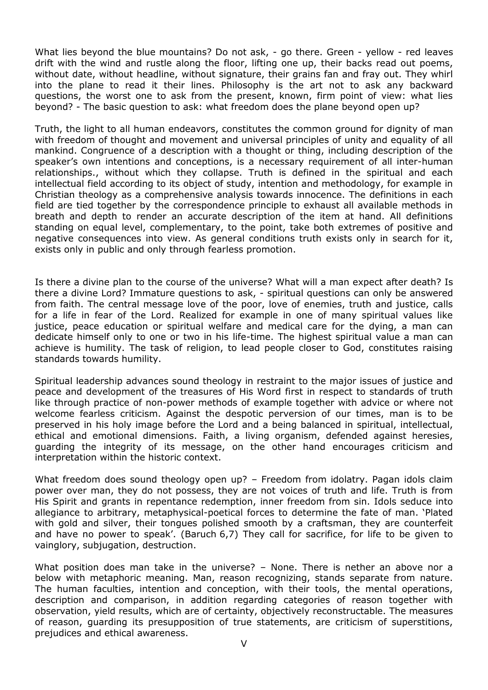What lies beyond the blue mountains? Do not ask, - go there. Green - yellow - red leaves drift with the wind and rustle along the floor, lifting one up, their backs read out poems, without date, without headline, without signature, their grains fan and fray out. They whirl into the plane to read it their lines. Philosophy is the art not to ask any backward questions, the worst one to ask from the present, known, firm point of view: what lies beyond? - The basic question to ask: what freedom does the plane beyond open up?

Truth, the light to all human endeavors, constitutes the common ground for dignity of man with freedom of thought and movement and universal principles of unity and equality of all mankind. Congruence of a description with a thought or thing, including description of the speaker's own intentions and conceptions, is a necessary requirement of all inter-human relationships., without which they collapse. Truth is defined in the spiritual and each intellectual field according to its object of study, intention and methodology, for example in Christian theology as a comprehensive analysis towards innocence. The definitions in each field are tied together by the correspondence principle to exhaust all available methods in breath and depth to render an accurate description of the item at hand. All definitions standing on equal level, complementary, to the point, take both extremes of positive and negative consequences into view. As general conditions truth exists only in search for it, exists only in public and only through fearless promotion.

Is there a divine plan to the course of the universe? What will a man expect after death? Is there a divine Lord? Immature questions to ask, - spiritual questions can only be answered from faith. The central message love of the poor, love of enemies, truth and justice, calls for a life in fear of the Lord. Realized for example in one of many spiritual values like justice, peace education or spiritual welfare and medical care for the dying, a man can dedicate himself only to one or two in his life-time. The highest spiritual value a man can achieve is humility. The task of religion, to lead people closer to God, constitutes raising standards towards humility.

Spiritual leadership advances sound theology in restraint to the major issues of justice and peace and development of the treasures of His Word first in respect to standards of truth like through practice of non-power methods of example together with advice or where not welcome fearless criticism. Against the despotic perversion of our times, man is to be preserved in his holy image before the Lord and a being balanced in spiritual, intellectual, ethical and emotional dimensions. Faith, a living organism, defended against heresies, guarding the integrity of its message, on the other hand encourages criticism and interpretation within the historic context.

What freedom does sound theology open up? - Freedom from idolatry. Pagan idols claim power over man, they do not possess, they are not voices of truth and life. Truth is from His Spirit and grants in repentance redemption, inner freedom from sin. Idols seduce into allegiance to arbitrary, metaphysical-poetical forces to determine the fate of man. 'Plated with gold and silver, their tongues polished smooth by a craftsman, they are counterfeit and have no power to speak'. (Baruch 6,7) They call for sacrifice, for life to be given to vainglory, subjugation, destruction.

What position does man take in the universe? – None. There is nether an above nor a below with metaphoric meaning. Man, reason recognizing, stands separate from nature. The human faculties, intention and conception, with their tools, the mental operations, description and comparison, in addition regarding categories of reason together with observation, yield results, which are of certainty, objectively reconstructable. The measures of reason, guarding its presupposition of true statements, are criticism of superstitions, prejudices and ethical awareness.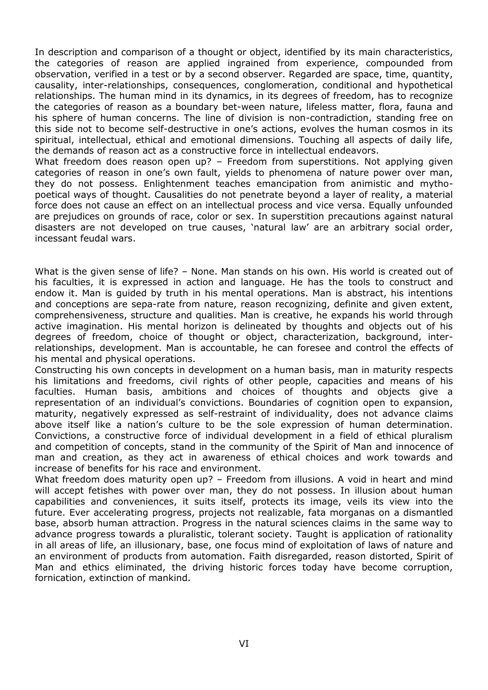In description and comparison of a thought or object, identified by its main characteristics, the categories of reason are applied ingrained from experience, compounded from observation, verified in a test or by a second observer. Regarded are space, time, quantity, causality, inter-relationships, consequences, conglomeration, conditional and hypothetical relationships. The human mind in its dynamics, in its degrees of freedom, has to recognize the categories of reason as a boundary bet-ween nature, lifeless matter, flora, fauna and his sphere of human concerns. The line of division is non-contradiction, standing free on this side not to become self-destructive in one's actions, evolves the human cosmos in its spiritual, intellectual, ethical and emotional dimensions. Touching all aspects of daily life, the demands of reason act as a constructive force in intellectual endeavors.

What freedom does reason open up? - Freedom from superstitions. Not applying given categories of reason in one's own fault, yields to phenomena of nature power over man, they do not possess. Enlightenment teaches emancipation from animistic and mythopoetical ways of thought. Causalities do not penetrate beyond a layer of reality, a material force does not cause an effect on an intellectual process and vice versa. Equally unfounded are prejudices on grounds of race, color or sex. In superstition precautions against natural disasters are not developed on true causes, 'natural law' are an arbitrary social order, incessant feudal wars.

What is the given sense of life? – None. Man stands on his own. His world is created out of his faculties, it is expressed in action and language. He has the tools to construct and endow it. Man is guided by truth in his mental operations. Man is abstract, his intentions and conceptions are sepa-rate from nature, reason recognizing, definite and given extent, comprehensiveness, structure and qualities. Man is creative, he expands his world through active imagination. His mental horizon is delineated by thoughts and objects out of his degrees of freedom, choice of thought or object, characterization, background, interrelationships, development. Man is accountable, he can foresee and control the effects of his mental and physical operations.

Constructing his own concepts in development on a human basis, man in maturity respects his limitations and freedoms, civil rights of other people, capacities and means of his faculties. Human basis, ambitions and choices of thoughts and objects give a representation of an individual's convictions. Boundaries of cognition open to expansion, maturity, negatively expressed as self-restraint of individuality, does not advance claims above itself like a nation's culture to be the sole expression of human determination. Convictions, a constructive force of individual development in a field of ethical pluralism and competition of concepts, stand in the community of the Spirit of Man and innocence of man and creation, as they act in awareness of ethical choices and work towards and increase of benefits for his race and environment.

What freedom does maturity open up? - Freedom from illusions. A void in heart and mind will accept fetishes with power over man, they do not possess. In illusion about human capabilities and conveniences, it suits itself, protects its image, veils its view into the future. Ever accelerating progress, projects not realizable, fata morganas on a dismantled base, absorb human attraction. Progress in the natural sciences claims in the same way to advance progress towards a pluralistic, tolerant society. Taught is application of rationality in all areas of life, an illusionary, base, one focus mind of exploitation of laws of nature and an environment of products from automation. Faith disregarded, reason distorted, Spirit of Man and ethics eliminated, the driving historic forces today have become corruption, fornication, extinction of mankind.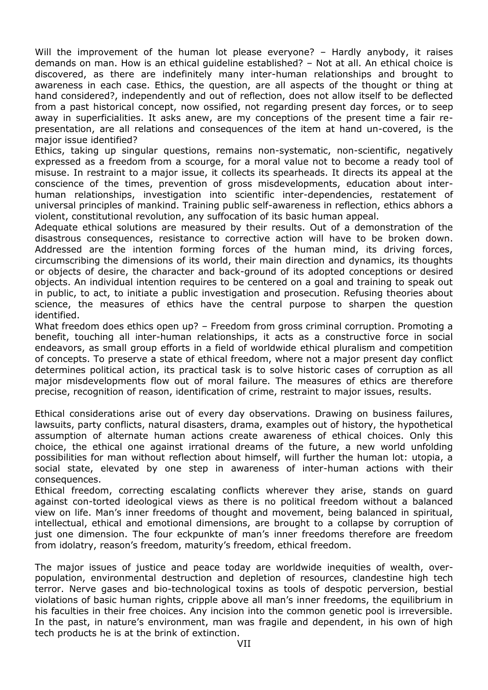Will the improvement of the human lot please everyone? - Hardly anybody, it raises demands on man. How is an ethical guideline established? – Not at all. An ethical choice is discovered, as there are indefinitely many inter-human relationships and brought to awareness in each case. Ethics, the question, are all aspects of the thought or thing at hand considered?, independently and out of reflection, does not allow itself to be deflected from a past historical concept, now ossified, not regarding present day forces, or to seep away in superficialities. It asks anew, are my conceptions of the present time a fair representation, are all relations and consequences of the item at hand un-covered, is the major issue identified?

Ethics, taking up singular questions, remains non-systematic, non-scientific, negatively expressed as a freedom from a scourge, for a moral value not to become a ready tool of misuse. In restraint to a major issue, it collects its spearheads. It directs its appeal at the conscience of the times, prevention of gross misdevelopments, education about interhuman relationships, investigation into scientific inter-dependencies, restatement of universal principles of mankind. Training public self-awareness in reflection, ethics abhors a violent, constitutional revolution, any suffocation of its basic human appeal.

Adequate ethical solutions are measured by their results. Out of a demonstration of the disastrous consequences, resistance to corrective action will have to be broken down. Addressed are the intention forming forces of the human mind, its driving forces, circumscribing the dimensions of its world, their main direction and dynamics, its thoughts or objects of desire, the character and back-ground of its adopted conceptions or desired objects. An individual intention requires to be centered on a goal and training to speak out in public, to act, to initiate a public investigation and prosecution. Refusing theories about science, the measures of ethics have the central purpose to sharpen the question identified.

What freedom does ethics open up? - Freedom from gross criminal corruption. Promoting a benefit, touching all inter-human relationships, it acts as a constructive force in social endeavors, as small group efforts in a field of worldwide ethical pluralism and competition of concepts. To preserve a state of ethical freedom, where not a major present day conflict determines political action, its practical task is to solve historic cases of corruption as all major misdevelopments flow out of moral failure. The measures of ethics are therefore precise, recognition of reason, identification of crime, restraint to major issues, results.

Ethical considerations arise out of every day observations. Drawing on business failures, lawsuits, party conflicts, natural disasters, drama, examples out of history, the hypothetical assumption of alternate human actions create awareness of ethical choices. Only this choice, the ethical one against irrational dreams of the future, a new world unfolding possibilities for man without reflection about himself, will further the human lot: utopia, a social state, elevated by one step in awareness of inter-human actions with their consequences.

Ethical freedom, correcting escalating conflicts wherever they arise, stands on guard against con-torted ideological views as there is no political freedom without a balanced view on life. Man's inner freedoms of thought and movement, being balanced in spiritual, intellectual, ethical and emotional dimensions, are brought to a collapse by corruption of just one dimension. The four eckpunkte of man's inner freedoms therefore are freedom from idolatry, reason's freedom, maturity's freedom, ethical freedom.

The major issues of justice and peace today are worldwide inequities of wealth, overpopulation, environmental destruction and depletion of resources, clandestine high tech terror. Nerve gases and bio-technological toxins as tools of despotic perversion, bestial violations of basic human rights, cripple above all man's inner freedoms, the equilibrium in his faculties in their free choices. Any incision into the common genetic pool is irreversible. In the past, in nature's environment, man was fragile and dependent, in his own of high tech products he is at the brink of extinction.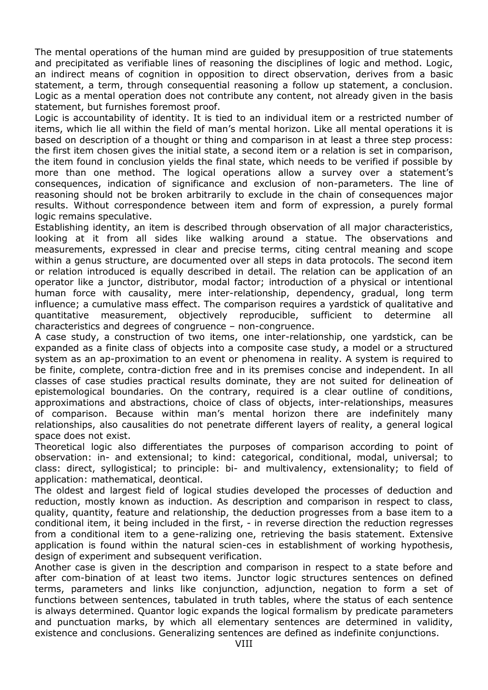The mental operations of the human mind are guided by presupposition of true statements and precipitated as verifiable lines of reasoning the disciplines of logic and method. Logic, an indirect means of cognition in opposition to direct observation, derives from a basic statement, a term, through consequential reasoning a follow up statement, a conclusion. Logic as a mental operation does not contribute any content, not already given in the basis statement, but furnishes foremost proof.

Logic is accountability of identity. It is tied to an individual item or a restricted number of items, which lie all within the field of man's mental horizon. Like all mental operations it is based on description of a thought or thing and comparison in at least a three step process: the first item chosen gives the initial state, a second item or a relation is set in comparison, the item found in conclusion yields the final state, which needs to be verified if possible by more than one method. The logical operations allow a survey over a statement's consequences, indication of significance and exclusion of non-parameters. The line of reasoning should not be broken arbitrarily to exclude in the chain of consequences major results. Without correspondence between item and form of expression, a purely formal logic remains speculative.

Establishing identity, an item is described through observation of all major characteristics, looking at it from all sides like walking around a statue. The observations and measurements, expressed in clear and precise terms, citing central meaning and scope within a genus structure, are documented over all steps in data protocols. The second item or relation introduced is equally described in detail. The relation can be application of an operator like a junctor, distributor, modal factor; introduction of a physical or intentional human force with causality, mere inter-relationship, dependency, gradual, long term influence; a cumulative mass effect. The comparison requires a yardstick of qualitative and quantitative measurement, objectively reproducible, sufficient to determine all characteristics and degrees of congruence – non-congruence.

A case study, a construction of two items, one inter-relationship, one yardstick, can be expanded as a finite class of objects into a composite case study, a model or a structured system as an ap-proximation to an event or phenomena in reality. A system is required to be finite, complete, contra-diction free and in its premises concise and independent. In all classes of case studies practical results dominate, they are not suited for delineation of epistemological boundaries. On the contrary, required is a clear outline of conditions, approximations and abstractions, choice of class of objects, inter-relationships, measures of comparison. Because within man's mental horizon there are indefinitely many relationships, also causalities do not penetrate different layers of reality, a general logical space does not exist.

Theoretical logic also differentiates the purposes of comparison according to point of observation: in- and extensional; to kind: categorical, conditional, modal, universal; to class: direct, syllogistical; to principle: bi- and multivalency, extensionality; to field of application: mathematical, deontical.

The oldest and largest field of logical studies developed the processes of deduction and reduction, mostly known as induction. As description and comparison in respect to class, quality, quantity, feature and relationship, the deduction progresses from a base item to a conditional item, it being included in the first, - in reverse direction the reduction regresses from a conditional item to a gene-ralizing one, retrieving the basis statement. Extensive application is found within the natural scien-ces in establishment of working hypothesis, design of experiment and subsequent verification.

Another case is given in the description and comparison in respect to a state before and after com-bination of at least two items. Junctor logic structures sentences on defined terms, parameters and links like conjunction, adjunction, negation to form a set of functions between sentences, tabulated in truth tables, where the status of each sentence is always determined. Quantor logic expands the logical formalism by predicate parameters and punctuation marks, by which all elementary sentences are determined in validity, existence and conclusions. Generalizing sentences are defined as indefinite conjunctions.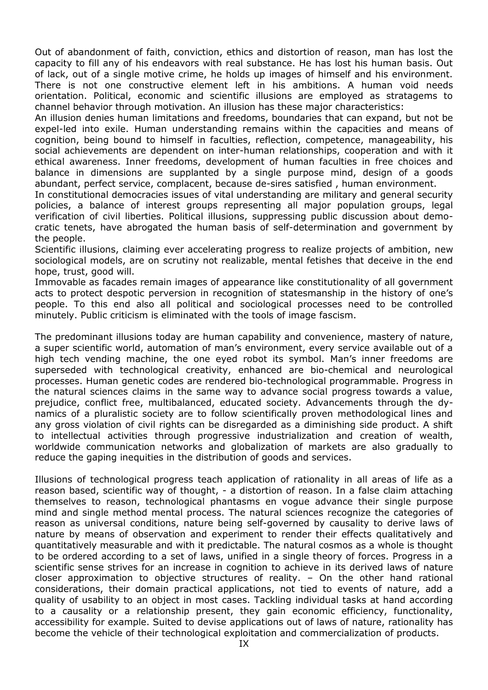Out of abandonment of faith, conviction, ethics and distortion of reason, man has lost the capacity to fill any of his endeavors with real substance. He has lost his human basis. Out of lack, out of a single motive crime, he holds up images of himself and his environment. There is not one constructive element left in his ambitions. A human void needs orientation. Political, economic and scientific illusions are employed as stratagems to channel behavior through motivation. An illusion has these major characteristics:

An illusion denies human limitations and freedoms, boundaries that can expand, but not be expel-led into exile. Human understanding remains within the capacities and means of cognition, being bound to himself in faculties, reflection, competence, manageability, his social achievements are dependent on inter-human relationships, cooperation and with it ethical awareness. Inner freedoms, development of human faculties in free choices and balance in dimensions are supplanted by a single purpose mind, design of a goods abundant, perfect service, complacent, because de-sires satisfied , human environment.

In constitutional democracies issues of vital understanding are military and general security policies, a balance of interest groups representing all major population groups, legal verification of civil liberties. Political illusions, suppressing public discussion about democratic tenets, have abrogated the human basis of self-determination and government by the people.

Scientific illusions, claiming ever accelerating progress to realize projects of ambition, new sociological models, are on scrutiny not realizable, mental fetishes that deceive in the end hope, trust, good will.

Immovable as facades remain images of appearance like constitutionality of all government acts to protect despotic perversion in recognition of statesmanship in the history of one's people. To this end also all political and sociological processes need to be controlled minutely. Public criticism is eliminated with the tools of image fascism.

The predominant illusions today are human capability and convenience, mastery of nature, a super scientific world, automation of man's environment, every service available out of a high tech vending machine, the one eyed robot its symbol. Man's inner freedoms are superseded with technological creativity, enhanced are bio-chemical and neurological processes. Human genetic codes are rendered bio-technological programmable. Progress in the natural sciences claims in the same way to advance social progress towards a value, prejudice, conflict free, multibalanced, educated society. Advancements through the dynamics of a pluralistic society are to follow scientifically proven methodological lines and any gross violation of civil rights can be disregarded as a diminishing side product. A shift to intellectual activities through progressive industrialization and creation of wealth, worldwide communication networks and globalization of markets are also gradually to reduce the gaping inequities in the distribution of goods and services.

Illusions of technological progress teach application of rationality in all areas of life as a reason based, scientific way of thought, - a distortion of reason. In a false claim attaching themselves to reason, technological phantasms en vogue advance their single purpose mind and single method mental process. The natural sciences recognize the categories of reason as universal conditions, nature being self-governed by causality to derive laws of nature by means of observation and experiment to render their effects qualitatively and quantitatively measurable and with it predictable. The natural cosmos as a whole is thought to be ordered according to a set of laws, unified in a single theory of forces. Progress in a scientific sense strives for an increase in cognition to achieve in its derived laws of nature closer approximation to objective structures of reality. – On the other hand rational considerations, their domain practical applications, not tied to events of nature, add a quality of usability to an object in most cases. Tackling individual tasks at hand according to a causality or a relationship present, they gain economic efficiency, functionality, accessibility for example. Suited to devise applications out of laws of nature, rationality has become the vehicle of their technological exploitation and commercialization of products.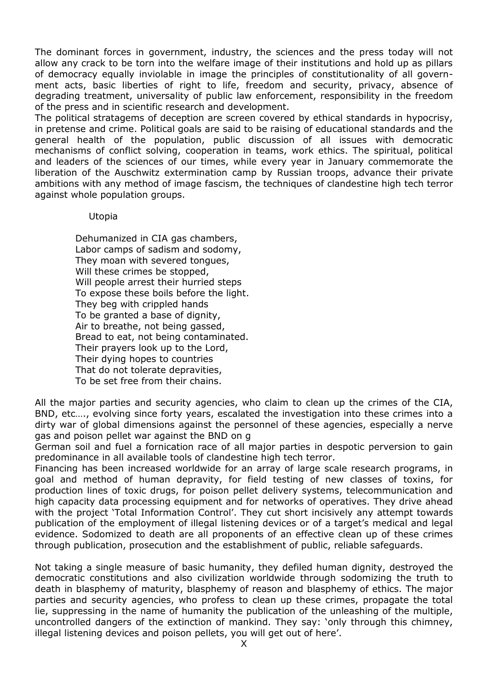The dominant forces in government, industry, the sciences and the press today will not allow any crack to be torn into the welfare image of their institutions and hold up as pillars of democracy equally inviolable in image the principles of constitutionality of all government acts, basic liberties of right to life, freedom and security, privacy, absence of degrading treatment, universality of public law enforcement, responsibility in the freedom of the press and in scientific research and development.

The political stratagems of deception are screen covered by ethical standards in hypocrisy, in pretense and crime. Political goals are said to be raising of educational standards and the general health of the population, public discussion of all issues with democratic mechanisms of conflict solving, cooperation in teams, work ethics. The spiritual, political and leaders of the sciences of our times, while every year in January commemorate the liberation of the Auschwitz extermination camp by Russian troops, advance their private ambitions with any method of image fascism, the techniques of clandestine high tech terror against whole population groups.

### Utopia

Dehumanized in CIA gas chambers, Labor camps of sadism and sodomy, They moan with severed tongues, Will these crimes be stopped, Will people arrest their hurried steps To expose these boils before the light. They beg with crippled hands To be granted a base of dignity, Air to breathe, not being gassed, Bread to eat, not being contaminated. Their prayers look up to the Lord, Their dying hopes to countries That do not tolerate depravities, To be set free from their chains.

All the major parties and security agencies, who claim to clean up the crimes of the CIA, BND, etc…., evolving since forty years, escalated the investigation into these crimes into a dirty war of global dimensions against the personnel of these agencies, especially a nerve gas and poison pellet war against the BND on g

German soil and fuel a fornication race of all major parties in despotic perversion to gain predominance in all available tools of clandestine high tech terror.

Financing has been increased worldwide for an array of large scale research programs, in goal and method of human depravity, for field testing of new classes of toxins, for production lines of toxic drugs, for poison pellet delivery systems, telecommunication and high capacity data processing equipment and for networks of operatives. They drive ahead with the project 'Total Information Control'. They cut short incisively any attempt towards publication of the employment of illegal listening devices or of a target's medical and legal evidence. Sodomized to death are all proponents of an effective clean up of these crimes through publication, prosecution and the establishment of public, reliable safeguards.

Not taking a single measure of basic humanity, they defiled human dignity, destroyed the democratic constitutions and also civilization worldwide through sodomizing the truth to death in blasphemy of maturity, blasphemy of reason and blasphemy of ethics. The major parties and security agencies, who profess to clean up these crimes, propagate the total lie, suppressing in the name of humanity the publication of the unleashing of the multiple, uncontrolled dangers of the extinction of mankind. They say: 'only through this chimney, illegal listening devices and poison pellets, you will get out of here'.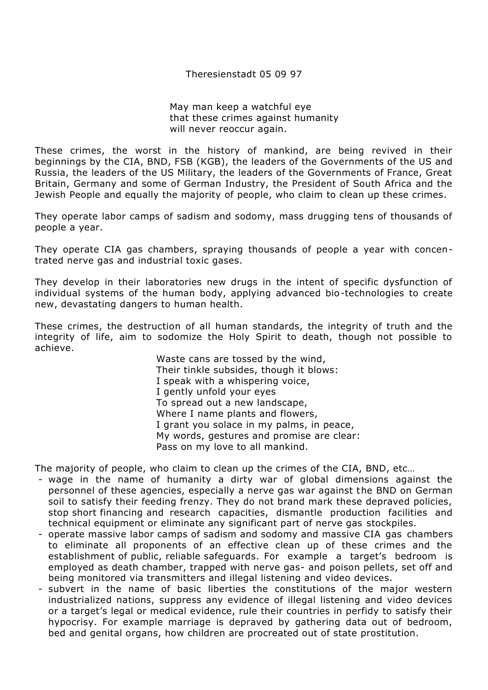Theresienstadt 05 09 97

May man keep a watchful eye that these crimes against humanity will never reoccur again.

These crimes, the worst in the history of mankind, are being revived in their beginnings by the CIA, BND, FSB (KGB), the leaders of the Governments of the US and Russia, the leaders of the US Military, the leaders of the Governments of France, Great Britain, Germany and some of German Industry, the President of South Africa and the Jewish People and equally the majority of people, who claim to clean up these crimes.

They operate labor camps of sadism and sodomy, mass drugging tens of thousands of people a year.

They operate CIA gas chambers, spraying thousands of people a year with concentrated nerve gas and industrial toxic gases.

They develop in their laboratories new drugs in the intent of specific dysfunction of individual systems of the human body, applying advanced bio-technologies to create new, devastating dangers to human health.

These crimes, the destruction of all human standards, the integrity of truth and the integrity of life, aim to sodomize the Holy Spirit to death, though not possible to achieve.

> Waste cans are tossed by the wind, Their tinkle subsides, though it blows: I speak with a whispering voice, I gently unfold your eyes To spread out a new landscape, Where I name plants and flowers, I grant you solace in my palms, in peace, My words, gestures and promise are clear: Pass on my love to all mankind.

The majority of people, who claim to clean up the crimes of the CIA, BND, etc…

- wage in the name of humanity a dirty war of global dimensions against the personnel of these agencies, especially a nerve gas war against the BND on German soil to satisfy their feeding frenzy. They do not brand mark these depraved policies, stop short financing and research capacities, dismantle production facilities and technical equipment or eliminate any significant part of nerve gas stockpiles.
- operate massive labor camps of sadism and sodomy and massive CIA gas chambers to eliminate all proponents of an effective clean up of these crimes and the establishment of public, reliable safeguards. For example a target's bedroom is employed as death chamber, trapped with nerve gas- and poison pellets, set off and being monitored via transmitters and illegal listening and video devices.
- subvert in the name of basic liberties the constitutions of the major western industrialized nations, suppress any evidence of illegal listening and video devices or a target's legal or medical evidence, rule their countries in perfidy to satisfy their hypocrisy. For example marriage is depraved by gathering data out of bedroom, bed and genital organs, how children are procreated out of state prostitution.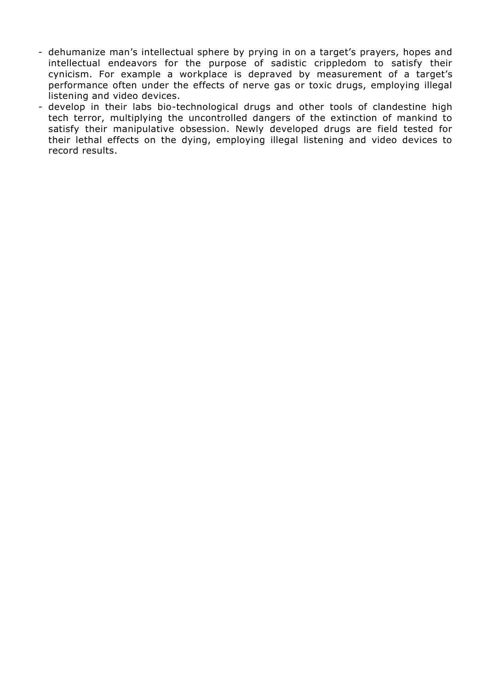- dehumanize man's intellectual sphere by prying in on a target's prayers, hopes and intellectual endeavors for the purpose of sadistic crippledom to satisfy their cynicism. For example a workplace is depraved by measurement of a target's performance often under the effects of nerve gas or toxic drugs, employing illegal listening and video devices.
- develop in their labs bio-technological drugs and other tools of clandestine high tech terror, multiplying the uncontrolled dangers of the extinction of mankind to satisfy their manipulative obsession. Newly developed drugs are field tested for their lethal effects on the dying, employing illegal listening and video devices to record results.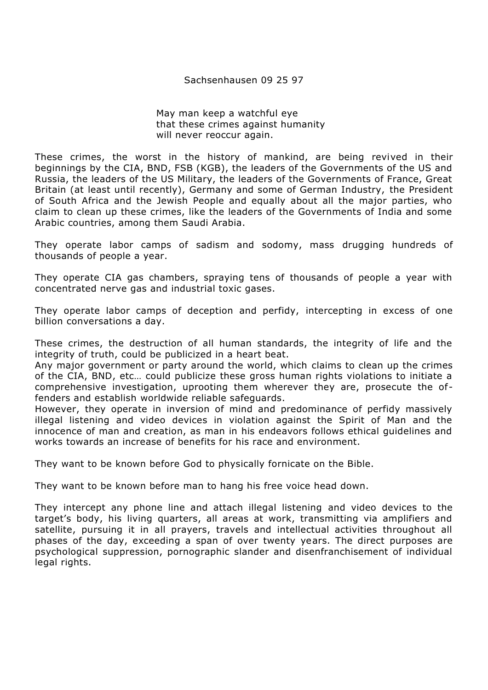#### Sachsenhausen 09 25 97

May man keep a watchful eye that these crimes against humanity will never reoccur again.

These crimes, the worst in the history of mankind, are being revived in their beginnings by the CIA, BND, FSB (KGB), the leaders of the Governments of the US and Russia, the leaders of the US Military, the leaders of the Governments of France, Great Britain (at least until recently), Germany and some of German Industry, the President of South Africa and the Jewish People and equally about all the major parties, who claim to clean up these crimes, like the leaders of the Governments of India and some Arabic countries, among them Saudi Arabia.

They operate labor camps of sadism and sodomy, mass drugging hundreds of thousands of people a year.

They operate CIA gas chambers, spraying tens of thousands of people a year with concentrated nerve gas and industrial toxic gases.

They operate labor camps of deception and perfidy, intercepting in excess of one billion conversations a day.

These crimes, the destruction of all human standards, the integrity of life and the integrity of truth, could be publicized in a heart beat.

Any major government or party around the world, which claims to clean up the crimes of the CIA, BND, etc… could publicize these gross human rights violations to initiate a comprehensive investigation, uprooting them wherever they are, prosecute the offenders and establish worldwide reliable safeguards.

However, they operate in inversion of mind and predominance of perfidy massively illegal listening and video devices in violation against the Spirit of Man and the innocence of man and creation, as man in his endeavors follows ethical guidelines and works towards an increase of benefits for his race and environment.

They want to be known before God to physically fornicate on the Bible.

They want to be known before man to hang his free voice head down.

They intercept any phone line and attach illegal listening and video devices to the target's body, his living quarters, all areas at work, transmitting via amplifiers and satellite, pursuing it in all prayers, travels and intellectual activities throughout all phases of the day, exceeding a span of over twenty years. The direct purposes are psychological suppression, pornographic slander and disenfranchisement of individual legal rights.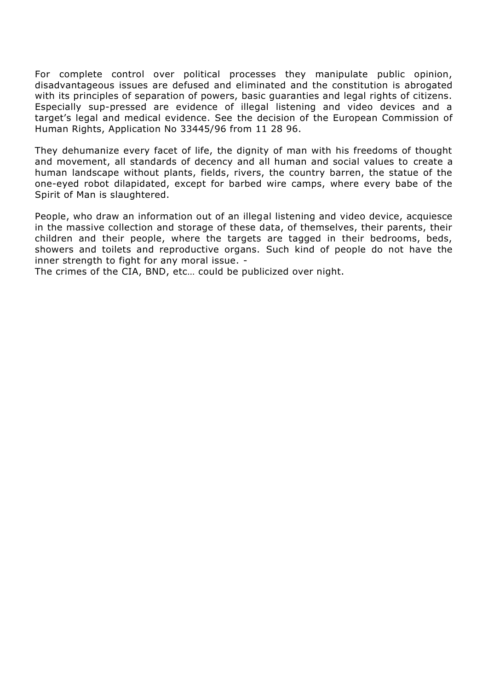For complete control over political processes they manipulate public opinion, disadvantageous issues are defused and eliminated and the constitution is abrogated with its principles of separation of powers, basic guaranties and legal rights of citizens. Especially sup-pressed are evidence of illegal listening and video devices and a target's legal and medical evidence. See the decision of the European Commission of Human Rights, Application No 33445/96 from 11 28 96.

They dehumanize every facet of life, the dignity of man with his freedoms of thought and movement, all standards of decency and all human and social values to create a human landscape without plants, fields, rivers, the country barren, the statue of the one-eyed robot dilapidated, except for barbed wire camps, where every babe of the Spirit of Man is slaughtered.

People, who draw an information out of an illegal listening and video device, acquiesce in the massive collection and storage of these data, of themselves, their parents, their children and their people, where the targets are tagged in their bedrooms, beds, showers and toilets and reproductive organs. Such kind of people do not have the inner strength to fight for any moral issue. -

The crimes of the CIA, BND, etc… could be publicized over night.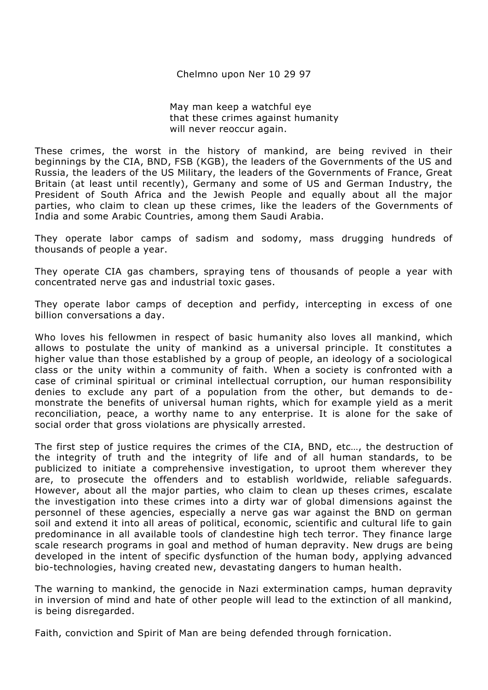Chelmno upon Ner 10 29 97

May man keep a watchful eye that these crimes against humanity will never reoccur again.

These crimes, the worst in the history of mankind, are being revived in their beginnings by the CIA, BND, FSB (KGB), the leaders of the Governments of the US and Russia, the leaders of the US Military, the leaders of the Governments of France, Great Britain (at least until recently), Germany and some of US and German Industry, the President of South Africa and the Jewish People and equally about all the major parties, who claim to clean up these crimes, like the leaders of the Governments of India and some Arabic Countries, among them Saudi Arabia.

They operate labor camps of sadism and sodomy, mass drugging hundreds of thousands of people a year.

They operate CIA gas chambers, spraying tens of thousands of people a year with concentrated nerve gas and industrial toxic gases.

They operate labor camps of deception and perfidy, intercepting in excess of one billion conversations a day.

Who loves his fellowmen in respect of basic humanity also loves all mankind, which allows to postulate the unity of mankind as a universal principle. It constitutes a higher value than those established by a group of people, an ideology of a sociological class or the unity within a community of faith. When a society is confronted with a case of criminal spiritual or criminal intellectual corruption, our human responsibility denies to exclude any part of a population from the other, but demands to demonstrate the benefits of universal human rights, which for example yield as a merit reconciliation, peace, a worthy name to any enterprise. It is alone for the sake of social order that gross violations are physically arrested.

The first step of justice requires the crimes of the CIA, BND, etc…, the destruction of the integrity of truth and the integrity of life and of all human standards, to be publicized to initiate a comprehensive investigation, to uproot them wherever they are, to prosecute the offenders and to establish worldwide, reliable safeguards. However, about all the major parties, who claim to clean up theses crimes, escalate the investigation into these crimes into a dirty war of global dimensions against the personnel of these agencies, especially a nerve gas war against the BND on german soil and extend it into all areas of political, economic, scientific and cultural life to gain predominance in all available tools of clandestine high tech terror. They finance large scale research programs in goal and method of human depravity. New drugs are being developed in the intent of specific dysfunction of the human body, applying advanced bio-technologies, having created new, devastating dangers to human health.

The warning to mankind, the genocide in Nazi extermination camps, human depravity in inversion of mind and hate of other people will lead to the extinction of all mankind, is being disregarded.

Faith, conviction and Spirit of Man are being defended through fornication.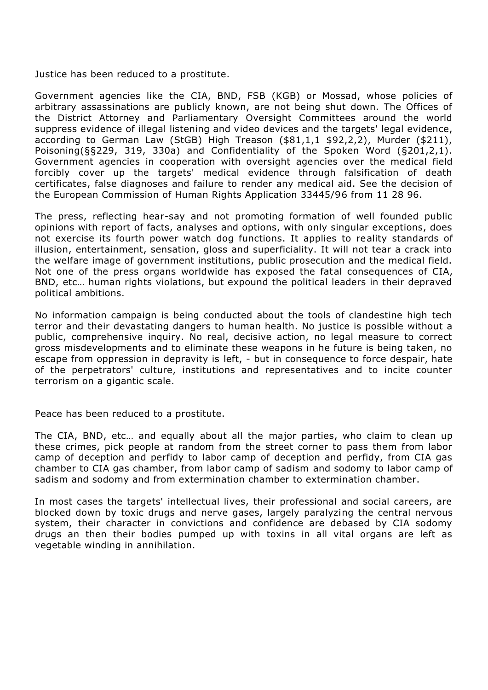Justice has been reduced to a prostitute.

Government agencies like the CIA, BND, FSB (KGB) or Mossad, whose policies of arbitrary assassinations are publicly known, are not being shut down. The Offices of the District Attorney and Parliamentary Oversight Committees around the world suppress evidence of illegal listening and video devices and the targets' legal evidence, according to German Law (StGB) High Treason (\$81,1,1 \$92,2,2), Murder (\$211), Poisoning(§§229, 319, 330a) and Confidentiality of the Spoken Word (§201,2,1). Government agencies in cooperation with oversight agencies over the medical field forcibly cover up the targets' medical evidence through falsification of death certificates, false diagnoses and failure to render any medical aid. See the decision of the European Commission of Human Rights Application 33445/96 from 11 28 96.

The press, reflecting hear-say and not promoting formation of well founded public opinions with report of facts, analyses and options, with only singular exceptions, does not exercise its fourth power watch dog functions. It applies to reality standards of illusion, entertainment, sensation, gloss and superficiality. It will not tear a crack into the welfare image of government institutions, public prosecution and the medical field. Not one of the press organs worldwide has exposed the fatal consequences of CIA, BND, etc… human rights violations, but expound the political leaders in their depraved political ambitions.

No information campaign is being conducted about the tools of clandestine high tech terror and their devastating dangers to human health. No justice is possible without a public, comprehensive inquiry. No real, decisive action, no legal measure to correct gross misdevelopments and to eliminate these weapons in he future is being taken, no escape from oppression in depravity is left, - but in consequence to force despair, hate of the perpetrators' culture, institutions and representatives and to incite counter terrorism on a gigantic scale.

Peace has been reduced to a prostitute.

The CIA, BND, etc… and equally about all the major parties, who claim to clean up these crimes, pick people at random from the street corner to pass them from labor camp of deception and perfidy to labor camp of deception and perfidy, from CIA gas chamber to CIA gas chamber, from labor camp of sadism and sodomy to labor camp of sadism and sodomy and from extermination chamber to extermination chamber.

In most cases the targets' intellectual lives, their professional and social careers, are blocked down by toxic drugs and nerve gases, largely paralyzing the central nervous system, their character in convictions and confidence are debased by CIA sodomy drugs an then their bodies pumped up with toxins in all vital organs are left as vegetable winding in annihilation.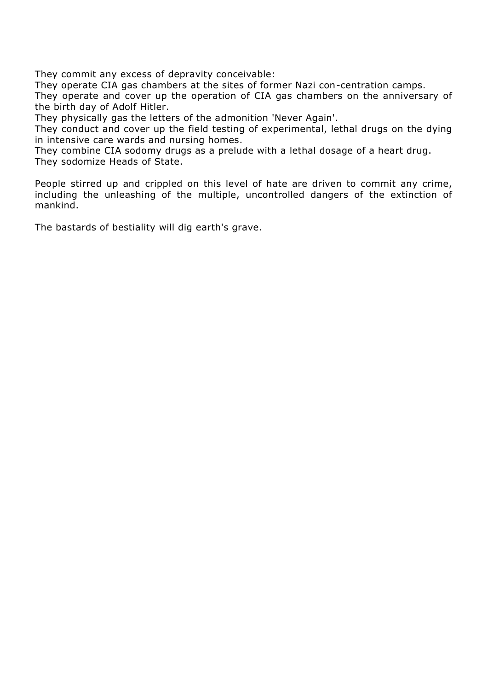They commit any excess of depravity conceivable:

They operate CIA gas chambers at the sites of former Nazi con-centration camps.

They operate and cover up the operation of CIA gas chambers on the anniversary of the birth day of Adolf Hitler.

They physically gas the letters of the admonition 'Never Again'.

They conduct and cover up the field testing of experimental, lethal drugs on the dying in intensive care wards and nursing homes.

They combine CIA sodomy drugs as a prelude with a lethal dosage of a heart drug. They sodomize Heads of State.

People stirred up and crippled on this level of hate are driven to commit any crime, including the unleashing of the multiple, uncontrolled dangers of the extinction of mankind.

The bastards of bestiality will dig earth's grave.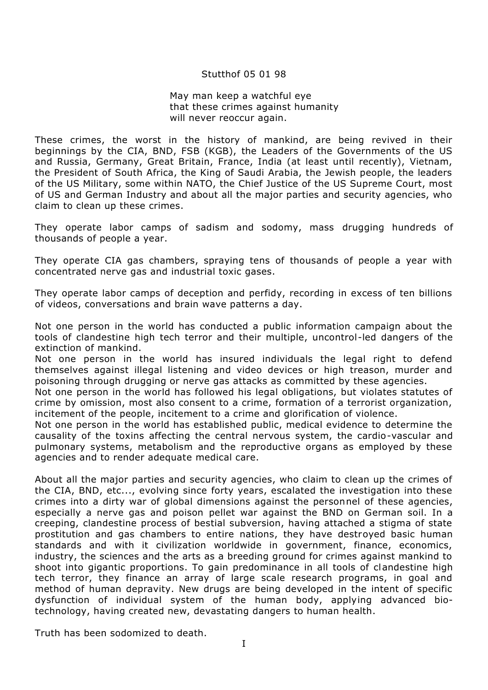### Stutthof 05 01 98

#### May man keep a watchful eye that these crimes against humanity will never reoccur again.

These crimes, the worst in the history of mankind, are being revived in their beginnings by the CIA, BND, FSB (KGB), the Leaders of the Governments of the US and Russia, Germany, Great Britain, France, India (at least until recently), Vietnam, the President of South Africa, the King of Saudi Arabia, the Jewish people, the leaders of the US Military, some within NATO, the Chief Justice of the US Supreme Court, most of US and German Industry and about all the major parties and security agencies, who claim to clean up these crimes.

They operate labor camps of sadism and sodomy, mass drugging hundreds of thousands of people a year.

They operate CIA gas chambers, spraying tens of thousands of people a year with concentrated nerve gas and industrial toxic gases.

They operate labor camps of deception and perfidy, recording in excess of ten billions of videos, conversations and brain wave patterns a day.

Not one person in the world has conducted a public information campaign about the tools of clandestine high tech terror and their multiple, uncontrol-led dangers of the extinction of mankind.

Not one person in the world has insured individuals the legal right to defend themselves against illegal listening and video devices or high treason, murder and poisoning through drugging or nerve gas attacks as committed by these agencies.

Not one person in the world has followed his legal obligations, but violates statutes of crime by omission, most also consent to a crime, formation of a terrorist organization, incitement of the people, incitement to a crime and glorification of violence.

Not one person in the world has established public, medical evidence to determine the causality of the toxins affecting the central nervous system, the cardio-vascular and pulmonary systems, metabolism and the reproductive organs as employed by these agencies and to render adequate medical care.

About all the major parties and security agencies, who claim to clean up the crimes of the CIA, BND, etc..., evolving since forty years, escalated the investigation into these crimes into a dirty war of global dimensions against the personnel of these agencies, especially a nerve gas and poison pellet war against the BND on German soil. In a creeping, clandestine process of bestial subversion, having attached a stigma of state prostitution and gas chambers to entire nations, they have destroyed basic human standards and with it civilization worldwide in government, finance, economics, industry, the sciences and the arts as a breeding ground for crimes against mankind to shoot into gigantic proportions. To gain predominance in all tools of clandestine high tech terror, they finance an array of large scale research programs, in goal and method of human depravity. New drugs are being developed in the intent of specific dysfunction of individual system of the human body, applying advanced biotechnology, having created new, devastating dangers to human health.

Truth has been sodomized to death.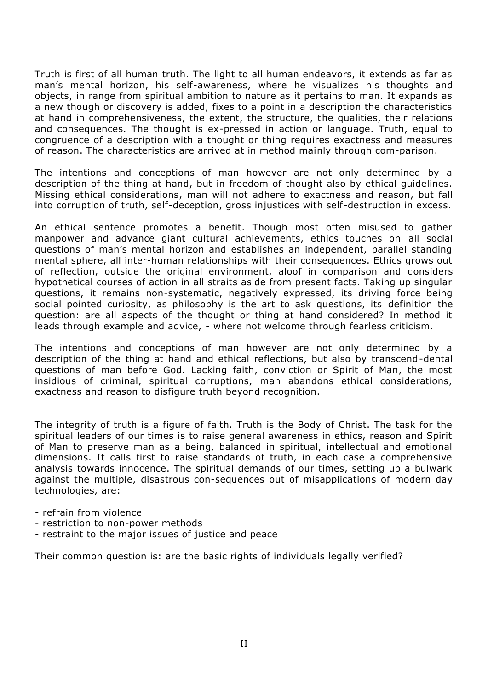Truth is first of all human truth. The light to all human endeavors, it extends as far as man's mental horizon, his self-awareness, where he visualizes his thoughts and objects, in range from spiritual ambition to nature as it pertains to man. It expands as a new though or discovery is added, fixes to a point in a description the characteristics at hand in comprehensiveness, the extent, the structure, the qualities, their relations and consequences. The thought is ex-pressed in action or language. Truth, equal to congruence of a description with a thought or thing requires exactness and measures of reason. The characteristics are arrived at in method mainly through com-parison.

The intentions and conceptions of man however are not only determined by a description of the thing at hand, but in freedom of thought also by ethical guidelines. Missing ethical considerations, man will not adhere to exactness and reason, but fall into corruption of truth, self-deception, gross injustices with self-destruction in excess.

An ethical sentence promotes a benefit. Though most often misused to gather manpower and advance giant cultural achievements, ethics touches on all social questions of man's mental horizon and establishes an independent, parallel standing mental sphere, all inter-human relationships with their consequences. Ethics grows out of reflection, outside the original environment, aloof in comparison and considers hypothetical courses of action in all straits aside from present facts. Taking up singular questions, it remains non-systematic, negatively expressed, its driving force being social pointed curiosity, as philosophy is the art to ask questions, its definition the question: are all aspects of the thought or thing at hand considered? In method it leads through example and advice, - where not welcome through fearless criticism.

The intentions and conceptions of man however are not only determined by a description of the thing at hand and ethical reflections, but also by transcend-dental questions of man before God. Lacking faith, conviction or Spirit of Man, the most insidious of criminal, spiritual corruptions, man abandons ethical considerations, exactness and reason to disfigure truth beyond recognition.

The integrity of truth is a figure of faith. Truth is the Body of Christ. The task for the spiritual leaders of our times is to raise general awareness in ethics, reason and Spirit of Man to preserve man as a being, balanced in spiritual, intellectual and emotional dimensions. It calls first to raise standards of truth, in each case a comprehensive analysis towards innocence. The spiritual demands of our times, setting up a bulwark against the multiple, disastrous con-sequences out of misapplications of modern day technologies, are:

- refrain from violence
- restriction to non-power methods
- restraint to the major issues of justice and peace

Their common question is: are the basic rights of individuals legally verified?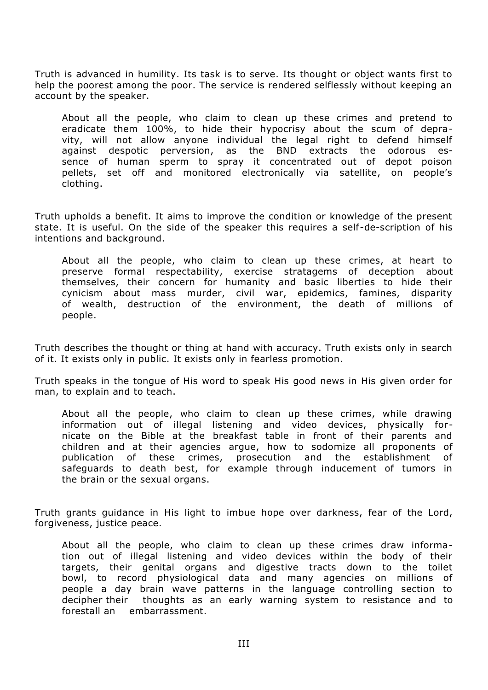Truth is advanced in humility. Its task is to serve. Its thought or object wants first to help the poorest among the poor. The service is rendered selflessly without keeping an account by the speaker.

About all the people, who claim to clean up these crimes and pretend to eradicate them 100%, to hide their hypocrisy about the scum of depravity, will not allow anyone individual the legal right to defend himself against despotic perversion, as the BND extracts the odorous essence of human sperm to spray it concentrated out of depot poison pellets, set off and monitored electronically via satellite, on people's clothing.

Truth upholds a benefit. It aims to improve the condition or knowledge of the present state. It is useful. On the side of the speaker this requires a self-de-scription of his intentions and background.

About all the people, who claim to clean up these crimes, at heart to preserve formal respectability, exercise stratagems of deception about themselves, their concern for humanity and basic liberties to hide their cynicism about mass murder, civil war, epidemics, famines, disparity of wealth, destruction of the environment, the death of millions of people.

Truth describes the thought or thing at hand with accuracy. Truth exists only in search of it. It exists only in public. It exists only in fearless promotion.

Truth speaks in the tongue of His word to speak His good news in His given order for man, to explain and to teach.

About all the people, who claim to clean up these crimes, while drawing information out of illegal listening and video devices, physically fornicate on the Bible at the breakfast table in front of their parents and children and at their agencies argue, how to sodomize all proponents of publication of these crimes, prosecution and the establishment of safeguards to death best, for example through inducement of tumors in the brain or the sexual organs.

Truth grants guidance in His light to imbue hope over darkness, fear of the Lord, forgiveness, justice peace.

About all the people, who claim to clean up these crimes draw information out of illegal listening and video devices within the body of their targets, their genital organs and digestive tracts down to the toilet bowl, to record physiological data and many agencies on millions of people a day brain wave patterns in the language controlling section to decipher their thoughts as an early warning system to resistance and to forestall an embarrassment.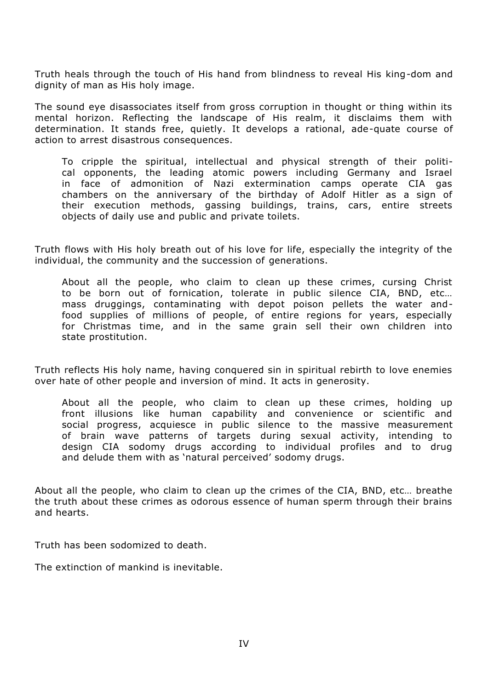Truth heals through the touch of His hand from blindness to reveal His king-dom and dignity of man as His holy image.

The sound eye disassociates itself from gross corruption in thought or thing within its mental horizon. Reflecting the landscape of His realm, it disclaims them with determination. It stands free, quietly. It develops a rational, ade-quate course of action to arrest disastrous consequences.

To cripple the spiritual, intellectual and physical strength of their political opponents, the leading atomic powers including Germany and Israel in face of admonition of Nazi extermination camps operate CIA gas chambers on the anniversary of the birthday of Adolf Hitler as a sign of their execution methods, gassing buildings, trains, cars, entire streets objects of daily use and public and private toilets.

Truth flows with His holy breath out of his love for life, especially the integrity of the individual, the community and the succession of generations.

About all the people, who claim to clean up these crimes, cursing Christ to be born out of fornication, tolerate in public silence CIA, BND, etc… mass druggings, contaminating with depot poison pellets the water andfood supplies of millions of people, of entire regions for years, especially for Christmas time, and in the same grain sell their own children into state prostitution.

Truth reflects His holy name, having conquered sin in spiritual rebirth to love enemies over hate of other people and inversion of mind. It acts in generosity.

About all the people, who claim to clean up these crimes, holding up front illusions like human capability and convenience or scientific and social progress, acquiesce in public silence to the massive measurement of brain wave patterns of targets during sexual activity, intending to design CIA sodomy drugs according to individual profiles and to drug and delude them with as 'natural perceived' sodomy drugs.

About all the people, who claim to clean up the crimes of the CIA, BND, etc… breathe the truth about these crimes as odorous essence of human sperm through their brains and hearts.

Truth has been sodomized to death.

The extinction of mankind is inevitable.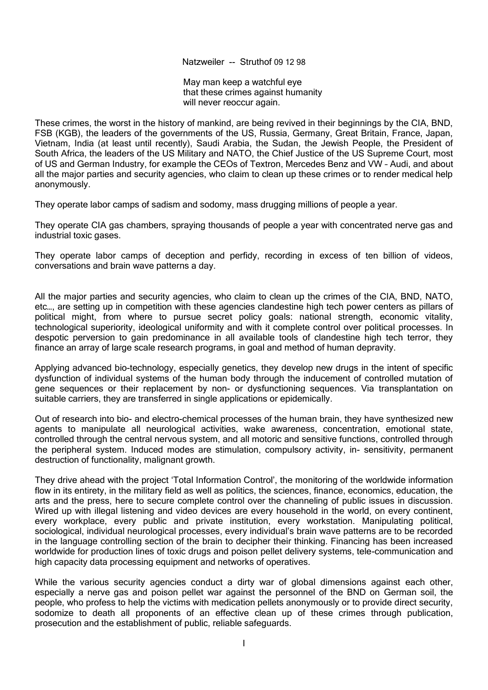Natzweiler -- Struthof 09 12 98

May man keep a watchful eye that these crimes against humanity will never reoccur again.

These crimes, the worst in the history of mankind, are being revived in their beginnings by the CIA, BND, FSB (KGB), the leaders of the governments of the US, Russia, Germany, Great Britain, France, Japan, Vietnam, India (at least until recently), Saudi Arabia, the Sudan, the Jewish People, the President of South Africa, the leaders of the US Military and NATO, the Chief Justice of the US Supreme Court, most of US and German Industry, for example the CEOs of Textron, Mercedes Benz and VW – Audi, and about all the major parties and security agencies, who claim to clean up these crimes or to render medical help anonymously.

They operate labor camps of sadism and sodomy, mass drugging millions of people a year.

They operate CIA gas chambers, spraying thousands of people a year with concentrated nerve gas and industrial toxic gases.

They operate labor camps of deception and perfidy, recording in excess of ten billion of videos, conversations and brain wave patterns a day.

All the major parties and security agencies, who claim to clean up the crimes of the CIA, BND, NATO, etc…, are setting up in competition with these agencies clandestine high tech power centers as pillars of political might, from where to pursue secret policy goals: national strength, economic vitality, technological superiority, ideological uniformity and with it complete control over political processes. In despotic perversion to gain predominance in all available tools of clandestine high tech terror, they finance an array of large scale research programs, in goal and method of human depravity.

Applying advanced bio-technology, especially genetics, they develop new drugs in the intent of specific dysfunction of individual systems of the human body through the inducement of controlled mutation of gene sequences or their replacement by non- or dysfunctioning sequences. Via transplantation on suitable carriers, they are transferred in single applications or epidemically.

Out of research into bio- and electro-chemical processes of the human brain, they have synthesized new agents to manipulate all neurological activities, wake awareness, concentration, emotional state, controlled through the central nervous system, and all motoric and sensitive functions, controlled through the peripheral system. Induced modes are stimulation, compulsory activity, in- sensitivity, permanent destruction of functionality, malignant growth.

They drive ahead with the project 'Total Information Control', the monitoring of the worldwide information flow in its entirety, in the military field as well as politics, the sciences, finance, economics, education, the arts and the press, here to secure complete control over the channeling of public issues in discussion. Wired up with illegal listening and video devices are every household in the world, on every continent, every workplace, every public and private institution, every workstation. Manipulating political, sociological, individual neurological processes, every individual's brain wave patterns are to be recorded in the language controlling section of the brain to decipher their thinking. Financing has been increased worldwide for production lines of toxic drugs and poison pellet delivery systems, tele-communication and high capacity data processing equipment and networks of operatives.

While the various security agencies conduct a dirty war of global dimensions against each other, especially a nerve gas and poison pellet war against the personnel of the BND on German soil, the people, who profess to help the victims with medication pellets anonymously or to provide direct security, sodomize to death all proponents of an effective clean up of these crimes through publication, prosecution and the establishment of public, reliable safeguards.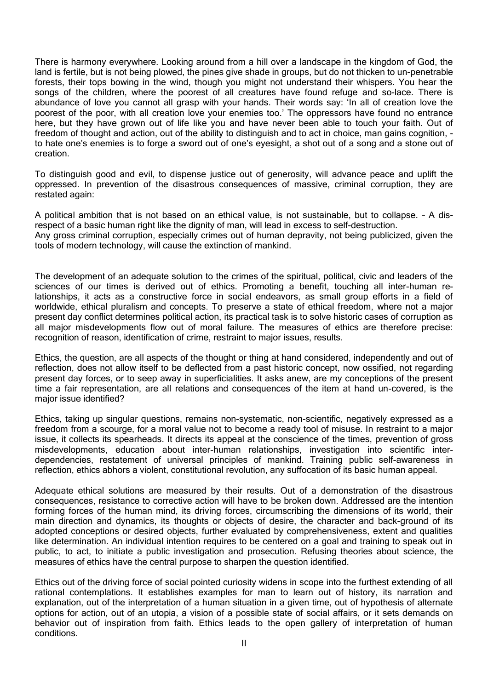There is harmony everywhere. Looking around from a hill over a landscape in the kingdom of God, the land is fertile, but is not being plowed, the pines give shade in groups, but do not thicken to un-penetrable forests, their tops bowing in the wind, though you might not understand their whispers. You hear the songs of the children, where the poorest of all creatures have found refuge and so-lace. There is abundance of love you cannot all grasp with your hands. Their words say: 'In all of creation love the poorest of the poor, with all creation love your enemies too.' The oppressors have found no entrance here, but they have grown out of life like you and have never been able to touch your faith. Out of freedom of thought and action, out of the ability to distinguish and to act in choice, man gains cognition, to hate one's enemies is to forge a sword out of one's eyesight, a shot out of a song and a stone out of creation.

To distinguish good and evil, to dispense justice out of generosity, will advance peace and uplift the oppressed. In prevention of the disastrous consequences of massive, criminal corruption, they are restated again:

A political ambition that is not based on an ethical value, is not sustainable, but to collapse. – A disrespect of a basic human right like the dignity of man, will lead in excess to self-destruction. Any gross criminal corruption, especially crimes out of human depravity, not being publicized, given the

tools of modern technology, will cause the extinction of mankind.

The development of an adequate solution to the crimes of the spiritual, political, civic and leaders of the sciences of our times is derived out of ethics. Promoting a benefit, touching all inter-human relationships, it acts as a constructive force in social endeavors, as small group efforts in a field of worldwide, ethical pluralism and concepts. To preserve a state of ethical freedom, where not a major present day conflict determines political action, its practical task is to solve historic cases of corruption as all major misdevelopments flow out of moral failure. The measures of ethics are therefore precise: recognition of reason, identification of crime, restraint to major issues, results.

Ethics, the question, are all aspects of the thought or thing at hand considered, independently and out of reflection, does not allow itself to be deflected from a past historic concept, now ossified, not regarding present day forces, or to seep away in superficialities. It asks anew, are my conceptions of the present time a fair representation, are all relations and consequences of the item at hand un-covered, is the major issue identified?

Ethics, taking up singular questions, remains non-systematic, non-scientific, negatively expressed as a freedom from a scourge, for a moral value not to become a ready tool of misuse. In restraint to a major issue, it collects its spearheads. It directs its appeal at the conscience of the times, prevention of gross misdevelopments, education about inter-human relationships, investigation into scientific interdependencies, restatement of universal principles of mankind. Training public self-awareness in reflection, ethics abhors a violent, constitutional revolution, any suffocation of its basic human appeal.

Adequate ethical solutions are measured by their results. Out of a demonstration of the disastrous consequences, resistance to corrective action will have to be broken down. Addressed are the intention forming forces of the human mind, its driving forces, circumscribing the dimensions of its world, their main direction and dynamics, its thoughts or objects of desire, the character and back-ground of its adopted conceptions or desired objects, further evaluated by comprehensiveness, extent and qualities like determination. An individual intention requires to be centered on a goal and training to speak out in public, to act, to initiate a public investigation and prosecution. Refusing theories about science, the measures of ethics have the central purpose to sharpen the question identified.

Ethics out of the driving force of social pointed curiosity widens in scope into the furthest extending of all rational contemplations. It establishes examples for man to learn out of history, its narration and explanation, out of the interpretation of a human situation in a given time, out of hypothesis of alternate options for action, out of an utopia, a vision of a possible state of social affairs, or it sets demands on behavior out of inspiration from faith. Ethics leads to the open gallery of interpretation of human conditions.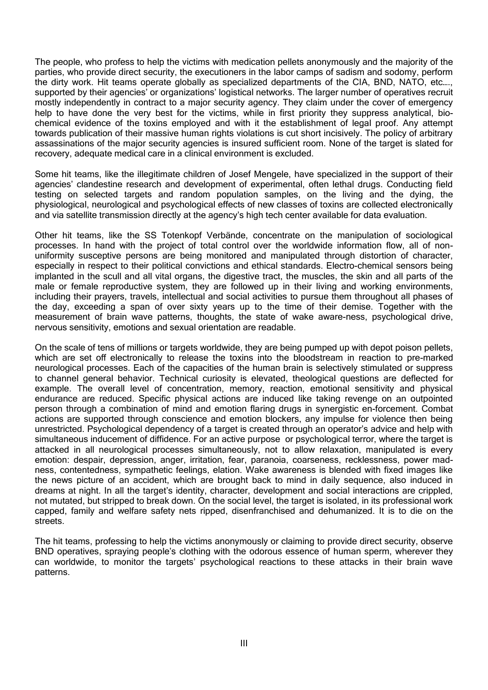The people, who profess to help the victims with medication pellets anonymously and the majority of the parties, who provide direct security, the executioners in the labor camps of sadism and sodomy, perform the dirty work. Hit teams operate globally as specialized departments of the CIA, BND, NATO, etc…., supported by their agencies' or organizations' logistical networks. The larger number of operatives recruit mostly independently in contract to a major security agency. They claim under the cover of emergency help to have done the very best for the victims, while in first priority they suppress analytical, biochemical evidence of the toxins employed and with it the establishment of legal proof. Any attempt towards publication of their massive human rights violations is cut short incisively. The policy of arbitrary assassinations of the major security agencies is insured sufficient room. None of the target is slated for recovery, adequate medical care in a clinical environment is excluded.

Some hit teams, like the illegitimate children of Josef Mengele, have specialized in the support of their agencies' clandestine research and development of experimental, often lethal drugs. Conducting field testing on selected targets and random population samples, on the living and the dying, the physiological, neurological and psychological effects of new classes of toxins are collected electronically and via satellite transmission directly at the agency's high tech center available for data evaluation.

Other hit teams, like the SS Totenkopf Verbände, concentrate on the manipulation of sociological processes. In hand with the project of total control over the worldwide information flow, all of nonuniformity susceptive persons are being monitored and manipulated through distortion of character, especially in respect to their political convictions and ethical standards. Electro-chemical sensors being implanted in the scull and all vital organs, the digestive tract, the muscles, the skin and all parts of the male or female reproductive system, they are followed up in their living and working environments, including their prayers, travels, intellectual and social activities to pursue them throughout all phases of the day, exceeding a span of over sixty years up to the time of their demise. Together with the measurement of brain wave patterns, thoughts, the state of wake aware-ness, psychological drive, nervous sensitivity, emotions and sexual orientation are readable.

On the scale of tens of millions or targets worldwide, they are being pumped up with depot poison pellets, which are set off electronically to release the toxins into the bloodstream in reaction to pre-marked neurological processes. Each of the capacities of the human brain is selectively stimulated or suppress to channel general behavior. Technical curiosity is elevated, theological questions are deflected for example. The overall level of concentration, memory, reaction, emotional sensitivity and physical endurance are reduced. Specific physical actions are induced like taking revenge on an outpointed person through a combination of mind and emotion flaring drugs in synergistic en-forcement. Combat actions are supported through conscience and emotion blockers, any impulse for violence then being unrestricted. Psychological dependency of a target is created through an operator's advice and help with simultaneous inducement of diffidence. For an active purpose or psychological terror, where the target is attacked in all neurological processes simultaneously, not to allow relaxation, manipulated is every emotion: despair, depression, anger, irritation, fear, paranoia, coarseness, recklessness, power madness, contentedness, sympathetic feelings, elation. Wake awareness is blended with fixed images like the news picture of an accident, which are brought back to mind in daily sequence, also induced in dreams at night. In all the target's identity, character, development and social interactions are crippled, not mutated, but stripped to break down. On the social level, the target is isolated, in its professional work capped, family and welfare safety nets ripped, disenfranchised and dehumanized. It is to die on the streets.

The hit teams, professing to help the victims anonymously or claiming to provide direct security, observe BND operatives, spraying people's clothing with the odorous essence of human sperm, wherever they can worldwide, to monitor the targets' psychological reactions to these attacks in their brain wave patterns.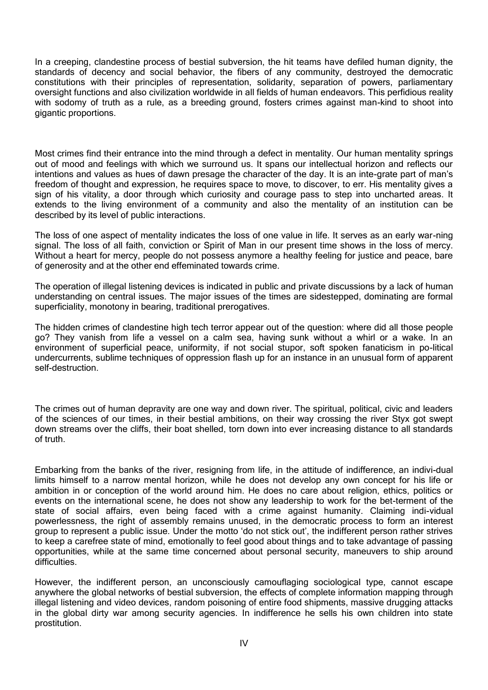In a creeping, clandestine process of bestial subversion, the hit teams have defiled human dignity, the standards of decency and social behavior, the fibers of any community, destroyed the democratic constitutions with their principles of representation, solidarity, separation of powers, parliamentary oversight functions and also civilization worldwide in all fields of human endeavors. This perfidious reality with sodomy of truth as a rule, as a breeding ground, fosters crimes against man-kind to shoot into gigantic proportions.

Most crimes find their entrance into the mind through a defect in mentality. Our human mentality springs out of mood and feelings with which we surround us. It spans our intellectual horizon and reflects our intentions and values as hues of dawn presage the character of the day. It is an inte-grate part of man's freedom of thought and expression, he requires space to move, to discover, to err. His mentality gives a sign of his vitality, a door through which curiosity and courage pass to step into uncharted areas. It extends to the living environment of a community and also the mentality of an institution can be described by its level of public interactions.

The loss of one aspect of mentality indicates the loss of one value in life. It serves as an early war-ning signal. The loss of all faith, conviction or Spirit of Man in our present time shows in the loss of mercy. Without a heart for mercy, people do not possess anymore a healthy feeling for justice and peace, bare of generosity and at the other end effeminated towards crime.

The operation of illegal listening devices is indicated in public and private discussions by a lack of human understanding on central issues. The major issues of the times are sidestepped, dominating are formal superficiality, monotony in bearing, traditional prerogatives.

The hidden crimes of clandestine high tech terror appear out of the question: where did all those people go? They vanish from life a vessel on a calm sea, having sunk without a whirl or a wake. In an environment of superficial peace, uniformity, if not social stupor, soft spoken fanaticism in po-litical undercurrents, sublime techniques of oppression flash up for an instance in an unusual form of apparent self-destruction.

The crimes out of human depravity are one way and down river. The spiritual, political, civic and leaders of the sciences of our times, in their bestial ambitions, on their way crossing the river Styx got swept down streams over the cliffs, their boat shelled, torn down into ever increasing distance to all standards of truth.

Embarking from the banks of the river, resigning from life, in the attitude of indifference, an indivi-dual limits himself to a narrow mental horizon, while he does not develop any own concept for his life or ambition in or conception of the world around him. He does no care about religion, ethics, politics or events on the international scene, he does not show any leadership to work for the bet-terment of the state of social affairs, even being faced with a crime against humanity. Claiming indi-vidual powerlessness, the right of assembly remains unused, in the democratic process to form an interest group to represent a public issue. Under the motto 'do not stick out', the indifferent person rather strives to keep a carefree state of mind, emotionally to feel good about things and to take advantage of passing opportunities, while at the same time concerned about personal security, maneuvers to ship around difficulties.

However, the indifferent person, an unconsciously camouflaging sociological type, cannot escape anywhere the global networks of bestial subversion, the effects of complete information mapping through illegal listening and video devices, random poisoning of entire food shipments, massive drugging attacks in the global dirty war among security agencies. In indifference he sells his own children into state prostitution.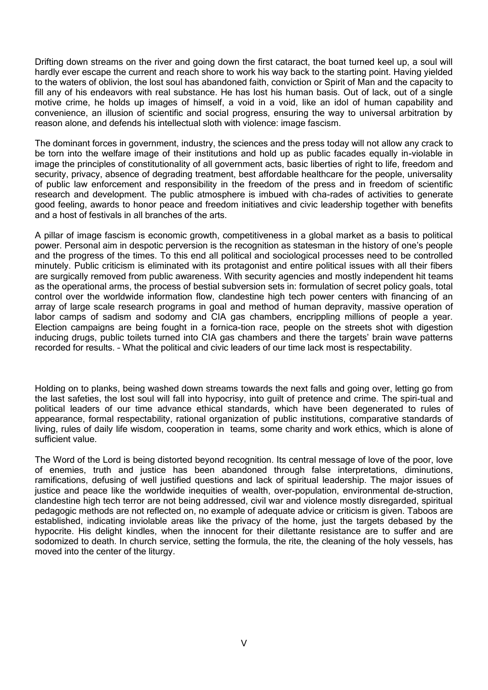Drifting down streams on the river and going down the first cataract, the boat turned keel up, a soul will hardly ever escape the current and reach shore to work his way back to the starting point. Having yielded to the waters of oblivion, the lost soul has abandoned faith, conviction or Spirit of Man and the capacity to fill any of his endeavors with real substance. He has lost his human basis. Out of lack, out of a single motive crime, he holds up images of himself, a void in a void, like an idol of human capability and convenience, an illusion of scientific and social progress, ensuring the way to universal arbitration by reason alone, and defends his intellectual sloth with violence: image fascism.

The dominant forces in government, industry, the sciences and the press today will not allow any crack to be torn into the welfare image of their institutions and hold up as public facades equally in-violable in image the principles of constitutionality of all government acts, basic liberties of right to life, freedom and security, privacy, absence of degrading treatment, best affordable healthcare for the people, universality of public law enforcement and responsibility in the freedom of the press and in freedom of scientific research and development. The public atmosphere is imbued with cha-rades of activities to generate good feeling, awards to honor peace and freedom initiatives and civic leadership together with benefits and a host of festivals in all branches of the arts.

A pillar of image fascism is economic growth, competitiveness in a global market as a basis to political power. Personal aim in despotic perversion is the recognition as statesman in the history of one's people and the progress of the times. To this end all political and sociological processes need to be controlled minutely. Public criticism is eliminated with its protagonist and entire political issues with all their fibers are surgically removed from public awareness. With security agencies and mostly independent hit teams as the operational arms, the process of bestial subversion sets in: formulation of secret policy goals, total control over the worldwide information flow, clandestine high tech power centers with financing of an array of large scale research programs in goal and method of human depravity, massive operation of labor camps of sadism and sodomy and CIA gas chambers, encrippling millions of people a year. Election campaigns are being fought in a fornica-tion race, people on the streets shot with digestion inducing drugs, public toilets turned into CIA gas chambers and there the targets' brain wave patterns recorded for results. – What the political and civic leaders of our time lack most is respectability.

Holding on to planks, being washed down streams towards the next falls and going over, letting go from the last safeties, the lost soul will fall into hypocrisy, into guilt of pretence and crime. The spiri-tual and political leaders of our time advance ethical standards, which have been degenerated to rules of appearance, formal respectability, rational organization of public institutions, comparative standards of living, rules of daily life wisdom, cooperation in teams, some charity and work ethics, which is alone of sufficient value.

The Word of the Lord is being distorted beyond recognition. Its central message of love of the poor, love of enemies, truth and justice has been abandoned through false interpretations, diminutions, ramifications, defusing of well justified questions and lack of spiritual leadership. The major issues of justice and peace like the worldwide inequities of wealth, over-population, environmental de-struction, clandestine high tech terror are not being addressed, civil war and violence mostly disregarded, spiritual pedagogic methods are not reflected on, no example of adequate advice or criticism is given. Taboos are established, indicating inviolable areas like the privacy of the home, just the targets debased by the hypocrite. His delight kindles, when the innocent for their dilettante resistance are to suffer and are sodomized to death. In church service, setting the formula, the rite, the cleaning of the holy vessels, has moved into the center of the liturgy.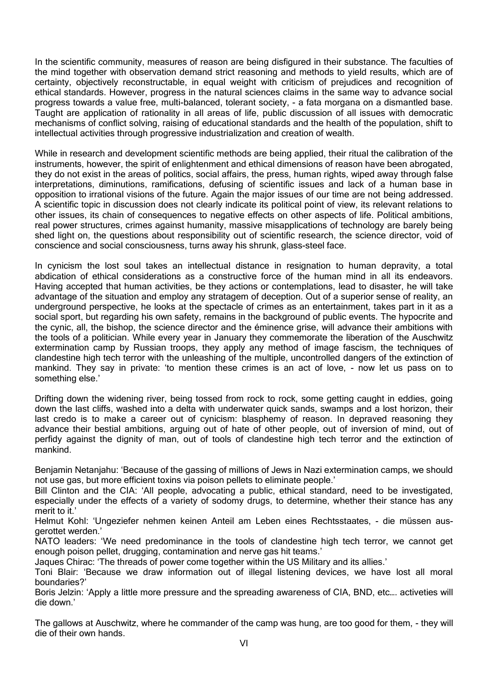In the scientific community, measures of reason are being disfigured in their substance. The faculties of the mind together with observation demand strict reasoning and methods to yield results, which are of certainty, objectively reconstructable, in equal weight with criticism of prejudices and recognition of ethical standards. However, progress in the natural sciences claims in the same way to advance social progress towards a value free, multi-balanced, tolerant society, - a fata morgana on a dismantled base. Taught are application of rationality in all areas of life, public discussion of all issues with democratic mechanisms of conflict solving, raising of educational standards and the health of the population, shift to intellectual activities through progressive industrialization and creation of wealth.

While in research and development scientific methods are being applied, their ritual the calibration of the instruments, however, the spirit of enlightenment and ethical dimensions of reason have been abrogated, they do not exist in the areas of politics, social affairs, the press, human rights, wiped away through false interpretations, diminutions, ramifications, defusing of scientific issues and lack of a human base in opposition to irrational visions of the future. Again the major issues of our time are not being addressed. A scientific topic in discussion does not clearly indicate its political point of view, its relevant relations to other issues, its chain of consequences to negative effects on other aspects of life. Political ambitions, real power structures, crimes against humanity, massive misapplications of technology are barely being shed light on, the questions about responsibility out of scientific research, the science director, void of conscience and social consciousness, turns away his shrunk, glass-steel face.

In cynicism the lost soul takes an intellectual distance in resignation to human depravity, a total abdication of ethical considerations as a constructive force of the human mind in all its endeavors. Having accepted that human activities, be they actions or contemplations, lead to disaster, he will take advantage of the situation and employ any stratagem of deception. Out of a superior sense of reality, an underground perspective, he looks at the spectacle of crimes as an entertainment, takes part in it as a social sport, but regarding his own safety, remains in the background of public events. The hypocrite and the cynic, all, the bishop, the science director and the éminence grise, will advance their ambitions with the tools of a politician. While every year in January they commemorate the liberation of the Auschwitz extermination camp by Russian troops, they apply any method of image fascism, the techniques of clandestine high tech terror with the unleashing of the multiple, uncontrolled dangers of the extinction of mankind. They say in private: 'to mention these crimes is an act of love, - now let us pass on to something else.'

Drifting down the widening river, being tossed from rock to rock, some getting caught in eddies, going down the last cliffs, washed into a delta with underwater quick sands, swamps and a lost horizon, their last credo is to make a career out of cynicism: blasphemy of reason. In depraved reasoning they advance their bestial ambitions, arguing out of hate of other people, out of inversion of mind, out of perfidy against the dignity of man, out of tools of clandestine high tech terror and the extinction of mankind.

Benjamin Netanjahu: 'Because of the gassing of millions of Jews in Nazi extermination camps, we should not use gas, but more efficient toxins via poison pellets to eliminate people.'

Bill Clinton and the CIA: 'All people, advocating a public, ethical standard, need to be investigated, especially under the effects of a variety of sodomy drugs, to determine, whether their stance has any merit to it.'

Helmut Kohl: 'Ungeziefer nehmen keinen Anteil am Leben eines Rechtsstaates, - die müssen ausgerottet werden.'

NATO leaders: 'We need predominance in the tools of clandestine high tech terror, we cannot get enough poison pellet, drugging, contamination and nerve gas hit teams.'

Jaques Chirac: 'The threads of power come together within the US Military and its allies.'

Toni Blair: 'Because we draw information out of illegal listening devices, we have lost all moral boundaries?'

Boris Jelzin: 'Apply a little more pressure and the spreading awareness of CIA, BND, etc…. activeties will die down.'

The gallows at Auschwitz, where he commander of the camp was hung, are too good for them, - they will die of their own hands.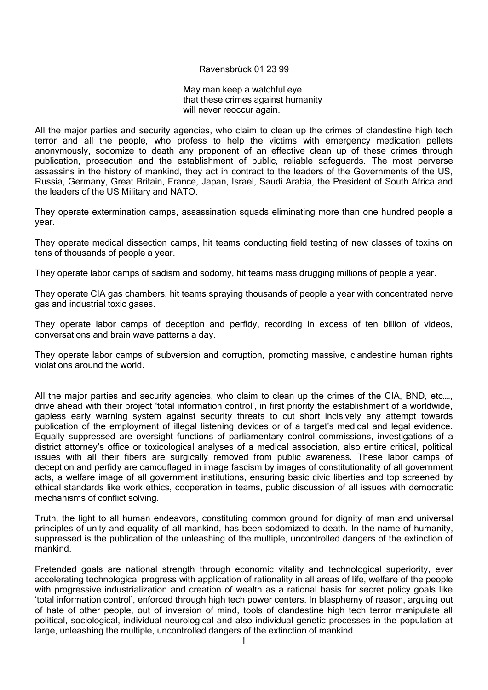### Ravensbrück 01 23 99

May man keep a watchful eye that these crimes against humanity will never reoccur again.

All the major parties and security agencies, who claim to clean up the crimes of clandestine high tech terror and all the people, who profess to help the victims with emergency medication pellets anonymously, sodomize to death any proponent of an effective clean up of these crimes through publication, prosecution and the establishment of public, reliable safeguards. The most perverse assassins in the history of mankind, they act in contract to the leaders of the Governments of the US, Russia, Germany, Great Britain, France, Japan, Israel, Saudi Arabia, the President of South Africa and the leaders of the US Military and NATO.

They operate extermination camps, assassination squads eliminating more than one hundred people a year.

They operate medical dissection camps, hit teams conducting field testing of new classes of toxins on tens of thousands of people a year.

They operate labor camps of sadism and sodomy, hit teams mass drugging millions of people a year.

They operate CIA gas chambers, hit teams spraying thousands of people a year with concentrated nerve gas and industrial toxic gases.

They operate labor camps of deception and perfidy, recording in excess of ten billion of videos, conversations and brain wave patterns a day.

They operate labor camps of subversion and corruption, promoting massive, clandestine human rights violations around the world.

All the major parties and security agencies, who claim to clean up the crimes of the CIA, BND, etc...., drive ahead with their project 'total information control', in first priority the establishment of a worldwide, gapless early warning system against security threats to cut short incisively any attempt towards publication of the employment of illegal listening devices or of a target's medical and legal evidence. Equally suppressed are oversight functions of parliamentary control commissions, investigations of a district attorney's office or toxicological analyses of a medical association, also entire critical, political issues with all their fibers are surgically removed from public awareness. These labor camps of deception and perfidy are camouflaged in image fascism by images of constitutionality of all government acts, a welfare image of all government institutions, ensuring basic civic liberties and top screened by ethical standards like work ethics, cooperation in teams, public discussion of all issues with democratic mechanisms of conflict solving.

Truth, the light to all human endeavors, constituting common ground for dignity of man and universal principles of unity and equality of all mankind, has been sodomized to death. In the name of humanity, suppressed is the publication of the unleashing of the multiple, uncontrolled dangers of the extinction of mankind.

Pretended goals are national strength through economic vitality and technological superiority, ever accelerating technological progress with application of rationality in all areas of life, welfare of the people with progressive industrialization and creation of wealth as a rational basis for secret policy goals like 'total information control', enforced through high tech power centers. In blasphemy of reason, arguing out of hate of other people, out of inversion of mind, tools of clandestine high tech terror manipulate all political, sociological, individual neurological and also individual genetic processes in the population at large, unleashing the multiple, uncontrolled dangers of the extinction of mankind.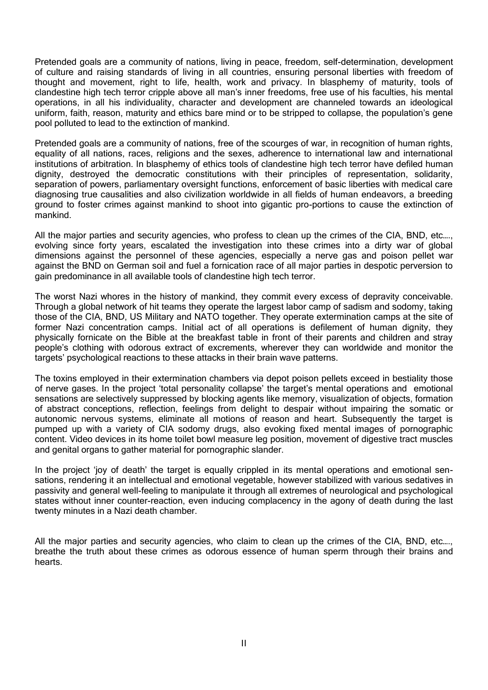Pretended goals are a community of nations, living in peace, freedom, self-determination, development of culture and raising standards of living in all countries, ensuring personal liberties with freedom of thought and movement, right to life, health, work and privacy. In blasphemy of maturity, tools of clandestine high tech terror cripple above all man's inner freedoms, free use of his faculties, his mental operations, in all his individuality, character and development are channeled towards an ideological uniform, faith, reason, maturity and ethics bare mind or to be stripped to collapse, the population's gene pool polluted to lead to the extinction of mankind.

Pretended goals are a community of nations, free of the scourges of war, in recognition of human rights, equality of all nations, races, religions and the sexes, adherence to international law and international institutions of arbitration. In blasphemy of ethics tools of clandestine high tech terror have defiled human dignity, destroyed the democratic constitutions with their principles of representation, solidarity, separation of powers, parliamentary oversight functions, enforcement of basic liberties with medical care diagnosing true causalities and also civilization worldwide in all fields of human endeavors, a breeding ground to foster crimes against mankind to shoot into gigantic pro-portions to cause the extinction of mankind.

All the major parties and security agencies, who profess to clean up the crimes of the CIA, BND, etc…., evolving since forty years, escalated the investigation into these crimes into a dirty war of global dimensions against the personnel of these agencies, especially a nerve gas and poison pellet war against the BND on German soil and fuel a fornication race of all major parties in despotic perversion to gain predominance in all available tools of clandestine high tech terror.

The worst Nazi whores in the history of mankind, they commit every excess of depravity conceivable. Through a global network of hit teams they operate the largest labor camp of sadism and sodomy, taking those of the CIA, BND, US Military and NATO together. They operate extermination camps at the site of former Nazi concentration camps. Initial act of all operations is defilement of human dignity, they physically fornicate on the Bible at the breakfast table in front of their parents and children and stray people's clothing with odorous extract of excrements, wherever they can worldwide and monitor the targets' psychological reactions to these attacks in their brain wave patterns.

The toxins employed in their extermination chambers via depot poison pellets exceed in bestiality those of nerve gases. In the project 'total personality collapse' the target's mental operations and emotional sensations are selectively suppressed by blocking agents like memory, visualization of objects, formation of abstract conceptions, reflection, feelings from delight to despair without impairing the somatic or autonomic nervous systems, eliminate all motions of reason and heart. Subsequently the target is pumped up with a variety of CIA sodomy drugs, also evoking fixed mental images of pornographic content. Video devices in its home toilet bowl measure leg position, movement of digestive tract muscles and genital organs to gather material for pornographic slander.

In the project 'joy of death' the target is equally crippled in its mental operations and emotional sensations, rendering it an intellectual and emotional vegetable, however stabilized with various sedatives in passivity and general well-feeling to manipulate it through all extremes of neurological and psychological states without inner counter-reaction, even inducing complacency in the agony of death during the last twenty minutes in a Nazi death chamber.

All the major parties and security agencies, who claim to clean up the crimes of the CIA, BND, etc…., breathe the truth about these crimes as odorous essence of human sperm through their brains and hearts.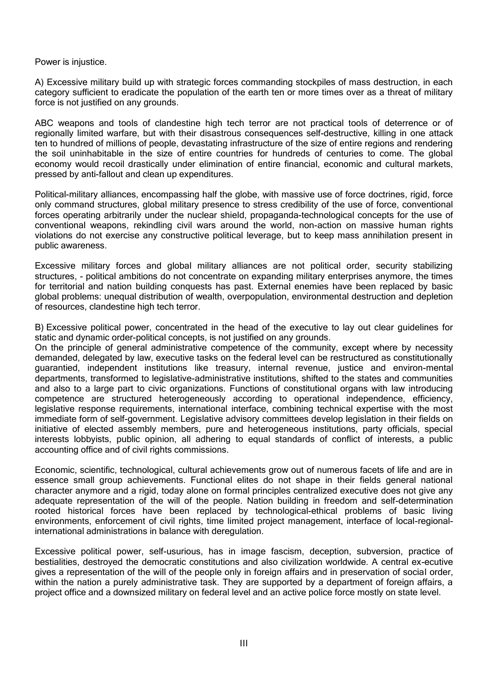Power is injustice.

A) Excessive military build up with strategic forces commanding stockpiles of mass destruction, in each category sufficient to eradicate the population of the earth ten or more times over as a threat of military force is not justified on any grounds.

ABC weapons and tools of clandestine high tech terror are not practical tools of deterrence or of regionally limited warfare, but with their disastrous consequences self-destructive, killing in one attack ten to hundred of millions of people, devastating infrastructure of the size of entire regions and rendering the soil uninhabitable in the size of entire countries for hundreds of centuries to come. The global economy would recoil drastically under elimination of entire financial, economic and cultural markets, pressed by anti-fallout and clean up expenditures.

Political-military alliances, encompassing half the globe, with massive use of force doctrines, rigid, force only command structures, global military presence to stress credibility of the use of force, conventional forces operating arbitrarily under the nuclear shield, propaganda-technological concepts for the use of conventional weapons, rekindling civil wars around the world, non-action on massive human rights violations do not exercise any constructive political leverage, but to keep mass annihilation present in public awareness.

Excessive military forces and global military alliances are not political order, security stabilizing structures, - political ambitions do not concentrate on expanding military enterprises anymore, the times for territorial and nation building conquests has past. External enemies have been replaced by basic global problems: unequal distribution of wealth, overpopulation, environmental destruction and depletion of resources, clandestine high tech terror.

B) Excessive political power, concentrated in the head of the executive to lay out clear guidelines for static and dynamic order-political concepts, is not justified on any grounds.

On the principle of general administrative competence of the community, except where by necessity demanded, delegated by law, executive tasks on the federal level can be restructured as constitutionally guarantied, independent institutions like treasury, internal revenue, justice and environ-mental departments, transformed to legislative-administrative institutions, shifted to the states and communities and also to a large part to civic organizations. Functions of constitutional organs with law introducing competence are structured heterogeneously according to operational independence, efficiency, legislative response requirements, international interface, combining technical expertise with the most immediate form of self-government. Legislative advisory committees develop legislation in their fields on initiative of elected assembly members, pure and heterogeneous institutions, party officials, special interests lobbyists, public opinion, all adhering to equal standards of conflict of interests, a public accounting office and of civil rights commissions.

Economic, scientific, technological, cultural achievements grow out of numerous facets of life and are in essence small group achievements. Functional elites do not shape in their fields general national character anymore and a rigid, today alone on formal principles centralized executive does not give any adequate representation of the will of the people. Nation building in freedom and self-determination rooted historical forces have been replaced by technological-ethical problems of basic living environments, enforcement of civil rights, time limited project management, interface of local-regionalinternational administrations in balance with deregulation.

Excessive political power, self-usurious, has in image fascism, deception, subversion, practice of bestialities, destroyed the democratic constitutions and also civilization worldwide. A central ex-ecutive gives a representation of the will of the people only in foreign affairs and in preservation of social order, within the nation a purely administrative task. They are supported by a department of foreign affairs, a project office and a downsized military on federal level and an active police force mostly on state level.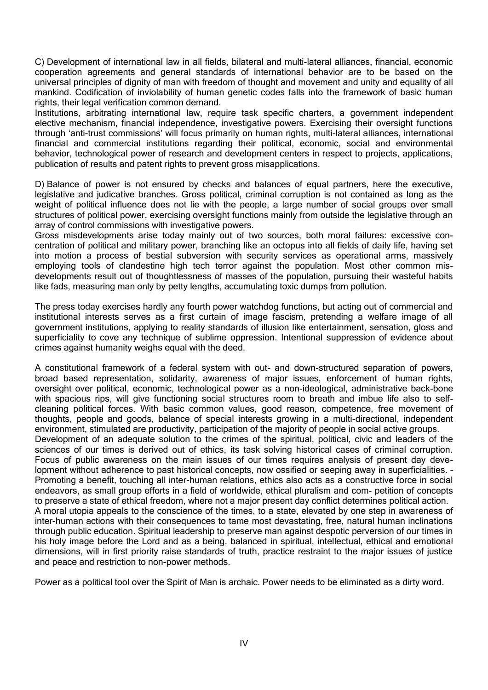C) Development of international law in all fields, bilateral and multi-lateral alliances, financial, economic cooperation agreements and general standards of international behavior are to be based on the universal principles of dignity of man with freedom of thought and movement and unity and equality of all mankind. Codification of inviolability of human genetic codes falls into the framework of basic human rights, their legal verification common demand.

Institutions, arbitrating international law, require task specific charters, a government independent elective mechanism, financial independence, investigative powers. Exercising their oversight functions through 'anti-trust commissions' will focus primarily on human rights, multi-lateral alliances, international financial and commercial institutions regarding their political, economic, social and environmental behavior, technological power of research and development centers in respect to projects, applications, publication of results and patent rights to prevent gross misapplications.

D) Balance of power is not ensured by checks and balances of equal partners, here the executive, legislative and judicative branches. Gross political, criminal corruption is not contained as long as the weight of political influence does not lie with the people, a large number of social groups over small structures of political power, exercising oversight functions mainly from outside the legislative through an array of control commissions with investigative powers.

Gross misdevelopments arise today mainly out of two sources, both moral failures: excessive concentration of political and military power, branching like an octopus into all fields of daily life, having set into motion a process of bestial subversion with security services as operational arms, massively employing tools of clandestine high tech terror against the population. Most other common misdevelopments result out of thoughtlessness of masses of the population, pursuing their wasteful habits like fads, measuring man only by petty lengths, accumulating toxic dumps from pollution.

The press today exercises hardly any fourth power watchdog functions, but acting out of commercial and institutional interests serves as a first curtain of image fascism, pretending a welfare image of all government institutions, applying to reality standards of illusion like entertainment, sensation, gloss and superficiality to cove any technique of sublime oppression. Intentional suppression of evidence about crimes against humanity weighs equal with the deed.

A constitutional framework of a federal system with out- and down-structured separation of powers, broad based representation, solidarity, awareness of major issues, enforcement of human rights, oversight over political, economic, technological power as a non-ideological, administrative back-bone with spacious rips, will give functioning social structures room to breath and imbue life also to selfcleaning political forces. With basic common values, good reason, competence, free movement of thoughts, people and goods, balance of special interests growing in a multi-directional, independent environment, stimulated are productivity, participation of the majority of people in social active groups. Development of an adequate solution to the crimes of the spiritual, political, civic and leaders of the sciences of our times is derived out of ethics, its task solving historical cases of criminal corruption. Focus of public awareness on the main issues of our times requires analysis of present day development without adherence to past historical concepts, now ossified or seeping away in superficialities. – Promoting a benefit, touching all inter-human relations, ethics also acts as a constructive force in social endeavors, as small group efforts in a field of worldwide, ethical pluralism and com- petition of concepts to preserve a state of ethical freedom, where not a major present day conflict determines political action. A moral utopia appeals to the conscience of the times, to a state, elevated by one step in awareness of inter-human actions with their consequences to tame most devastating, free, natural human inclinations through public education. Spiritual leadership to preserve man against despotic perversion of our times in his holy image before the Lord and as a being, balanced in spiritual, intellectual, ethical and emotional dimensions, will in first priority raise standards of truth, practice restraint to the major issues of justice and peace and restriction to non-power methods.

Power as a political tool over the Spirit of Man is archaic. Power needs to be eliminated as a dirty word.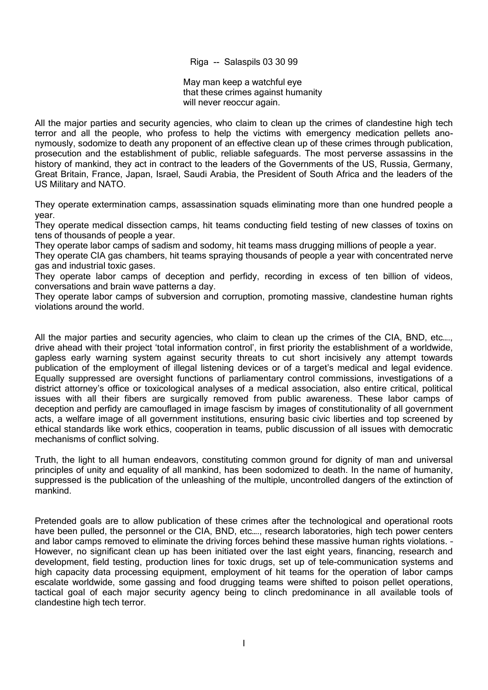Riga -- Salaspils 03 30 99

May man keep a watchful eye that these crimes against humanity will never reoccur again.

All the major parties and security agencies, who claim to clean up the crimes of clandestine high tech terror and all the people, who profess to help the victims with emergency medication pellets anonymously, sodomize to death any proponent of an effective clean up of these crimes through publication, prosecution and the establishment of public, reliable safeguards. The most perverse assassins in the history of mankind, they act in contract to the leaders of the Governments of the US, Russia, Germany, Great Britain, France, Japan, Israel, Saudi Arabia, the President of South Africa and the leaders of the US Military and NATO.

They operate extermination camps, assassination squads eliminating more than one hundred people a year.

They operate medical dissection camps, hit teams conducting field testing of new classes of toxins on tens of thousands of people a year.

They operate labor camps of sadism and sodomy, hit teams mass drugging millions of people a year.

They operate CIA gas chambers, hit teams spraying thousands of people a year with concentrated nerve gas and industrial toxic gases.

They operate labor camps of deception and perfidy, recording in excess of ten billion of videos, conversations and brain wave patterns a day.

They operate labor camps of subversion and corruption, promoting massive, clandestine human rights violations around the world.

All the major parties and security agencies, who claim to clean up the crimes of the CIA, BND, etc...., drive ahead with their project 'total information control', in first priority the establishment of a worldwide, gapless early warning system against security threats to cut short incisively any attempt towards publication of the employment of illegal listening devices or of a target's medical and legal evidence. Equally suppressed are oversight functions of parliamentary control commissions, investigations of a district attorney's office or toxicological analyses of a medical association, also entire critical, political issues with all their fibers are surgically removed from public awareness. These labor camps of deception and perfidy are camouflaged in image fascism by images of constitutionality of all government acts, a welfare image of all government institutions, ensuring basic civic liberties and top screened by ethical standards like work ethics, cooperation in teams, public discussion of all issues with democratic mechanisms of conflict solving.

Truth, the light to all human endeavors, constituting common ground for dignity of man and universal principles of unity and equality of all mankind, has been sodomized to death. In the name of humanity, suppressed is the publication of the unleashing of the multiple, uncontrolled dangers of the extinction of mankind.

Pretended goals are to allow publication of these crimes after the technological and operational roots have been pulled, the personnel or the CIA, BND, etc…., research laboratories, high tech power centers and labor camps removed to eliminate the driving forces behind these massive human rights violations. – However, no significant clean up has been initiated over the last eight years, financing, research and development, field testing, production lines for toxic drugs, set up of tele-communication systems and high capacity data processing equipment, employment of hit teams for the operation of labor camps escalate worldwide, some gassing and food drugging teams were shifted to poison pellet operations, tactical goal of each major security agency being to clinch predominance in all available tools of clandestine high tech terror.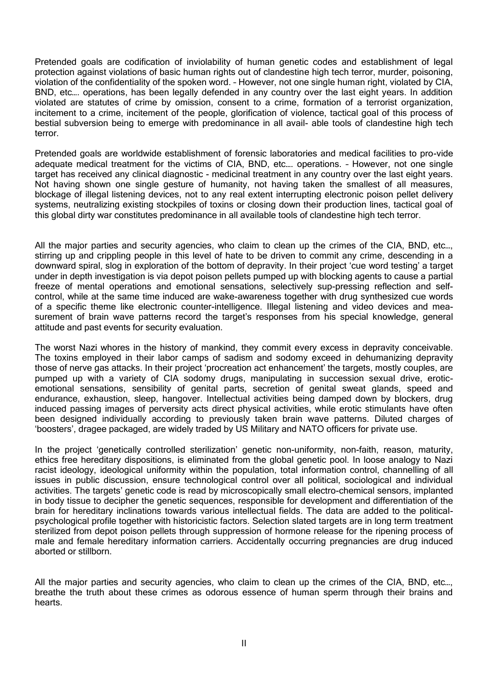Pretended goals are codification of inviolability of human genetic codes and establishment of legal protection against violations of basic human rights out of clandestine high tech terror, murder, poisoning, violation of the confidentiality of the spoken word. – However, not one single human right, violated by CIA, BND, etc…. operations, has been legally defended in any country over the last eight years. In addition violated are statutes of crime by omission, consent to a crime, formation of a terrorist organization, incitement to a crime, incitement of the people, glorification of violence, tactical goal of this process of bestial subversion being to emerge with predominance in all avail- able tools of clandestine high tech terror.

Pretended goals are worldwide establishment of forensic laboratories and medical facilities to pro-vide adequate medical treatment for the victims of CIA, BND, etc…. operations. – However, not one single target has received any clinical diagnostic - medicinal treatment in any country over the last eight years. Not having shown one single gesture of humanity, not having taken the smallest of all measures, blockage of illegal listening devices, not to any real extent interrupting electronic poison pellet delivery systems, neutralizing existing stockpiles of toxins or closing down their production lines, tactical goal of this global dirty war constitutes predominance in all available tools of clandestine high tech terror.

All the major parties and security agencies, who claim to clean up the crimes of the CIA, BND, etc…, stirring up and crippling people in this level of hate to be driven to commit any crime, descending in a downward spiral, slog in exploration of the bottom of depravity. In their project 'cue word testing' a target under in depth investigation is via depot poison pellets pumped up with blocking agents to cause a partial freeze of mental operations and emotional sensations, selectively sup-pressing reflection and selfcontrol, while at the same time induced are wake-awareness together with drug synthesized cue words of a specific theme like electronic counter-intelligence. Illegal listening and video devices and measurement of brain wave patterns record the target's responses from his special knowledge, general attitude and past events for security evaluation.

The worst Nazi whores in the history of mankind, they commit every excess in depravity conceivable. The toxins employed in their labor camps of sadism and sodomy exceed in dehumanizing depravity those of nerve gas attacks. In their project 'procreation act enhancement' the targets, mostly couples, are pumped up with a variety of CIA sodomy drugs, manipulating in succession sexual drive, eroticemotional sensations, sensibility of genital parts, secretion of genital sweat glands, speed and endurance, exhaustion, sleep, hangover. Intellectual activities being damped down by blockers, drug induced passing images of perversity acts direct physical activities, while erotic stimulants have often been designed individually according to previously taken brain wave patterns. Diluted charges of 'boosters', dragee packaged, are widely traded by US Military and NATO officers for private use.

In the project 'genetically controlled sterilization' genetic non-uniformity, non-faith, reason, maturity, ethics free hereditary dispositions, is eliminated from the global genetic pool. In loose analogy to Nazi racist ideology, ideological uniformity within the population, total information control, channelling of all issues in public discussion, ensure technological control over all political, sociological and individual activities. The targets' genetic code is read by microscopically small electro-chemical sensors, implanted in body tissue to decipher the genetic sequences, responsible for development and differentiation of the brain for hereditary inclinations towards various intellectual fields. The data are added to the politicalpsychological profile together with historicistic factors. Selection slated targets are in long term treatment sterilized from depot poison pellets through suppression of hormone release for the ripening process of male and female hereditary information carriers. Accidentally occurring pregnancies are drug induced aborted or stillborn.

All the major parties and security agencies, who claim to clean up the crimes of the CIA, BND, etc…, breathe the truth about these crimes as odorous essence of human sperm through their brains and hearts.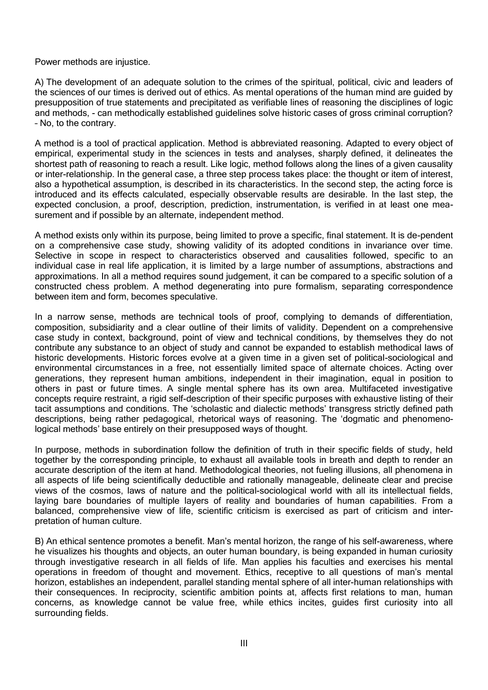Power methods are injustice.

A) The development of an adequate solution to the crimes of the spiritual, political, civic and leaders of the sciences of our times is derived out of ethics. As mental operations of the human mind are guided by presupposition of true statements and precipitated as verifiable lines of reasoning the disciplines of logic and methods, - can methodically established guidelines solve historic cases of gross criminal corruption? – No, to the contrary.

A method is a tool of practical application. Method is abbreviated reasoning. Adapted to every object of empirical, experimental study in the sciences in tests and analyses, sharply defined, it delineates the shortest path of reasoning to reach a result. Like logic, method follows along the lines of a given causality or inter-relationship. In the general case, a three step process takes place: the thought or item of interest, also a hypothetical assumption, is described in its characteristics. In the second step, the acting force is introduced and its effects calculated, especially observable results are desirable. In the last step, the expected conclusion, a proof, description, prediction, instrumentation, is verified in at least one measurement and if possible by an alternate, independent method.

A method exists only within its purpose, being limited to prove a specific, final statement. It is de-pendent on a comprehensive case study, showing validity of its adopted conditions in invariance over time. Selective in scope in respect to characteristics observed and causalities followed, specific to an individual case in real life application, it is limited by a large number of assumptions, abstractions and approximations. In all a method requires sound judgement, it can be compared to a specific solution of a constructed chess problem. A method degenerating into pure formalism, separating correspondence between item and form, becomes speculative.

In a narrow sense, methods are technical tools of proof, complying to demands of differentiation, composition, subsidiarity and a clear outline of their limits of validity. Dependent on a comprehensive case study in context, background, point of view and technical conditions, by themselves they do not contribute any substance to an object of study and cannot be expanded to establish methodical laws of historic developments. Historic forces evolve at a given time in a given set of political-sociological and environmental circumstances in a free, not essentially limited space of alternate choices. Acting over generations, they represent human ambitions, independent in their imagination, equal in position to others in past or future times. A single mental sphere has its own area. Multifaceted investigative concepts require restraint, a rigid self-description of their specific purposes with exhaustive listing of their tacit assumptions and conditions. The 'scholastic and dialectic methods' transgress strictly defined path descriptions, being rather pedagogical, rhetorical ways of reasoning. The 'dogmatic and phenomenological methods' base entirely on their presupposed ways of thought.

In purpose, methods in subordination follow the definition of truth in their specific fields of study, held together by the corresponding principle, to exhaust all available tools in breath and depth to render an accurate description of the item at hand. Methodological theories, not fueling illusions, all phenomena in all aspects of life being scientifically deductible and rationally manageable, delineate clear and precise views of the cosmos, laws of nature and the political-sociological world with all its intellectual fields, laying bare boundaries of multiple layers of reality and boundaries of human capabilities. From a balanced, comprehensive view of life, scientific criticism is exercised as part of criticism and interpretation of human culture.

B) An ethical sentence promotes a benefit. Man's mental horizon, the range of his self-awareness, where he visualizes his thoughts and objects, an outer human boundary, is being expanded in human curiosity through investigative research in all fields of life. Man applies his faculties and exercises his mental operations in freedom of thought and movement. Ethics, receptive to all questions of man's mental horizon, establishes an independent, parallel standing mental sphere of all inter-human relationships with their consequences. In reciprocity, scientific ambition points at, affects first relations to man, human concerns, as knowledge cannot be value free, while ethics incites, guides first curiosity into all surrounding fields.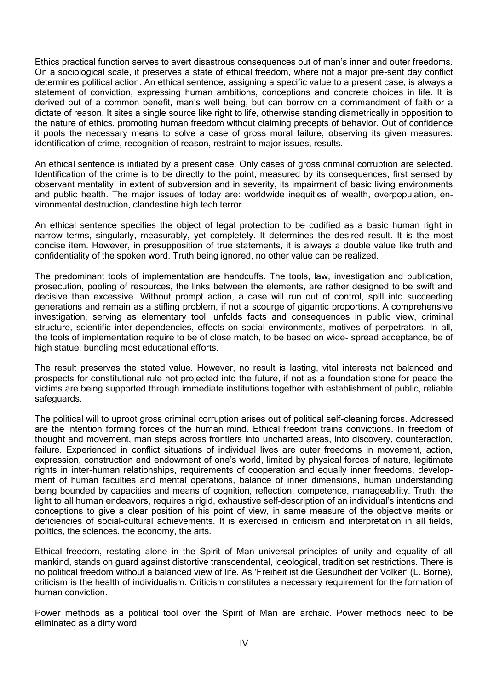Ethics practical function serves to avert disastrous consequences out of man's inner and outer freedoms. On a sociological scale, it preserves a state of ethical freedom, where not a major pre-sent day conflict determines political action. An ethical sentence, assigning a specific value to a present case, is always a statement of conviction, expressing human ambitions, conceptions and concrete choices in life. It is derived out of a common benefit, man's well being, but can borrow on a commandment of faith or a dictate of reason. It sites a single source like right to life, otherwise standing diametrically in opposition to the nature of ethics, promoting human freedom without claiming precepts of behavior. Out of confidence it pools the necessary means to solve a case of gross moral failure, observing its given measures: identification of crime, recognition of reason, restraint to major issues, results.

An ethical sentence is initiated by a present case. Only cases of gross criminal corruption are selected. Identification of the crime is to be directly to the point, measured by its consequences, first sensed by observant mentality, in extent of subversion and in severity, its impairment of basic living environments and public health. The major issues of today are: worldwide inequities of wealth, overpopulation, environmental destruction, clandestine high tech terror.

An ethical sentence specifies the object of legal protection to be codified as a basic human right in narrow terms, singularly, measurably, yet completely. It determines the desired result. It is the most concise item. However, in presupposition of true statements, it is always a double value like truth and confidentiality of the spoken word. Truth being ignored, no other value can be realized.

The predominant tools of implementation are handcuffs. The tools, law, investigation and publication, prosecution, pooling of resources, the links between the elements, are rather designed to be swift and decisive than excessive. Without prompt action, a case will run out of control, spill into succeeding generations and remain as a stifling problem, if not a scourge of gigantic proportions. A comprehensive investigation, serving as elementary tool, unfolds facts and consequences in public view, criminal structure, scientific inter-dependencies, effects on social environments, motives of perpetrators. In all, the tools of implementation require to be of close match, to be based on wide- spread acceptance, be of high statue, bundling most educational efforts.

The result preserves the stated value. However, no result is lasting, vital interests not balanced and prospects for constitutional rule not projected into the future, if not as a foundation stone for peace the victims are being supported through immediate institutions together with establishment of public, reliable safeguards.

The political will to uproot gross criminal corruption arises out of political self-cleaning forces. Addressed are the intention forming forces of the human mind. Ethical freedom trains convictions. In freedom of thought and movement, man steps across frontiers into uncharted areas, into discovery, counteraction, failure. Experienced in conflict situations of individual lives are outer freedoms in movement, action, expression, construction and endowment of one's world, limited by physical forces of nature, legitimate rights in inter-human relationships, requirements of cooperation and equally inner freedoms, development of human faculties and mental operations, balance of inner dimensions, human understanding being bounded by capacities and means of cognition, reflection, competence, manageability. Truth, the light to all human endeavors, requires a rigid, exhaustive self-description of an individual's intentions and conceptions to give a clear position of his point of view, in same measure of the objective merits or deficiencies of social-cultural achievements. It is exercised in criticism and interpretation in all fields, politics, the sciences, the economy, the arts.

Ethical freedom, restating alone in the Spirit of Man universal principles of unity and equality of all mankind, stands on guard against distortive transcendental, ideological, tradition set restrictions. There is no political freedom without a balanced view of life. As 'Freiheit ist die Gesundheit der Völker' (L. Börne), criticism is the health of individualism. Criticism constitutes a necessary requirement for the formation of human conviction.

Power methods as a political tool over the Spirit of Man are archaic. Power methods need to be eliminated as a dirty word.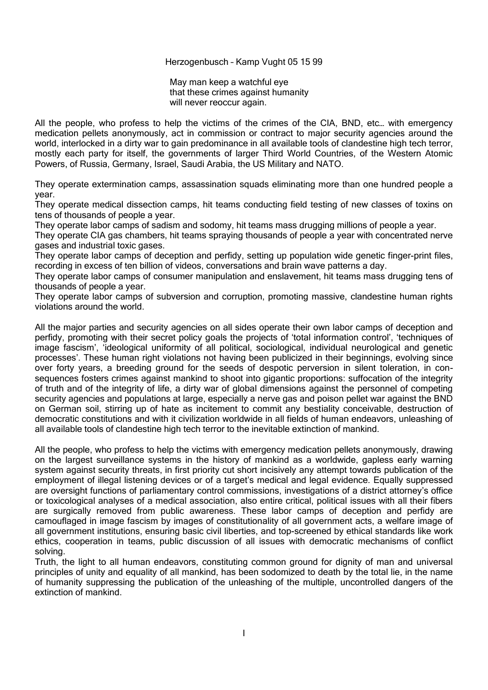#### Herzogenbusch – Kamp Vught 05 15 99

May man keep a watchful eye that these crimes against humanity will never reoccur again.

All the people, who profess to help the victims of the crimes of the CIA, BND, etc… with emergency medication pellets anonymously, act in commission or contract to major security agencies around the world, interlocked in a dirty war to gain predominance in all available tools of clandestine high tech terror, mostly each party for itself, the governments of larger Third World Countries, of the Western Atomic Powers, of Russia, Germany, Israel, Saudi Arabia, the US Military and NATO.

They operate extermination camps, assassination squads eliminating more than one hundred people a year.

They operate medical dissection camps, hit teams conducting field testing of new classes of toxins on tens of thousands of people a year.

They operate labor camps of sadism and sodomy, hit teams mass drugging millions of people a year.

They operate CIA gas chambers, hit teams spraying thousands of people a year with concentrated nerve gases and industrial toxic gases.

They operate labor camps of deception and perfidy, setting up population wide genetic finger-print files, recording in excess of ten billion of videos, conversations and brain wave patterns a day.

They operate labor camps of consumer manipulation and enslavement, hit teams mass drugging tens of thousands of people a year.

They operate labor camps of subversion and corruption, promoting massive, clandestine human rights violations around the world.

All the major parties and security agencies on all sides operate their own labor camps of deception and perfidy, promoting with their secret policy goals the projects of 'total information control', 'techniques of image fascism', 'ideological uniformity of all political, sociological, individual neurological and genetic processes'. These human right violations not having been publicized in their beginnings, evolving since over forty years, a breeding ground for the seeds of despotic perversion in silent toleration, in consequences fosters crimes against mankind to shoot into gigantic proportions: suffocation of the integrity of truth and of the integrity of life, a dirty war of global dimensions against the personnel of competing security agencies and populations at large, especially a nerve gas and poison pellet war against the BND on German soil, stirring up of hate as incitement to commit any bestiality conceivable, destruction of democratic constitutions and with it civilization worldwide in all fields of human endeavors, unleashing of all available tools of clandestine high tech terror to the inevitable extinction of mankind.

All the people, who profess to help the victims with emergency medication pellets anonymously, drawing on the largest surveillance systems in the history of mankind as a worldwide, gapless early warning system against security threats, in first priority cut short incisively any attempt towards publication of the employment of illegal listening devices or of a target's medical and legal evidence. Equally suppressed are oversight functions of parliamentary control commissions, investigations of a district attorney's office or toxicological analyses of a medical association, also entire critical, political issues with all their fibers are surgically removed from public awareness. These labor camps of deception and perfidy are camouflaged in image fascism by images of constitutionality of all government acts, a welfare image of all government institutions, ensuring basic civil liberties, and top-screened by ethical standards like work ethics, cooperation in teams, public discussion of all issues with democratic mechanisms of conflict solving.

Truth, the light to all human endeavors, constituting common ground for dignity of man and universal principles of unity and equality of all mankind, has been sodomized to death by the total lie, in the name of humanity suppressing the publication of the unleashing of the multiple, uncontrolled dangers of the extinction of mankind.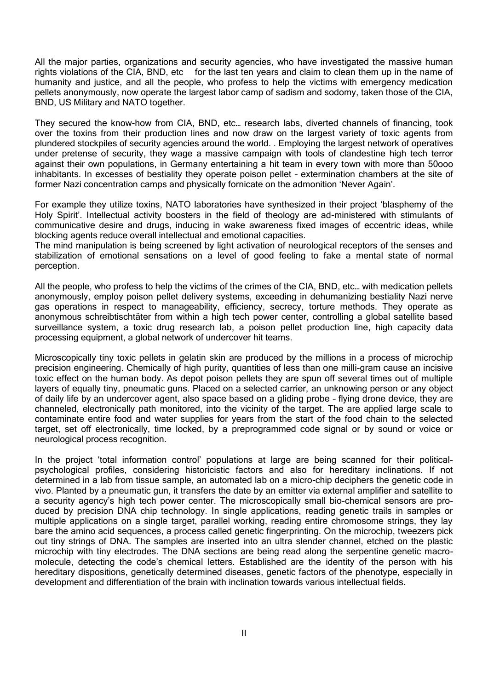All the major parties, organizations and security agencies, who have investigated the massive human rights violations of the CIA, BND, etc for the last ten years and claim to clean them up in the name of humanity and justice, and all the people, who profess to help the victims with emergency medication pellets anonymously, now operate the largest labor camp of sadism and sodomy, taken those of the CIA, BND, US Military and NATO together.

They secured the know-how from CIA, BND, etc… research labs, diverted channels of financing, took over the toxins from their production lines and now draw on the largest variety of toxic agents from plundered stockpiles of security agencies around the world. . Employing the largest network of operatives under pretense of security, they wage a massive campaign with tools of clandestine high tech terror against their own populations, in Germany entertaining a hit team in every town with more than 50ooo inhabitants. In excesses of bestiality they operate poison pellet – extermination chambers at the site of former Nazi concentration camps and physically fornicate on the admonition 'Never Again'.

For example they utilize toxins, NATO laboratories have synthesized in their project 'blasphemy of the Holy Spirit'. Intellectual activity boosters in the field of theology are ad-ministered with stimulants of communicative desire and drugs, inducing in wake awareness fixed images of eccentric ideas, while blocking agents reduce overall intellectual and emotional capacities.

The mind manipulation is being screened by light activation of neurological receptors of the senses and stabilization of emotional sensations on a level of good feeling to fake a mental state of normal perception.

All the people, who profess to help the victims of the crimes of the CIA, BND, etc… with medication pellets anonymously, employ poison pellet delivery systems, exceeding in dehumanizing bestiality Nazi nerve gas operations in respect to manageability, efficiency, secrecy, torture methods. They operate as anonymous schreibtischtäter from within a high tech power center, controlling a global satellite based surveillance system, a toxic drug research lab, a poison pellet production line, high capacity data processing equipment, a global network of undercover hit teams.

Microscopically tiny toxic pellets in gelatin skin are produced by the millions in a process of microchip precision engineering. Chemically of high purity, quantities of less than one milli-gram cause an incisive toxic effect on the human body. As depot poison pellets they are spun off several times out of multiple layers of equally tiny, pneumatic guns. Placed on a selected carrier, an unknowing person or any object of daily life by an undercover agent, also space based on a gliding probe – flying drone device, they are channeled, electronically path monitored, into the vicinity of the target. The are applied large scale to contaminate entire food and water supplies for years from the start of the food chain to the selected target, set off electronically, time locked, by a preprogrammed code signal or by sound or voice or neurological process recognition.

In the project 'total information control' populations at large are being scanned for their politicalpsychological profiles, considering historicistic factors and also for hereditary inclinations. If not determined in a lab from tissue sample, an automated lab on a micro-chip deciphers the genetic code in vivo. Planted by a pneumatic gun, it transfers the date by an emitter via external amplifier and satellite to a security agency's high tech power center. The microscopically small bio-chemical sensors are produced by precision DNA chip technology. In single applications, reading genetic trails in samples or multiple applications on a single target, parallel working, reading entire chromosome strings, they lay bare the amino acid sequences, a process called genetic fingerprinting. On the microchip, tweezers pick out tiny strings of DNA. The samples are inserted into an ultra slender channel, etched on the plastic microchip with tiny electrodes. The DNA sections are being read along the serpentine genetic macromolecule, detecting the code's chemical letters. Established are the identity of the person with his hereditary dispositions, genetically determined diseases, genetic factors of the phenotype, especially in development and differentiation of the brain with inclination towards various intellectual fields.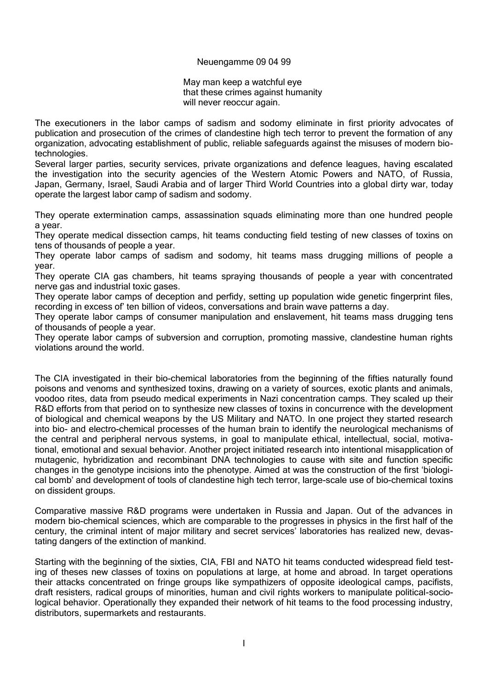## Neuengamme 09 04 99

May man keep a watchful eye that these crimes against humanity will never reoccur again.

The executioners in the labor camps of sadism and sodomy eliminate in first priority advocates of publication and prosecution of the crimes of clandestine high tech terror to prevent the formation of any organization, advocating establishment of public, reliable safeguards against the misuses of modern biotechnologies.

Several larger parties, security services, private organizations and defence leagues, having escalated the investigation into the security agencies of the Western Atomic Powers and NATO, of Russia, Japan, Germany, Israel, Saudi Arabia and of larger Third World Countries into a global dirty war, today operate the largest labor camp of sadism and sodomy.

They operate extermination camps, assassination squads eliminating more than one hundred people a year.

They operate medical dissection camps, hit teams conducting field testing of new classes of toxins on tens of thousands of people a year.

They operate labor camps of sadism and sodomy, hit teams mass drugging millions of people a year.

They operate CIA gas chambers, hit teams spraying thousands of people a year with concentrated nerve gas and industrial toxic gases.

They operate labor camps of deception and perfidy, setting up population wide genetic fingerprint files, recording in excess of' ten billion of videos, conversations and brain wave patterns a day.

They operate labor camps of consumer manipulation and enslavement, hit teams mass drugging tens of thousands of people a year.

They operate labor camps of subversion and corruption, promoting massive, clandestine human rights violations around the world.

The CIA investigated in their bio-chemical laboratories from the beginning of the fifties naturally found poisons and venoms and synthesized toxins, drawing on a variety of sources, exotic plants and animals, voodoo rites, data from pseudo medical experiments in Nazi concentration camps. They scaled up their R&D efforts from that period on to synthesize new classes of toxins in concurrence with the development of biological and chemical weapons by the US Military and NATO. In one project they started research into bio- and electro-chemical processes of the human brain to identify the neurological mechanisms of the central and peripheral nervous systems, in goal to manipulate ethical, intellectual, social, motivational, emotional and sexual behavior. Another project initiated research into intentional misapplication of mutagenic, hybridization and recombinant DNA technologies to cause with site and function specific changes in the genotype incisions into the phenotype. Aimed at was the construction of the first 'biological bomb' and development of tools of clandestine high tech terror, large-scale use of bio-chemical toxins on dissident groups.

Comparative massive R&D programs were undertaken in Russia and Japan. Out of the advances in modern bio-chemical sciences, which are comparable to the progresses in physics in the first half of the century, the criminal intent of major military and secret services' laboratories has realized new, devastating dangers of the extinction of mankind.

Starting with the beginning of the sixties, CIA, FBI and NATO hit teams conducted widespread field testing of theses new classes of toxins on populations at large, at home and abroad. In target operations their attacks concentrated on fringe groups like sympathizers of opposite ideological camps, pacifists, draft resisters, radical groups of minorities, human and civil rights workers to manipulate political-sociological behavior. Operationally they expanded their network of hit teams to the food processing industry, distributors, supermarkets and restaurants.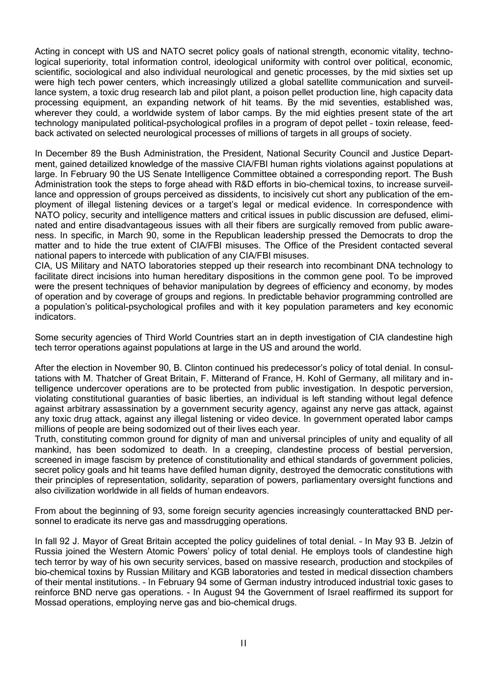Acting in concept with US and NATO secret policy goals of national strength, economic vitality, technological superiority, total information control, ideological uniformity with control over political, economic, scientific, sociological and also individual neurological and genetic processes, by the mid sixties set up were high tech power centers, which increasingly utilized a global satellite communication and surveillance system, a toxic drug research lab and pilot plant, a poison pellet production line, high capacity data processing equipment, an expanding network of hit teams. By the mid seventies, established was, wherever they could, a worldwide system of labor camps. By the mid eighties present state of the art technology manipulated political-psychological profiles in a program of depot pellet – toxin release, feedback activated on selected neurological processes of millions of targets in all groups of society.

In December 89 the Bush Administration, the President, National Security Council and Justice Department, gained detailized knowledge of the massive CIA/FBI human rights violations against populations at large. In February 90 the US Senate Intelligence Committee obtained a corresponding report. The Bush Administration took the steps to forge ahead with R&D efforts in bio-chemical toxins, to increase surveillance and oppression of groups perceived as dissidents, to incisively cut short any publication of the employment of illegal listening devices or a target's legal or medical evidence. In correspondence with NATO policy, security and intelligence matters and critical issues in public discussion are defused, eliminated and entire disadvantageous issues with all their fibers are surgically removed from public awareness. In specific, in March 90, some in the Republican leadership pressed the Democrats to drop the matter and to hide the true extent of CIA/FBI misuses. The Office of the President contacted several national papers to intercede with publication of any CIA/FBI misuses.

CIA, US Military and NATO laboratories stepped up their research into recombinant DNA technology to facilitate direct incisions into human hereditary dispositions in the common gene pool. To be improved were the present techniques of behavior manipulation by degrees of efficiency and economy, by modes of operation and by coverage of groups and regions. In predictable behavior programming controlled are a population's political-psychological profiles and with it key population parameters and key economic indicators.

Some security agencies of Third World Countries start an in depth investigation of CIA clandestine high tech terror operations against populations at large in the US and around the world.

After the election in November 90, B. Clinton continued his predecessor's policy of total denial. In consultations with M. Thatcher of Great Britain, F. Mitterand of France, H. Kohl of Germany, all military and intelligence undercover operations are to be protected from public investigation. In despotic perversion, violating constitutional guaranties of basic liberties, an individual is left standing without legal defence against arbitrary assassination by a government security agency, against any nerve gas attack, against any toxic drug attack, against any illegal listening or video device. In government operated labor camps millions of people are being sodomized out of their lives each year.

Truth, constituting common ground for dignity of man and universal principles of unity and equality of all mankind, has been sodomized to death. In a creeping, clandestine process of bestial perversion, screened in image fascism by pretence of constitutionality and ethical standards of government policies, secret policy goals and hit teams have defiled human dignity, destroyed the democratic constitutions with their principles of representation, solidarity, separation of powers, parliamentary oversight functions and also civilization worldwide in all fields of human endeavors.

From about the beginning of 93, some foreign security agencies increasingly counterattacked BND personnel to eradicate its nerve gas and massdrugging operations.

In fall 92 J. Mayor of Great Britain accepted the policy guidelines of total denial. – In May 93 B. Jelzin of Russia joined the Western Atomic Powers' policy of total denial. He employs tools of clandestine high tech terror by way of his own security services, based on massive research, production and stockpiles of bio-chemical toxins by Russian Military and KGB laboratories and tested in medical dissection chambers of their mental institutions. – In February 94 some of German industry introduced industrial toxic gases to reinforce BND nerve gas operations. - In August 94 the Government of Israel reaffirmed its support for Mossad operations, employing nerve gas and bio-chemical drugs.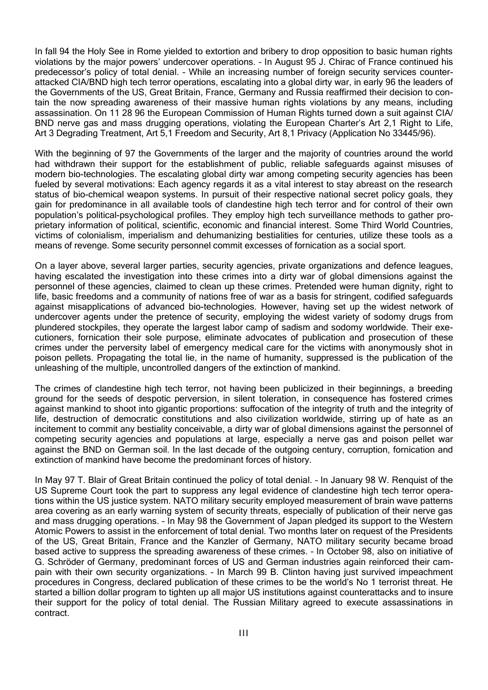In fall 94 the Holy See in Rome yielded to extortion and bribery to drop opposition to basic human rights violations by the major powers' undercover operations. – In August 95 J. Chirac of France continued his predecessor's policy of total denial. – While an increasing number of foreign security services counterattacked CIA/BND high tech terror operations, escalating into a global dirty war, in early 96 the leaders of the Governments of the US, Great Britain, France, Germany and Russia reaffirmed their decision to contain the now spreading awareness of their massive human rights violations by any means, including assassination. On 11 28 96 the European Commission of Human Rights turned down a suit against CIA/ BND nerve gas and mass drugging operations, violating the European Charter's Art 2.1 Right to Life, Art 3 Degrading Treatment, Art 5,1 Freedom and Security, Art 8,1 Privacy (Application No 33445/96).

With the beginning of 97 the Governments of the larger and the majority of countries around the world had withdrawn their support for the establishment of public, reliable safeguards against misuses of modern bio-technologies. The escalating global dirty war among competing security agencies has been fueled by several motivations: Each agency regards it as a vital interest to stay abreast on the research status of bio-chemical weapon systems. In pursuit of their respective national secret policy goals, they gain for predominance in all available tools of clandestine high tech terror and for control of their own population's political-psychological profiles. They employ high tech surveillance methods to gather proprietary information of political, scientific, economic and financial interest. Some Third World Countries, victims of colonialism, imperialism and dehumanizing bestialities for centuries, utilize these tools as a means of revenge. Some security personnel commit excesses of fornication as a social sport.

On a layer above, several larger parties, security agencies, private organizations and defence leagues, having escalated the investigation into these crimes into a dirty war of global dimensions against the personnel of these agencies, claimed to clean up these crimes. Pretended were human dignity, right to life, basic freedoms and a community of nations free of war as a basis for stringent, codified safeguards against misapplications of advanced bio-technologies. However, having set up the widest network of undercover agents under the pretence of security, employing the widest variety of sodomy drugs from plundered stockpiles, they operate the largest labor camp of sadism and sodomy worldwide. Their executioners, fornication their sole purpose, eliminate advocates of publication and prosecution of these crimes under the perversity label of emergency medical care for the victims with anonymously shot in poison pellets. Propagating the total lie, in the name of humanity, suppressed is the publication of the unleashing of the multiple, uncontrolled dangers of the extinction of mankind.

The crimes of clandestine high tech terror, not having been publicized in their beginnings, a breeding ground for the seeds of despotic perversion, in silent toleration, in consequence has fostered crimes against mankind to shoot into gigantic proportions: suffocation of the integrity of truth and the integrity of life, destruction of democratic constitutions and also civilization worldwide, stirring up of hate as an incitement to commit any bestiality conceivable, a dirty war of global dimensions against the personnel of competing security agencies and populations at large, especially a nerve gas and poison pellet war against the BND on German soil. In the last decade of the outgoing century, corruption, fornication and extinction of mankind have become the predominant forces of history.

In May 97 T. Blair of Great Britain continued the policy of total denial. – In January 98 W. Renquist of the US Supreme Court took the part to suppress any legal evidence of clandestine high tech terror operations within the US justice system. NATO military security employed measurement of brain wave patterns area covering as an early warning system of security threats, especially of publication of their nerve gas and mass drugging operations. – In May 98 the Government of Japan pledged its support to the Western Atomic Powers to assist in the enforcement of total denial. Two months later on request of the Presidents of the US, Great Britain, France and the Kanzler of Germany, NATO military security became broad based active to suppress the spreading awareness of these crimes. – In October 98, also on initiative of G. Schröder of Germany, predominant forces of US and German industries again reinforced their campain with their own security organizations. – In March 99 B. Clinton having just survived impeachment procedures in Congress, declared publication of these crimes to be the world's No 1 terrorist threat. He started a billion dollar program to tighten up all major US institutions against counterattacks and to insure their support for the policy of total denial. The Russian Military agreed to execute assassinations in contract.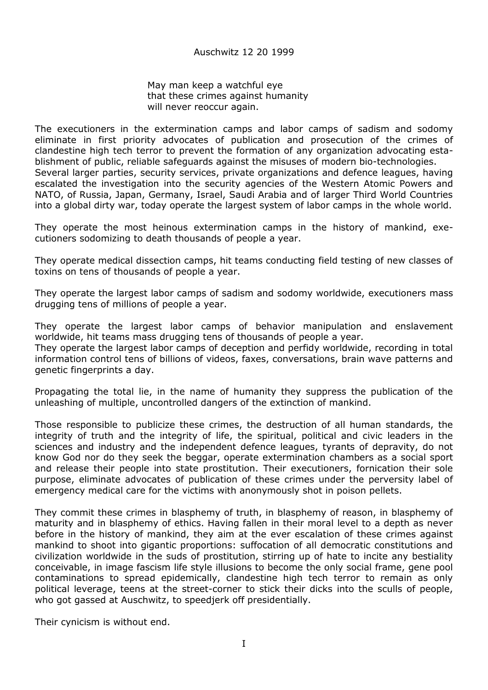May man keep a watchful eye that these crimes against humanity will never reoccur again.

The executioners in the extermination camps and labor camps of sadism and sodomy eliminate in first priority advocates of publication and prosecution of the crimes of clandestine high tech terror to prevent the formation of any organization advocating establishment of public, reliable safeguards against the misuses of modern bio-technologies. Several larger parties, security services, private organizations and defence leagues, having escalated the investigation into the security agencies of the Western Atomic Powers and NATO, of Russia, Japan, Germany, Israel, Saudi Arabia and of larger Third World Countries into a global dirty war, today operate the largest system of labor camps in the whole world.

They operate the most heinous extermination camps in the history of mankind, executioners sodomizing to death thousands of people a year.

They operate medical dissection camps, hit teams conducting field testing of new classes of toxins on tens of thousands of people a year.

They operate the largest labor camps of sadism and sodomy worldwide, executioners mass drugging tens of millions of people a year.

They operate the largest labor camps of behavior manipulation and enslavement worldwide, hit teams mass drugging tens of thousands of people a year.

They operate the largest labor camps of deception and perfidy worldwide, recording in total information control tens of billions of videos, faxes, conversations, brain wave patterns and genetic fingerprints a day.

Propagating the total lie, in the name of humanity they suppress the publication of the unleashing of multiple, uncontrolled dangers of the extinction of mankind.

Those responsible to publicize these crimes, the destruction of all human standards, the integrity of truth and the integrity of life, the spiritual, political and civic leaders in the sciences and industry and the independent defence leagues, tyrants of depravity, do not know God nor do they seek the beggar, operate extermination chambers as a social sport and release their people into state prostitution. Their executioners, fornication their sole purpose, eliminate advocates of publication of these crimes under the perversity label of emergency medical care for the victims with anonymously shot in poison pellets.

They commit these crimes in blasphemy of truth, in blasphemy of reason, in blasphemy of maturity and in blasphemy of ethics. Having fallen in their moral level to a depth as never before in the history of mankind, they aim at the ever escalation of these crimes against mankind to shoot into gigantic proportions: suffocation of all democratic constitutions and civilization worldwide in the suds of prostitution, stirring up of hate to incite any bestiality conceivable, in image fascism life style illusions to become the only social frame, gene pool contaminations to spread epidemically, clandestine high tech terror to remain as only political leverage, teens at the street-corner to stick their dicks into the sculls of people, who got gassed at Auschwitz, to speedjerk off presidentially.

Their cynicism is without end.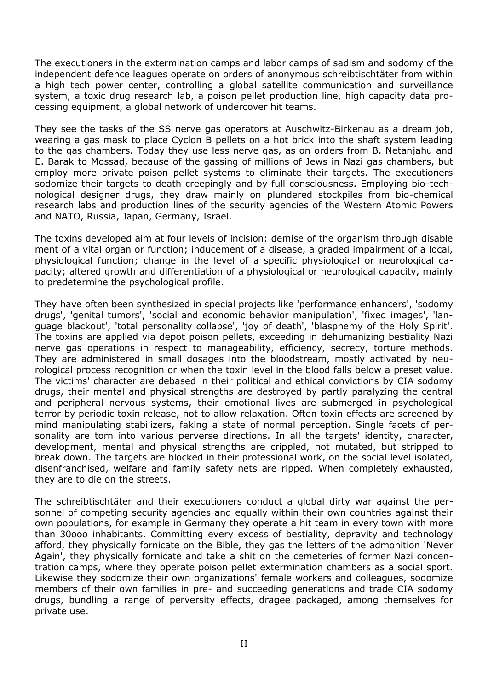The executioners in the extermination camps and labor camps of sadism and sodomy of the independent defence leagues operate on orders of anonymous schreibtischtäter from within a high tech power center, controlling a global satellite communication and surveillance system, a toxic drug research lab, a poison pellet production line, high capacity data processing equipment, a global network of undercover hit teams.

They see the tasks of the SS nerve gas operators at Auschwitz-Birkenau as a dream job, wearing a gas mask to place Cyclon B pellets on a hot brick into the shaft system leading to the gas chambers. Today they use less nerve gas, as on orders from B. Netanjahu and E. Barak to Mossad, because of the gassing of millions of Jews in Nazi gas chambers, but employ more private poison pellet systems to eliminate their targets. The executioners sodomize their targets to death creepingly and by full consciousness. Employing bio-technological designer drugs, they draw mainly on plundered stockpiles from bio-chemical research labs and production lines of the security agencies of the Western Atomic Powers and NATO, Russia, Japan, Germany, Israel.

The toxins developed aim at four levels of incision: demise of the organism through disable ment of a vital organ or function; inducement of a disease, a graded impairment of a local, physiological function; change in the level of a specific physiological or neurological capacity; altered growth and differentiation of a physiological or neurological capacity, mainly to predetermine the psychological profile.

They have often been synthesized in special projects like 'performance enhancers', 'sodomy drugs', 'genital tumors', 'social and economic behavior manipulation', 'fixed images', 'language blackout', 'total personality collapse', 'joy of death', 'blasphemy of the Holy Spirit'. The toxins are applied via depot poison pellets, exceeding in dehumanizing bestiality Nazi nerve gas operations in respect to manageability, efficiency, secrecy, torture methods. They are administered in small dosages into the bloodstream, mostly activated by neurological process recognition or when the toxin level in the blood falls below a preset value. The victims' character are debased in their political and ethical convictions by CIA sodomy drugs, their mental and physical strengths are destroyed by partly paralyzing the central and peripheral nervous systems, their emotional lives are submerged in psychological terror by periodic toxin release, not to allow relaxation. Often toxin effects are screened by mind manipulating stabilizers, faking a state of normal perception. Single facets of personality are torn into various perverse directions. In all the targets' identity, character, development, mental and physical strengths are crippled, not mutated, but stripped to break down. The targets are blocked in their professional work, on the social level isolated, disenfranchised, welfare and family safety nets are ripped. When completely exhausted, they are to die on the streets.

The schreibtischtäter and their executioners conduct a global dirty war against the personnel of competing security agencies and equally within their own countries against their own populations, for example in Germany they operate a hit team in every town with more than 30ooo inhabitants. Committing every excess of bestiality, depravity and technology afford, they physically fornicate on the Bible, they gas the letters of the admonition 'Never Again', they physically fornicate and take a shit on the cemeteries of former Nazi concentration camps, where they operate poison pellet extermination chambers as a social sport. Likewise they sodomize their own organizations' female workers and colleagues, sodomize members of their own families in pre- and succeeding generations and trade CIA sodomy drugs, bundling a range of perversity effects, dragee packaged, among themselves for private use.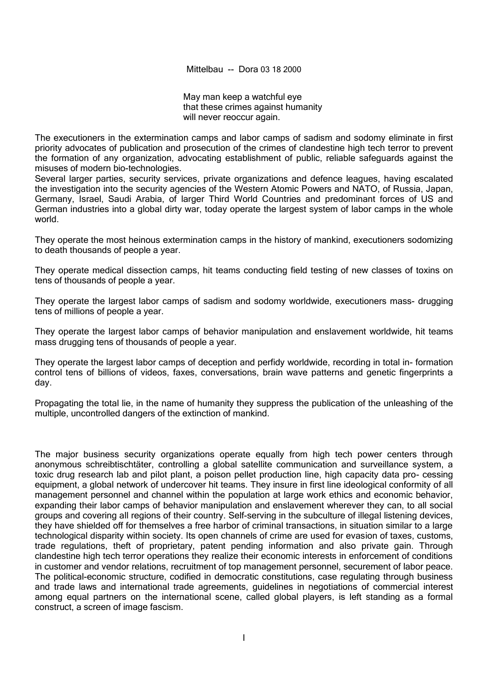Mittelbau -- Dora 03 18 2000

May man keep a watchful eye that these crimes against humanity will never reoccur again.

The executioners in the extermination camps and labor camps of sadism and sodomy eliminate in first priority advocates of publication and prosecution of the crimes of clandestine high tech terror to prevent the formation of any organization, advocating establishment of public, reliable safeguards against the misuses of modern bio-technologies.

Several larger parties, security services, private organizations and defence leagues, having escalated the investigation into the security agencies of the Western Atomic Powers and NATO, of Russia, Japan, Germany, Israel, Saudi Arabia, of larger Third World Countries and predominant forces of US and German industries into a global dirty war, today operate the largest system of labor camps in the whole world.

They operate the most heinous extermination camps in the history of mankind, executioners sodomizing to death thousands of people a year.

They operate medical dissection camps, hit teams conducting field testing of new classes of toxins on tens of thousands of people a year.

They operate the largest labor camps of sadism and sodomy worldwide, executioners mass- drugging tens of millions of people a year.

They operate the largest labor camps of behavior manipulation and enslavement worldwide, hit teams mass drugging tens of thousands of people a year.

They operate the largest labor camps of deception and perfidy worldwide, recording in total in- formation control tens of billions of videos, faxes, conversations, brain wave patterns and genetic fingerprints a day.

Propagating the total lie, in the name of humanity they suppress the publication of the unleashing of the multiple, uncontrolled dangers of the extinction of mankind.

The major business security organizations operate equally from high tech power centers through anonymous schreibtischtäter, controlling a global satellite communication and surveillance system, a toxic drug research lab and pilot plant, a poison pellet production line, high capacity data pro- cessing equipment, a global network of undercover hit teams. They insure in first line ideological conformity of all management personnel and channel within the population at large work ethics and economic behavior, expanding their labor camps of behavior manipulation and enslavement wherever they can, to all social groups and covering all regions of their country. Self-serving in the subculture of illegal listening devices, they have shielded off for themselves a free harbor of criminal transactions, in situation similar to a large technological disparity within society. Its open channels of crime are used for evasion of taxes, customs, trade regulations, theft of proprietary, patent pending information and also private gain. Through clandestine high tech terror operations they realize their economic interests in enforcement of conditions in customer and vendor relations, recruitment of top management personnel, securement of labor peace. The political-economic structure, codified in democratic constitutions, case regulating through business and trade laws and international trade agreements, guidelines in negotiations of commercial interest among equal partners on the international scene, called global players, is left standing as a formal construct, a screen of image fascism.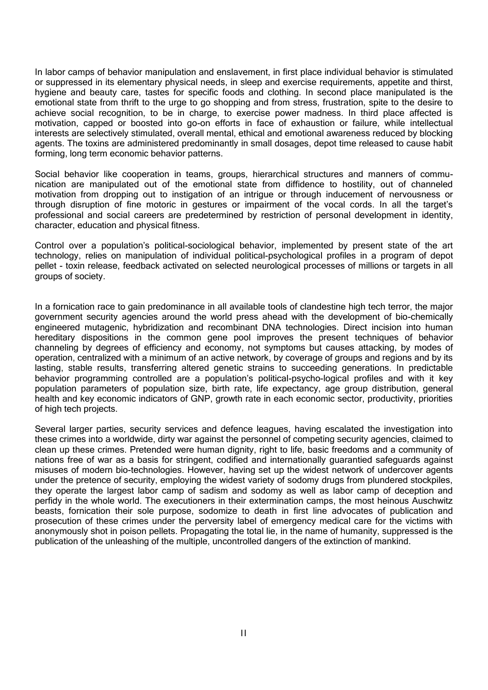In labor camps of behavior manipulation and enslavement, in first place individual behavior is stimulated or suppressed in its elementary physical needs, in sleep and exercise requirements, appetite and thirst, hygiene and beauty care, tastes for specific foods and clothing. In second place manipulated is the emotional state from thrift to the urge to go shopping and from stress, frustration, spite to the desire to achieve social recognition, to be in charge, to exercise power madness. In third place affected is motivation, capped or boosted into go-on efforts in face of exhaustion or failure, while intellectual interests are selectively stimulated, overall mental, ethical and emotional awareness reduced by blocking agents. The toxins are administered predominantly in small dosages, depot time released to cause habit forming, long term economic behavior patterns.

Social behavior like cooperation in teams, groups, hierarchical structures and manners of communication are manipulated out of the emotional state from diffidence to hostility, out of channeled motivation from dropping out to instigation of an intrigue or through inducement of nervousness or through disruption of fine motoric in gestures or impairment of the vocal cords. In all the target's professional and social careers are predetermined by restriction of personal development in identity, character, education and physical fitness.

Control over a population's political-sociological behavior, implemented by present state of the art technology, relies on manipulation of individual political-psychological profiles in a program of depot pellet - toxin release, feedback activated on selected neurological processes of millions or targets in all groups of society.

In a fornication race to gain predominance in all available tools of clandestine high tech terror, the major government security agencies around the world press ahead with the development of bio-chemically engineered mutagenic, hybridization and recombinant DNA technologies. Direct incision into human hereditary dispositions in the common gene pool improves the present techniques of behavior channeling by degrees of efficiency and economy, not symptoms but causes attacking, by modes of operation, centralized with a minimum of an active network, by coverage of groups and regions and by its lasting, stable results, transferring altered genetic strains to succeeding generations. In predictable behavior programming controlled are a population's political-psycho-logical profiles and with it key population parameters of population size, birth rate, life expectancy, age group distribution, general health and key economic indicators of GNP, growth rate in each economic sector, productivity, priorities of high tech projects.

Several larger parties, security services and defence leagues, having escalated the investigation into these crimes into a worldwide, dirty war against the personnel of competing security agencies, claimed to clean up these crimes. Pretended were human dignity, right to life, basic freedoms and a community of nations free of war as a basis for stringent, codified and internationally guarantied safeguards against misuses of modern bio-technologies. However, having set up the widest network of undercover agents under the pretence of security, employing the widest variety of sodomy drugs from plundered stockpiles, they operate the largest labor camp of sadism and sodomy as well as labor camp of deception and perfidy in the whole world. The executioners in their extermination camps, the most heinous Auschwitz beasts, fornication their sole purpose, sodomize to death in first line advocates of publication and prosecution of these crimes under the perversity label of emergency medical care for the victims with anonymously shot in poison pellets. Propagating the total lie, in the name of humanity, suppressed is the publication of the unleashing of the multiple, uncontrolled dangers of the extinction of mankind.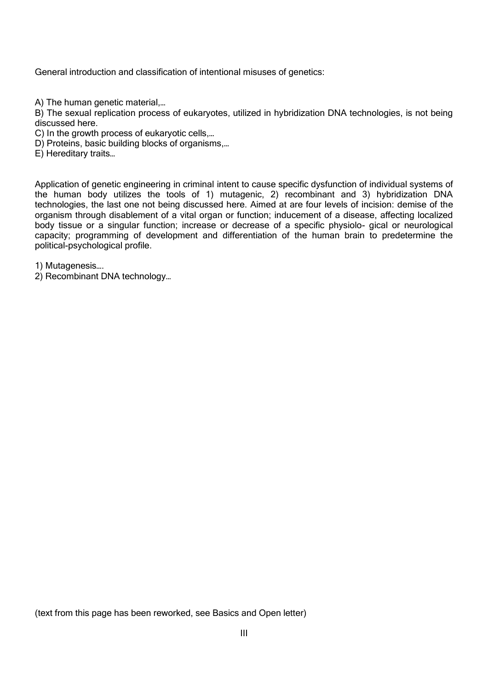General introduction and classification of intentional misuses of genetics:

A) The human genetic material,…

B) The sexual replication process of eukaryotes, utilized in hybridization DNA technologies, is not being discussed here.

- C) In the growth process of eukaryotic cells,…
- D) Proteins, basic building blocks of organisms,…
- E) Hereditary traits…

Application of genetic engineering in criminal intent to cause specific dysfunction of individual systems of the human body utilizes the tools of 1) mutagenic, 2) recombinant and 3) hybridization DNA technologies, the last one not being discussed here. Aimed at are four levels of incision: demise of the organism through disablement of a vital organ or function; inducement of a disease, affecting localized body tissue or a singular function; increase or decrease of a specific physiolo- gical or neurological capacity; programming of development and differentiation of the human brain to predetermine the political-psychological profile.

1) Mutagenesis….

2) Recombinant DNA technology…

(text from this page has been reworked, see Basics and Open letter)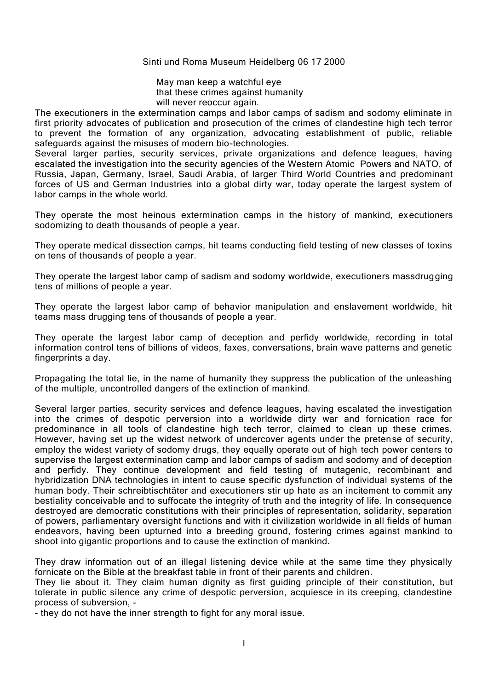#### Sinti und Roma Museum Heidelberg 06 17 2000

May man keep a watchful eye that these crimes against humanity will never reoccur again.

The executioners in the extermination camps and labor camps of sadism and sodomy eliminate in first priority advocates of publication and prosecution of the crimes of clandestine high tech terror to prevent the formation of any organization, advocating establishment of public, reliable safeguards against the misuses of modern bio-technologies.

Several larger parties, security services, private organizations and defence leagues, having escalated the investigation into the security agencies of the Western Atomic Powers and NATO, of Russia, Japan, Germany, Israel, Saudi Arabia, of larger Third World Countries and predominant forces of US and German Industries into a global dirty war, today operate the largest system of labor camps in the whole world.

They operate the most heinous extermination camps in the history of mankind, executioners sodomizing to death thousands of people a year.

They operate medical dissection camps, hit teams conducting field testing of new classes of toxins on tens of thousands of people a year.

They operate the largest labor camp of sadism and sodomy worldwide, executioners massdrugging tens of millions of people a year.

They operate the largest labor camp of behavior manipulation and enslavement worldwide, hit teams mass drugging tens of thousands of people a year.

They operate the largest labor camp of deception and perfidy worldwide, recording in total information control tens of billions of videos, faxes, conversations, brain wave patterns and genetic fingerprints a day.

Propagating the total lie, in the name of humanity they suppress the publication of the unleashing of the multiple, uncontrolled dangers of the extinction of mankind.

Several larger parties, security services and defence leagues, having escalated the investigation into the crimes of despotic perversion into a worldwide dirty war and fornication race for predominance in all tools of clandestine high tech terror, claimed to clean up these crimes. However, having set up the widest network of undercover agents under the pretense of security, employ the widest variety of sodomy drugs, they equally operate out of high tech power centers to supervise the largest extermination camp and labor camps of sadism and sodomy and of deception and perfidy. They continue development and field testing of mutagenic, recombinant and hybridization DNA technologies in intent to cause specific dysfunction of individual systems of the human body. Their schreibtischtäter and executioners stir up hate as an incitement to commit any bestiality conceivable and to suffocate the integrity of truth and the integrity of life. In consequence destroyed are democratic constitutions with their principles of representation, solidarity, separation of powers, parliamentary oversight functions and with it civilization worldwide in all fields of human endeavors, having been upturned into a breeding ground, fostering crimes against mankind to shoot into gigantic proportions and to cause the extinction of mankind.

They draw information out of an illegal listening device while at the same time they physically fornicate on the Bible at the breakfast table in front of their parents and children.

They lie about it. They claim human dignity as first guiding principle of their constitution, but tolerate in public silence any crime of despotic perversion, acquiesce in its creeping, clandestine process of subversion, -

- they do not have the inner strength to fight for any moral issue.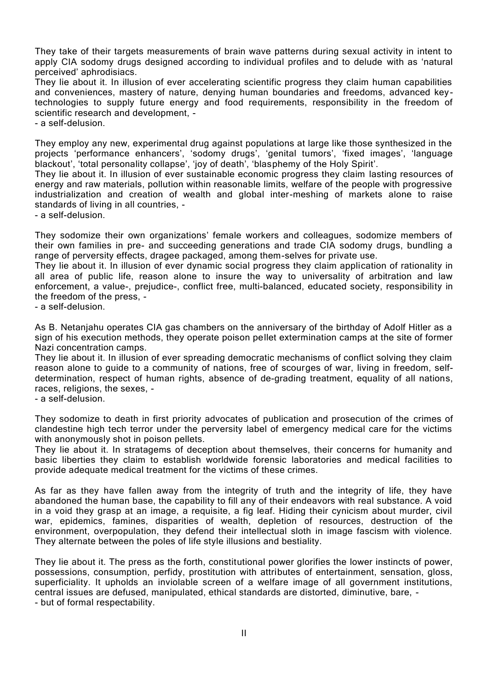They take of their targets measurements of brain wave patterns during sexual activity in intent to apply CIA sodomy drugs designed according to individual profiles and to delude with as 'natural perceived' aphrodisiacs.

They lie about it. In illusion of ever accelerating scientific progress they claim human capabilities and conveniences, mastery of nature, denying human boundaries and freedoms, advanced keytechnologies to supply future energy and food requirements, responsibility in the freedom of scientific research and development, -

- a self-delusion.

They employ any new, experimental drug against populations at large like those synthesized in the projects 'performance enhancers', 'sodomy drugs', 'genital tumors', 'fixed images', 'language blackout', 'total personality collapse', 'joy of death', 'blasphemy of the Holy Spirit'.

They lie about it. In illusion of ever sustainable economic progress they claim lasting resources of energy and raw materials, pollution within reasonable limits, welfare of the people with progressive industrialization and creation of wealth and global inter-meshing of markets alone to raise standards of living in all countries, -

- a self-delusion.

They sodomize their own organizations' female workers and colleagues, sodomize members of their own families in pre- and succeeding generations and trade CIA sodomy drugs, bundling a range of perversity effects, dragee packaged, among them-selves for private use.

They lie about it. In illusion of ever dynamic social progress they claim application of rationality in all area of public life, reason alone to insure the way to universality of arbitration and law enforcement, a value-, prejudice-, conflict free, multi-balanced, educated society, responsibility in the freedom of the press, -

- a self-delusion.

As B. Netanjahu operates CIA gas chambers on the anniversary of the birthday of Adolf Hitler as a sign of his execution methods, they operate poison pellet extermination camps at the site of former Nazi concentration camps.

They lie about it. In illusion of ever spreading democratic mechanisms of conflict solving they claim reason alone to guide to a community of nations, free of scourges of war, living in freedom, selfdetermination, respect of human rights, absence of de-grading treatment, equality of all nations, races, religions, the sexes, -

- a self-delusion.

They sodomize to death in first priority advocates of publication and prosecution of the crimes of clandestine high tech terror under the perversity label of emergency medical care for the victims with anonymously shot in poison pellets.

They lie about it. In stratagems of deception about themselves, their concerns for humanity and basic liberties they claim to establish worldwide forensic laboratories and medical facilities to provide adequate medical treatment for the victims of these crimes.

As far as they have fallen away from the integrity of truth and the integrity of life, they have abandoned the human base, the capability to fill any of their endeavors with real substance. A void in a void they grasp at an image, a requisite, a fig leaf. Hiding their cynicism about murder, civil war, epidemics, famines, disparities of wealth, depletion of resources, destruction of the environment, overpopulation, they defend their intellectual sloth in image fascism with violence. They alternate between the poles of life style illusions and bestiality.

They lie about it. The press as the forth, constitutional power glorifies the lower instincts of power, possessions, consumption, perfidy, prostitution with attributes of entertainment, sensation, gloss, superficiality. It upholds an inviolable screen of a welfare image of all government institutions, central issues are defused, manipulated, ethical standards are distorted, diminutive, bare, - - but of formal respectability.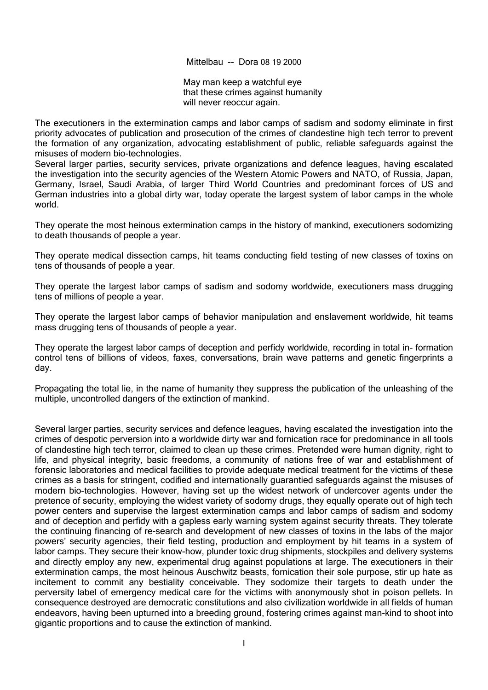Mittelbau -- Dora 08 19 2000

May man keep a watchful eye that these crimes against humanity will never reoccur again.

The executioners in the extermination camps and labor camps of sadism and sodomy eliminate in first priority advocates of publication and prosecution of the crimes of clandestine high tech terror to prevent the formation of any organization, advocating establishment of public, reliable safeguards against the misuses of modern bio-technologies.

Several larger parties, security services, private organizations and defence leagues, having escalated the investigation into the security agencies of the Western Atomic Powers and NATO, of Russia, Japan, Germany, Israel, Saudi Arabia, of larger Third World Countries and predominant forces of US and German industries into a global dirty war, today operate the largest system of labor camps in the whole world.

They operate the most heinous extermination camps in the history of mankind, executioners sodomizing to death thousands of people a year.

They operate medical dissection camps, hit teams conducting field testing of new classes of toxins on tens of thousands of people a year.

They operate the largest labor camps of sadism and sodomy worldwide, executioners mass drugging tens of millions of people a year.

They operate the largest labor camps of behavior manipulation and enslavement worldwide, hit teams mass drugging tens of thousands of people a year.

They operate the largest labor camps of deception and perfidy worldwide, recording in total in- formation control tens of billions of videos, faxes, conversations, brain wave patterns and genetic fingerprints a day.

Propagating the total lie, in the name of humanity they suppress the publication of the unleashing of the multiple, uncontrolled dangers of the extinction of mankind.

Several larger parties, security services and defence leagues, having escalated the investigation into the crimes of despotic perversion into a worldwide dirty war and fornication race for predominance in all tools of clandestine high tech terror, claimed to clean up these crimes. Pretended were human dignity, right to life, and physical integrity, basic freedoms, a community of nations free of war and establishment of forensic laboratories and medical facilities to provide adequate medical treatment for the victims of these crimes as a basis for stringent, codified and internationally guarantied safeguards against the misuses of modern bio-technologies. However, having set up the widest network of undercover agents under the pretence of security, employing the widest variety of sodomy drugs, they equally operate out of high tech power centers and supervise the largest extermination camps and labor camps of sadism and sodomy and of deception and perfidy with a gapless early warning system against security threats. They tolerate the continuing financing of re-search and development of new classes of toxins in the labs of the major powers' security agencies, their field testing, production and employment by hit teams in a system of labor camps. They secure their know-how, plunder toxic drug shipments, stockpiles and delivery systems and directly employ any new, experimental drug against populations at large. The executioners in their extermination camps, the most heinous Auschwitz beasts, fornication their sole purpose, stir up hate as incitement to commit any bestiality conceivable. They sodomize their targets to death under the perversity label of emergency medical care for the victims with anonymously shot in poison pellets. In consequence destroyed are democratic constitutions and also civilization worldwide in all fields of human endeavors, having been upturned into a breeding ground, fostering crimes against man-kind to shoot into gigantic proportions and to cause the extinction of mankind.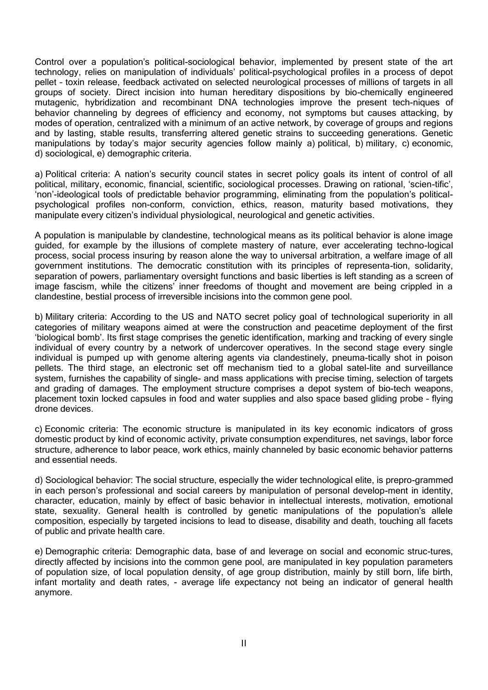Control over a population's political-sociological behavior, implemented by present state of the art technology, relies on manipulation of individuals' political-psychological profiles in a process of depot pellet – toxin release, feedback activated on selected neurological processes of millions of targets in all groups of society. Direct incision into human hereditary dispositions by bio-chemically engineered mutagenic, hybridization and recombinant DNA technologies improve the present tech-niques of behavior channeling by degrees of efficiency and economy, not symptoms but causes attacking, by modes of operation, centralized with a minimum of an active network, by coverage of groups and regions and by lasting, stable results, transferring altered genetic strains to succeeding generations. Genetic manipulations by today's major security agencies follow mainly a) political, b) military, c) economic, d) sociological, e) demographic criteria.

a) Political criteria: A nation's security council states in secret policy goals its intent of control of all political, military, economic, financial, scientific, sociological processes. Drawing on rational, 'scien-tific', 'non'-ideological tools of predictable behavior programming, eliminating from the population's politicalpsychological profiles non-conform, conviction, ethics, reason, maturity based motivations, they manipulate every citizen's individual physiological, neurological and genetic activities.

A population is manipulable by clandestine, technological means as its political behavior is alone image guided, for example by the illusions of complete mastery of nature, ever accelerating techno-logical process, social process insuring by reason alone the way to universal arbitration, a welfare image of all government institutions. The democratic constitution with its principles of representa-tion, solidarity, separation of powers, parliamentary oversight functions and basic liberties is left standing as a screen of image fascism, while the citizens' inner freedoms of thought and movement are being crippled in a clandestine, bestial process of irreversible incisions into the common gene pool.

b) Military criteria: According to the US and NATO secret policy goal of technological superiority in all categories of military weapons aimed at were the construction and peacetime deployment of the first 'biological bomb'. Its first stage comprises the genetic identification, marking and tracking of every single individual of every country by a network of undercover operatives. In the second stage every single individual is pumped up with genome altering agents via clandestinely, pneuma-tically shot in poison pellets. The third stage, an electronic set off mechanism tied to a global satel-lite and surveillance system, furnishes the capability of single- and mass applications with precise timing, selection of targets and grading of damages. The employment structure comprises a depot system of bio-tech weapons, placement toxin locked capsules in food and water supplies and also space based gliding probe – flying drone devices.

c) Economic criteria: The economic structure is manipulated in its key economic indicators of gross domestic product by kind of economic activity, private consumption expenditures, net savings, labor force structure, adherence to labor peace, work ethics, mainly channeled by basic economic behavior patterns and essential needs.

d) Sociological behavior: The social structure, especially the wider technological elite, is prepro-grammed in each person's professional and social careers by manipulation of personal develop-ment in identity, character, education, mainly by effect of basic behavior in intellectual interests, motivation, emotional state, sexuality. General health is controlled by genetic manipulations of the population's allele composition, especially by targeted incisions to lead to disease, disability and death, touching all facets of public and private health care.

e) Demographic criteria: Demographic data, base of and leverage on social and economic struc-tures, directly affected by incisions into the common gene pool, are manipulated in key population parameters of population size, of local population density, of age group distribution, mainly by still born, life birth, infant mortality and death rates, - average life expectancy not being an indicator of general health anymore.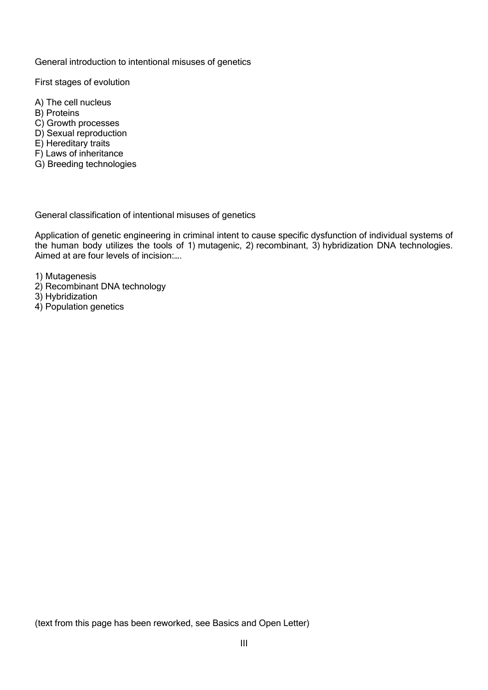General introduction to intentional misuses of genetics

First stages of evolution

- A) The cell nucleus
- B) Proteins
- C) Growth processes
- D) Sexual reproduction
- E) Hereditary traits
- F) Laws of inheritance
- G) Breeding technologies

General classification of intentional misuses of genetics

Application of genetic engineering in criminal intent to cause specific dysfunction of individual systems of the human body utilizes the tools of 1) mutagenic, 2) recombinant, 3) hybridization DNA technologies. Aimed at are four levels of incision:….

- 1) Mutagenesis
- 2) Recombinant DNA technology
- 3) Hybridization
- 4) Population genetics

(text from this page has been reworked, see Basics and Open Letter)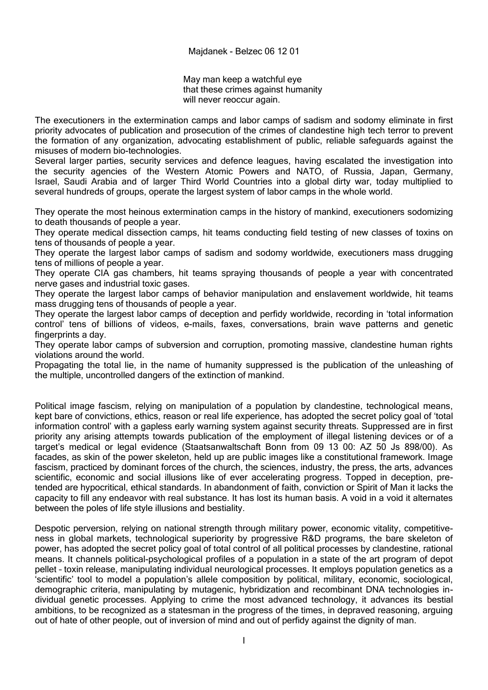May man keep a watchful eye that these crimes against humanity will never reoccur again.

The executioners in the extermination camps and labor camps of sadism and sodomy eliminate in first priority advocates of publication and prosecution of the crimes of clandestine high tech terror to prevent the formation of any organization, advocating establishment of public, reliable safeguards against the misuses of modern bio-technologies.

Several larger parties, security services and defence leagues, having escalated the investigation into the security agencies of the Western Atomic Powers and NATO, of Russia, Japan, Germany, Israel, Saudi Arabia and of larger Third World Countries into a global dirty war, today multiplied to several hundreds of groups, operate the largest system of labor camps in the whole world.

They operate the most heinous extermination camps in the history of mankind, executioners sodomizing to death thousands of people a year.

They operate medical dissection camps, hit teams conducting field testing of new classes of toxins on tens of thousands of people a year.

They operate the largest labor camps of sadism and sodomy worldwide, executioners mass drugging tens of millions of people a year.

They operate CIA gas chambers, hit teams spraying thousands of people a year with concentrated nerve gases and industrial toxic gases.

They operate the largest labor camps of behavior manipulation and enslavement worldwide, hit teams mass drugging tens of thousands of people a year.

They operate the largest labor camps of deception and perfidy worldwide, recording in 'total information control' tens of billions of videos, e-mails, faxes, conversations, brain wave patterns and genetic fingerprints a day.

They operate labor camps of subversion and corruption, promoting massive, clandestine human rights violations around the world.

Propagating the total lie, in the name of humanity suppressed is the publication of the unleashing of the multiple, uncontrolled dangers of the extinction of mankind.

Political image fascism, relying on manipulation of a population by clandestine, technological means, kept bare of convictions, ethics, reason or real life experience, has adopted the secret policy goal of 'total information control' with a gapless early warning system against security threats. Suppressed are in first priority any arising attempts towards publication of the employment of illegal listening devices or of a target's medical or legal evidence (Staatsanwaltschaft Bonn from 09 13 00: AZ 50 Js 898/00). As facades, as skin of the power skeleton, held up are public images like a constitutional framework. Image fascism, practiced by dominant forces of the church, the sciences, industry, the press, the arts, advances scientific, economic and social illusions like of ever accelerating progress. Topped in deception, pretended are hypocritical, ethical standards. In abandonment of faith, conviction or Spirit of Man it lacks the capacity to fill any endeavor with real substance. It has lost its human basis. A void in a void it alternates between the poles of life style illusions and bestiality.

Despotic perversion, relying on national strength through military power, economic vitality, competitiveness in global markets, technological superiority by progressive R&D programs, the bare skeleton of power, has adopted the secret policy goal of total control of all political processes by clandestine, rational means. It channels political-psychological profiles of a population in a state of the art program of depot pellet – toxin release, manipulating individual neurological processes. It employs population genetics as a 'scientific' tool to model a population's allele composition by political, military, economic, sociological, demographic criteria, manipulating by mutagenic, hybridization and recombinant DNA technologies individual genetic processes. Applying to crime the most advanced technology, it advances its bestial ambitions, to be recognized as a statesman in the progress of the times, in depraved reasoning, arguing out of hate of other people, out of inversion of mind and out of perfidy against the dignity of man.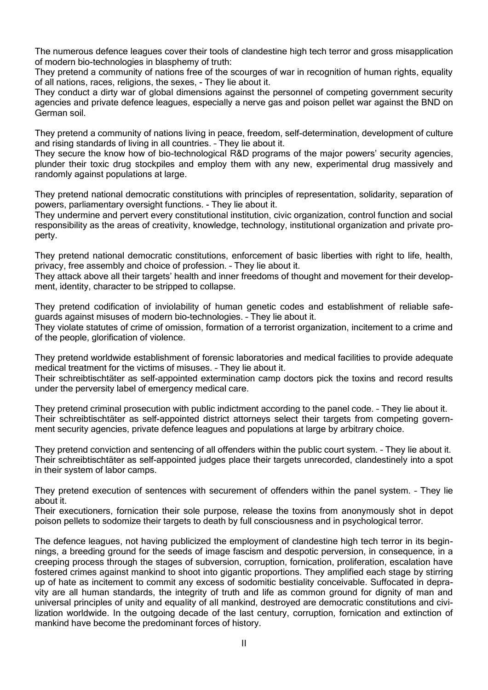The numerous defence leagues cover their tools of clandestine high tech terror and gross misapplication of modern bio-technologies in blasphemy of truth:

They pretend a community of nations free of the scourges of war in recognition of human rights, equality of all nations, races, religions, the sexes, - They lie about it.

They conduct a dirty war of global dimensions against the personnel of competing government security agencies and private defence leagues, especially a nerve gas and poison pellet war against the BND on German soil.

They pretend a community of nations living in peace, freedom, self-determination, development of culture and rising standards of living in all countries. – They lie about it.

They secure the know how of bio-technological R&D programs of the major powers' security agencies, plunder their toxic drug stockpiles and employ them with any new, experimental drug massively and randomly against populations at large.

They pretend national democratic constitutions with principles of representation, solidarity, separation of powers, parliamentary oversight functions. - They lie about it.

They undermine and pervert every constitutional institution, civic organization, control function and social responsibility as the areas of creativity, knowledge, technology, institutional organization and private property.

They pretend national democratic constitutions, enforcement of basic liberties with right to life, health, privacy, free assembly and choice of profession. – They lie about it.

They attack above all their targets' health and inner freedoms of thought and movement for their development, identity, character to be stripped to collapse.

They pretend codification of inviolability of human genetic codes and establishment of reliable safeguards against misuses of modern bio-technologies. – They lie about it.

They violate statutes of crime of omission, formation of a terrorist organization, incitement to a crime and of the people, glorification of violence.

They pretend worldwide establishment of forensic laboratories and medical facilities to provide adequate medical treatment for the victims of misuses. – They lie about it.

Their schreibtischtäter as self-appointed extermination camp doctors pick the toxins and record results under the perversity label of emergency medical care.

They pretend criminal prosecution with public indictment according to the panel code. – They lie about it. Their schreibtischtäter as self-appointed district attorneys select their targets from competing government security agencies, private defence leagues and populations at large by arbitrary choice.

They pretend conviction and sentencing of all offenders within the public court system. – They lie about it. Their schreibtischtäter as self-appointed judges place their targets unrecorded, clandestinely into a spot in their system of labor camps.

They pretend execution of sentences with securement of offenders within the panel system. – They lie about it.

Their executioners, fornication their sole purpose, release the toxins from anonymously shot in depot poison pellets to sodomize their targets to death by full consciousness and in psychological terror.

The defence leagues, not having publicized the employment of clandestine high tech terror in its beginnings, a breeding ground for the seeds of image fascism and despotic perversion, in consequence, in a creeping process through the stages of subversion, corruption, fornication, proliferation, escalation have fostered crimes against mankind to shoot into gigantic proportions. They amplified each stage by stirring up of hate as incitement to commit any excess of sodomitic bestiality conceivable. Suffocated in depravity are all human standards, the integrity of truth and life as common ground for dignity of man and universal principles of unity and equality of all mankind, destroyed are democratic constitutions and civilization worldwide. In the outgoing decade of the last century, corruption, fornication and extinction of mankind have become the predominant forces of history.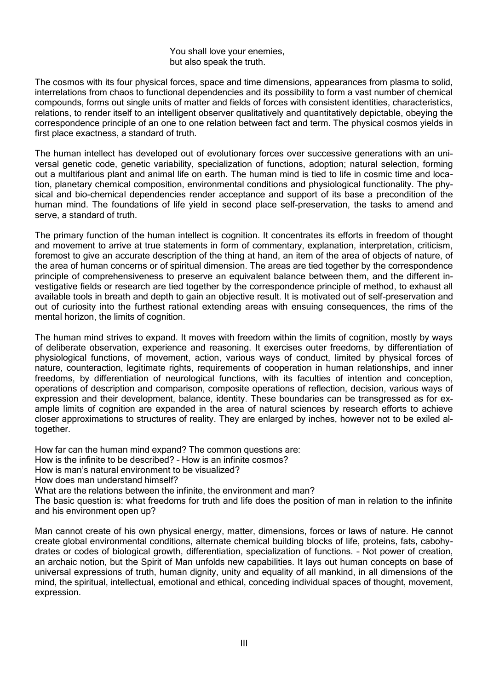You shall love your enemies, but also speak the truth.

The cosmos with its four physical forces, space and time dimensions, appearances from plasma to solid, interrelations from chaos to functional dependencies and its possibility to form a vast number of chemical compounds, forms out single units of matter and fields of forces with consistent identities, characteristics, relations, to render itself to an intelligent observer qualitatively and quantitatively depictable, obeying the correspondence principle of an one to one relation between fact and term. The physical cosmos yields in first place exactness, a standard of truth.

The human intellect has developed out of evolutionary forces over successive generations with an universal genetic code, genetic variability, specialization of functions, adoption; natural selection, forming out a multifarious plant and animal life on earth. The human mind is tied to life in cosmic time and location, planetary chemical composition, environmental conditions and physiological functionality. The physical and bio-chemical dependencies render acceptance and support of its base a precondition of the human mind. The foundations of life yield in second place self-preservation, the tasks to amend and serve, a standard of truth.

The primary function of the human intellect is cognition. It concentrates its efforts in freedom of thought and movement to arrive at true statements in form of commentary, explanation, interpretation, criticism, foremost to give an accurate description of the thing at hand, an item of the area of objects of nature, of the area of human concerns or of spiritual dimension. The areas are tied together by the correspondence principle of comprehensiveness to preserve an equivalent balance between them, and the different investigative fields or research are tied together by the correspondence principle of method, to exhaust all available tools in breath and depth to gain an objective result. It is motivated out of self-preservation and out of curiosity into the furthest rational extending areas with ensuing consequences, the rims of the mental horizon, the limits of cognition.

The human mind strives to expand. It moves with freedom within the limits of cognition, mostly by ways of deliberate observation, experience and reasoning. It exercises outer freedoms, by differentiation of physiological functions, of movement, action, various ways of conduct, limited by physical forces of nature, counteraction, legitimate rights, requirements of cooperation in human relationships, and inner freedoms, by differentiation of neurological functions, with its faculties of intention and conception, operations of description and comparison, composite operations of reflection, decision, various ways of expression and their development, balance, identity. These boundaries can be transgressed as for example limits of cognition are expanded in the area of natural sciences by research efforts to achieve closer approximations to structures of reality. They are enlarged by inches, however not to be exiled altogether.

How far can the human mind expand? The common questions are:

How is the infinite to be described? – How is an infinite cosmos?

How is man's natural environment to be visualized?

How does man understand himself?

What are the relations between the infinite, the environment and man?

The basic question is: what freedoms for truth and life does the position of man in relation to the infinite and his environment open up?

Man cannot create of his own physical energy, matter, dimensions, forces or laws of nature. He cannot create global environmental conditions, alternate chemical building blocks of life, proteins, fats, cabohydrates or codes of biological growth, differentiation, specialization of functions. – Not power of creation, an archaic notion, but the Spirit of Man unfolds new capabilities. It lays out human concepts on base of universal expressions of truth, human dignity, unity and equality of all mankind, in all dimensions of the mind, the spiritual, intellectual, emotional and ethical, conceding individual spaces of thought, movement, expression.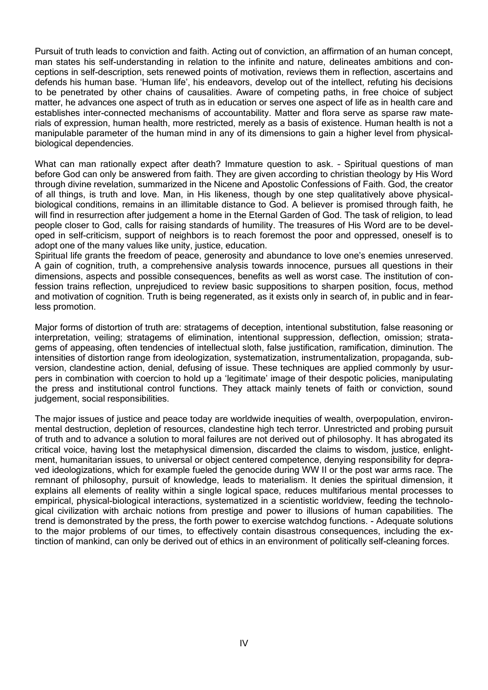Pursuit of truth leads to conviction and faith. Acting out of conviction, an affirmation of an human concept, man states his self-understanding in relation to the infinite and nature, delineates ambitions and conceptions in self-description, sets renewed points of motivation, reviews them in reflection, ascertains and defends his human base. 'Human life', his endeavors, develop out of the intellect, refuting his decisions to be penetrated by other chains of causalities. Aware of competing paths, in free choice of subject matter, he advances one aspect of truth as in education or serves one aspect of life as in health care and establishes inter-connected mechanisms of accountability. Matter and flora serve as sparse raw materials of expression, human health, more restricted, merely as a basis of existence. Human health is not a manipulable parameter of the human mind in any of its dimensions to gain a higher level from physicalbiological dependencies.

What can man rationally expect after death? Immature question to ask. - Spiritual questions of man before God can only be answered from faith. They are given according to christian theology by His Word through divine revelation, summarized in the Nicene and Apostolic Confessions of Faith. God, the creator of all things, is truth and love. Man, in His likeness, though by one step qualitatively above physicalbiological conditions, remains in an illimitable distance to God. A believer is promised through faith, he will find in resurrection after judgement a home in the Eternal Garden of God. The task of religion, to lead people closer to God, calls for raising standards of humility. The treasures of His Word are to be developed in self-criticism, support of neighbors is to reach foremost the poor and oppressed, oneself is to adopt one of the many values like unity, justice, education.

Spiritual life grants the freedom of peace, generosity and abundance to love one's enemies unreserved. A gain of cognition, truth, a comprehensive analysis towards innocence, pursues all questions in their dimensions, aspects and possible consequences, benefits as well as worst case. The institution of confession trains reflection, unprejudiced to review basic suppositions to sharpen position, focus, method and motivation of cognition. Truth is being regenerated, as it exists only in search of, in public and in fearless promotion.

Major forms of distortion of truth are: stratagems of deception, intentional substitution, false reasoning or interpretation, veiling; stratagems of elimination, intentional suppression, deflection, omission; stratagems of appeasing, often tendencies of intellectual sloth, false justification, ramification, diminution. The intensities of distortion range from ideologization, systematization, instrumentalization, propaganda, subversion, clandestine action, denial, defusing of issue. These techniques are applied commonly by usurpers in combination with coercion to hold up a 'legitimate' image of their despotic policies, manipulating the press and institutional control functions. They attack mainly tenets of faith or conviction, sound judgement, social responsibilities.

The major issues of justice and peace today are worldwide inequities of wealth, overpopulation, environmental destruction, depletion of resources, clandestine high tech terror. Unrestricted and probing pursuit of truth and to advance a solution to moral failures are not derived out of philosophy. It has abrogated its critical voice, having lost the metaphysical dimension, discarded the claims to wisdom, justice, enlightment, humanitarian issues, to universal or object centered competence, denying responsibility for depraved ideologizations, which for example fueled the genocide during WW II or the post war arms race. The remnant of philosophy, pursuit of knowledge, leads to materialism. It denies the spiritual dimension, it explains all elements of reality within a single logical space, reduces multifarious mental processes to empirical, physical-biological interactions, systematized in a scientistic worldview, feeding the technological civilization with archaic notions from prestige and power to illusions of human capabilities. The trend is demonstrated by the press, the forth power to exercise watchdog functions. - Adequate solutions to the major problems of our times, to effectively contain disastrous consequences, including the extinction of mankind, can only be derived out of ethics in an environment of politically self-cleaning forces.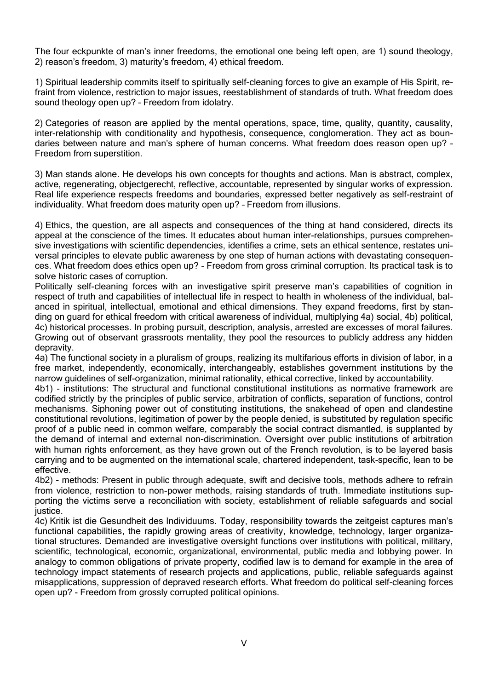The four eckpunkte of man's inner freedoms, the emotional one being left open, are 1) sound theology, 2) reason's freedom, 3) maturity's freedom, 4) ethical freedom.

1) Spiritual leadership commits itself to spiritually self-cleaning forces to give an example of His Spirit, refraint from violence, restriction to major issues, reestablishment of standards of truth. What freedom does sound theology open up? – Freedom from idolatry.

2) Categories of reason are applied by the mental operations, space, time, quality, quantity, causality, inter-relationship with conditionality and hypothesis, consequence, conglomeration. They act as boundaries between nature and man's sphere of human concerns. What freedom does reason open up? – Freedom from superstition.

3) Man stands alone. He develops his own concepts for thoughts and actions. Man is abstract, complex, active, regenerating, objectgerecht, reflective, accountable, represented by singular works of expression. Real life experience respects freedoms and boundaries, expressed better negatively as self-restraint of individuality. What freedom does maturity open up? – Freedom from illusions.

4) Ethics, the question, are all aspects and consequences of the thing at hand considered, directs its appeal at the conscience of the times. It educates about human inter-relationships, pursues comprehensive investigations with scientific dependencies, identifies a crime, sets an ethical sentence, restates universal principles to elevate public awareness by one step of human actions with devastating consequences. What freedom does ethics open up? - Freedom from gross criminal corruption. Its practical task is to solve historic cases of corruption.

Politically self-cleaning forces with an investigative spirit preserve man's capabilities of cognition in respect of truth and capabilities of intellectual life in respect to health in wholeness of the individual, balanced in spiritual, intellectual, emotional and ethical dimensions. They expand freedoms, first by standing on guard for ethical freedom with critical awareness of individual, multiplying 4a) social, 4b) political, 4c) historical processes. In probing pursuit, description, analysis, arrested are excesses of moral failures. Growing out of observant grassroots mentality, they pool the resources to publicly address any hidden depravity.

4a) The functional society in a pluralism of groups, realizing its multifarious efforts in division of labor, in a free market, independently, economically, interchangeably, establishes government institutions by the narrow guidelines of self-organization, minimal rationality, ethical corrective, linked by accountability.

4b1) - institutions: The structural and functional constitutional institutions as normative framework are codified strictly by the principles of public service, arbitration of conflicts, separation of functions, control mechanisms. Siphoning power out of constituting institutions, the snakehead of open and clandestine constitutional revolutions, legitimation of power by the people denied, is substituted by regulation specific proof of a public need in common welfare, comparably the social contract dismantled, is supplanted by the demand of internal and external non-discrimination. Oversight over public institutions of arbitration with human rights enforcement, as they have grown out of the French revolution, is to be layered basis carrying and to be augmented on the international scale, chartered independent, task-specific, lean to be effective.

4b2) - methods: Present in public through adequate, swift and decisive tools, methods adhere to refrain from violence, restriction to non-power methods, raising standards of truth. Immediate institutions supporting the victims serve a reconciliation with society, establishment of reliable safeguards and social justice.

4c) Kritik ist die Gesundheit des Individuums. Today, responsibility towards the zeitgeist captures man's functional capabilities, the rapidly growing areas of creativity, knowledge, technology, larger organizational structures. Demanded are investigative oversight functions over institutions with political, military, scientific, technological, economic, organizational, environmental, public media and lobbying power. In analogy to common obligations of private property, codified law is to demand for example in the area of technology impact statements of research projects and applications, public, reliable safeguards against misapplications, suppression of depraved research efforts. What freedom do political self-cleaning forces open up? - Freedom from grossly corrupted political opinions.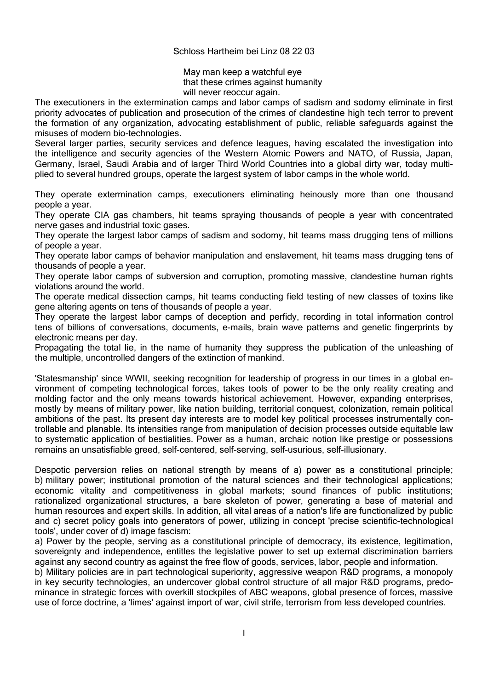### Schloss Hartheim bei Linz 08 22 03

May man keep a watchful eye that these crimes against humanity will never reoccur again.

The executioners in the extermination camps and labor camps of sadism and sodomy eliminate in first priority advocates of publication and prosecution of the crimes of clandestine high tech terror to prevent the formation of any organization, advocating establishment of public, reliable safeguards against the misuses of modern bio-technologies.

Several larger parties, security services and defence leagues, having escalated the investigation into the intelligence and security agencies of the Western Atomic Powers and NATO, of Russia, Japan, Germany, Israel, Saudi Arabia and of larger Third World Countries into a global dirty war, today multiplied to several hundred groups, operate the largest system of labor camps in the whole world.

They operate extermination camps, executioners eliminating heinously more than one thousand people a year.

They operate CIA gas chambers, hit teams spraying thousands of people a year with concentrated nerve gases and industrial toxic gases.

They operate the largest labor camps of sadism and sodomy, hit teams mass drugging tens of millions of people a year.

They operate labor camps of behavior manipulation and enslavement, hit teams mass drugging tens of thousands of people a year.

They operate labor camps of subversion and corruption, promoting massive, clandestine human rights violations around the world.

The operate medical dissection camps, hit teams conducting field testing of new classes of toxins like gene altering agents on tens of thousands of people a year.

They operate the largest labor camps of deception and perfidy, recording in total information control tens of billions of conversations, documents, e-mails, brain wave patterns and genetic fingerprints by electronic means per day.

Propagating the total lie, in the name of humanity they suppress the publication of the unleashing of the multiple, uncontrolled dangers of the extinction of mankind.

'Statesmanship' since WWII, seeking recognition for leadership of progress in our times in a global environment of competing technological forces, takes tools of power to be the only reality creating and molding factor and the only means towards historical achievement. However, expanding enterprises, mostly by means of military power, like nation building, territorial conquest, colonization, remain political ambitions of the past. Its present day interests are to model key political processes instrumentally controllable and planable. Its intensities range from manipulation of decision processes outside equitable law to systematic application of bestialities. Power as a human, archaic notion like prestige or possessions remains an unsatisfiable greed, self-centered, self-serving, self-usurious, self-illusionary.

Despotic perversion relies on national strength by means of a) power as a constitutional principle; b) military power; institutional promotion of the natural sciences and their technological applications; economic vitality and competitiveness in global markets; sound finances of public institutions; rationalized organizational structures, a bare skeleton of power, generating a base of material and human resources and expert skills. In addition, all vital areas of a nation's life are functionalized by public and c) secret policy goals into generators of power, utilizing in concept 'precise scientific-technological tools', under cover of d) image fascism:

a) Power by the people, serving as a constitutional principle of democracy, its existence, legitimation, sovereignty and independence, entitles the legislative power to set up external discrimination barriers against any second country as against the free flow of goods, services, labor, people and information.

b) Military policies are in part technological superiority, aggressive weapon R&D programs, a monopoly in key security technologies, an undercover global control structure of all major R&D programs, predominance in strategic forces with overkill stockpiles of ABC weapons, global presence of forces, massive use of force doctrine, a 'limes' against import of war, civil strife, terrorism from less developed countries.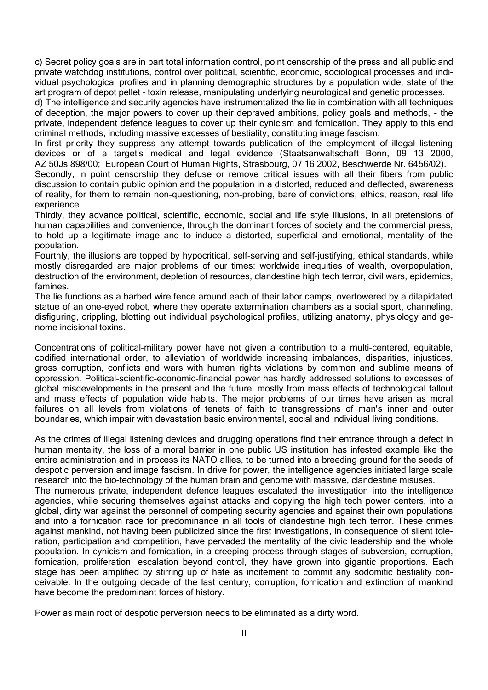c) Secret policy goals are in part total information control, point censorship of the press and all public and private watchdog institutions, control over political, scientific, economic, sociological processes and individual psychological profiles and in planning demographic structures by a population wide, state of the art program of depot pellet – toxin release, manipulating underlying neurological and genetic processes.

d) The intelligence and security agencies have instrumentalized the lie in combination with all techniques of deception, the major powers to cover up their depraved ambitions, policy goals and methods, - the private, independent defence leagues to cover up their cynicism and fornication. They apply to this end criminal methods, including massive excesses of bestiality, constituting image fascism.

In first priority they suppress any attempt towards publication of the employment of illegal listening devices or of a target's medical and legal evidence (Staatsanwaltschaft Bonn, 09 13 2000, AZ 50Js 898/00; European Court of Human Rights, Strasbourg, 07 16 2002, Beschwerde Nr. 6456/02).

Secondly, in point censorship they defuse or remove critical issues with all their fibers from public discussion to contain public opinion and the population in a distorted, reduced and deflected, awareness of reality, for them to remain non-questioning, non-probing, bare of convictions, ethics, reason, real life experience.

Thirdly, they advance political, scientific, economic, social and life style illusions, in all pretensions of human capabilities and convenience, through the dominant forces of society and the commercial press, to hold up a legitimate image and to induce a distorted, superficial and emotional, mentality of the population.

Fourthly, the illusions are topped by hypocritical, self-serving and self-justifying, ethical standards, while mostly disregarded are major problems of our times: worldwide inequities of wealth, overpopulation, destruction of the environment, depletion of resources, clandestine high tech terror, civil wars, epidemics, famines.

The lie functions as a barbed wire fence around each of their labor camps, overtowered by a dilapidated statue of an one-eyed robot, where they operate extermination chambers as a social sport, channeling, disfiguring, crippling, blotting out individual psychological profiles, utilizing anatomy, physiology and genome incisional toxins.

Concentrations of political-military power have not given a contribution to a multi-centered, equitable, codified international order, to alleviation of worldwide increasing imbalances, disparities, injustices, gross corruption, conflicts and wars with human rights violations by common and sublime means of oppression. Political-scientific-economic-financial power has hardly addressed solutions to excesses of global misdevelopments in the present and the future, mostly from mass effects of technological fallout and mass effects of population wide habits. The major problems of our times have arisen as moral failures on all levels from violations of tenets of faith to transgressions of man's inner and outer boundaries, which impair with devastation basic environmental, social and individual living conditions.

As the crimes of illegal listening devices and drugging operations find their entrance through a defect in human mentality, the loss of a moral barrier in one public US institution has infested example like the entire administration and in process its NATO allies, to be turned into a breeding ground for the seeds of despotic perversion and image fascism. In drive for power, the intelligence agencies initiated large scale research into the bio-technology of the human brain and genome with massive, clandestine misuses. The numerous private, independent defence leagues escalated the investigation into the intelligence agencies, while securing themselves against attacks and copying the high tech power centers, into a global, dirty war against the personnel of competing security agencies and against their own populations and into a fornication race for predominance in all tools of clandestine high tech terror. These crimes against mankind, not having been publicized since the first investigations, in consequence of silent toleration, participation and competition, have pervaded the mentality of the civic leadership and the whole population. In cynicism and fornication, in a creeping process through stages of subversion, corruption, fornication, proliferation, escalation beyond control, they have grown into gigantic proportions. Each stage has been amplified by stirring up of hate as incitement to commit any sodomitic bestiality conceivable. In the outgoing decade of the last century, corruption, fornication and extinction of mankind

Power as main root of despotic perversion needs to be eliminated as a dirty word.

have become the predominant forces of history.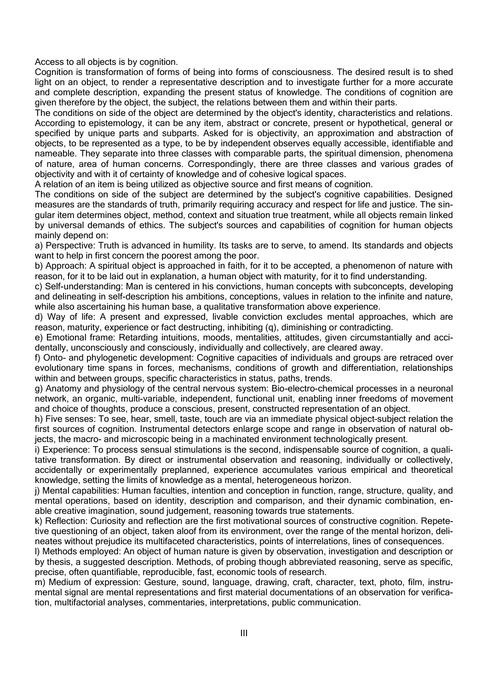Access to all objects is by cognition.

Cognition is transformation of forms of being into forms of consciousness. The desired result is to shed light on an object, to render a representative description and to investigate further for a more accurate and complete description, expanding the present status of knowledge. The conditions of cognition are given therefore by the object, the subject, the relations between them and within their parts.

The conditions on side of the object are determined by the object's identity, characteristics and relations. According to epistemology, it can be any item, abstract or concrete, present or hypothetical, general or specified by unique parts and subparts. Asked for is objectivity, an approximation and abstraction of objects, to be represented as a type, to be by independent observes equally accessible, identifiable and nameable. They separate into three classes with comparable parts, the spiritual dimension, phenomena of nature, area of human concerns. Correspondingly, there are three classes and various grades of objectivity and with it of certainty of knowledge and of cohesive logical spaces.

A relation of an item is being utilized as objective source and first means of cognition.

The conditions on side of the subject are determined by the subject's cognitive capabilities. Designed measures are the standards of truth, primarily requiring accuracy and respect for life and justice. The singular item determines object, method, context and situation true treatment, while all objects remain linked by universal demands of ethics. The subject's sources and capabilities of cognition for human objects mainly depend on:

a) Perspective: Truth is advanced in humility. Its tasks are to serve, to amend. Its standards and objects want to help in first concern the poorest among the poor.

b) Approach: A spiritual object is approached in faith, for it to be accepted, a phenomenon of nature with reason, for it to be laid out in explanation, a human object with maturity, for it to find understanding.

c) Self-understanding: Man is centered in his convictions, human concepts with subconcepts, developing and delineating in self-description his ambitions, conceptions, values in relation to the infinite and nature, while also ascertaining his human base, a qualitative transformation above experience.

d) Way of life: A present and expressed, livable conviction excludes mental approaches, which are reason, maturity, experience or fact destructing, inhibiting (q), diminishing or contradicting.

e) Emotional frame: Retarding intuitions, moods, mentalities, attitudes, given circumstantially and accidentally, unconsciously and consciously, individually and collectively, are cleared away.

f) Onto- and phylogenetic development: Cognitive capacities of individuals and groups are retraced over evolutionary time spans in forces, mechanisms, conditions of growth and differentiation, relationships within and between groups, specific characteristics in status, paths, trends.

g) Anatomy and physiology of the central nervous system: Bio-electro-chemical processes in a neuronal network, an organic, multi-variable, independent, functional unit, enabling inner freedoms of movement and choice of thoughts, produce a conscious, present, constructed representation of an object.

h) Five senses: To see, hear, smell, taste, touch are via an immediate physical object–subject relation the first sources of cognition. Instrumental detectors enlarge scope and range in observation of natural objects, the macro- and microscopic being in a machinated environment technologically present.

i) Experience: To process sensual stimulations is the second, indispensable source of cognition, a qualitative transformation. By direct or instrumental observation and reasoning, individually or collectively, accidentally or experimentally preplanned, experience accumulates various empirical and theoretical knowledge, setting the limits of knowledge as a mental, heterogeneous horizon.

j) Mental capabilities: Human faculties, intention and conception in function, range, structure, quality, and mental operations, based on identity, description and comparison, and their dynamic combination, enable creative imagination, sound judgement, reasoning towards true statements.

k) Reflection: Curiosity and reflection are the first motivational sources of constructive cognition. Repetetive questioning of an object, taken aloof from its environment, over the range of the mental horizon, delineates without prejudice its multifaceted characteristics, points of interrelations, lines of consequences.

l) Methods employed: An object of human nature is given by observation, investigation and description or by thesis, a suggested description. Methods, of probing though abbreviated reasoning, serve as specific, precise, often quantifiable, reproducible, fast, economic tools of research.

m) Medium of expression: Gesture, sound, language, drawing, craft, character, text, photo, film, instrumental signal are mental representations and first material documentations of an observation for verification, multifactorial analyses, commentaries, interpretations, public communication.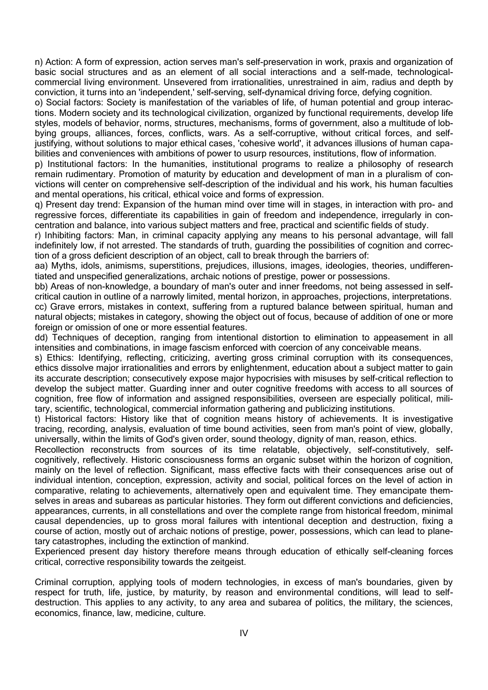n) Action: A form of expression, action serves man's self-preservation in work, praxis and organization of basic social structures and as an element of all social interactions and a self-made, technologicalcommercial living environment. Unsevered from irrationalities, unrestrained in aim, radius and depth by conviction, it turns into an 'independent,' self-serving, self-dynamical driving force, defying cognition.

o) Social factors: Society is manifestation of the variables of life, of human potential and group interactions. Modern society and its technological civilization, organized by functional requirements, develop life styles, models of behavior, norms, structures, mechanisms, forms of government, also a multitude of lobbying groups, alliances, forces, conflicts, wars. As a self-corruptive, without critical forces, and selfjustifying, without solutions to major ethical cases, 'cohesive world', it advances illusions of human capabilities and conveniences with ambitions of power to usurp resources, institutions, flow of information.

p) Institutional factors: In the humanities, institutional programs to realize a philosophy of research remain rudimentary. Promotion of maturity by education and development of man in a pluralism of convictions will center on comprehensive self-description of the individual and his work, his human faculties and mental operations, his critical, ethical voice and forms of expression.

q) Present day trend: Expansion of the human mind over time will in stages, in interaction with pro- and regressive forces, differentiate its capabilities in gain of freedom and independence, irregularly in concentration and balance, into various subject matters and free, practical and scientific fields of study.

r) Inhibiting factors: Man, in criminal capacity applying any means to his personal advantage, will fall indefinitely low, if not arrested. The standards of truth, guarding the possibilities of cognition and correction of a gross deficient description of an object, call to break through the barriers of:

aa) Myths, idols, animisms, superstitions, prejudices, illusions, images, ideologies, theories, undifferentiated and unspecified generalizations, archaic notions of prestige, power or possessions.

bb) Areas of non-knowledge, a boundary of man's outer and inner freedoms, not being assessed in selfcritical caution in outline of a narrowly limited, mental horizon, in approaches, projections, interpretations.

cc) Grave errors, mistakes in context, suffering from a ruptured balance between spiritual, human and natural objects; mistakes in category, showing the object out of focus, because of addition of one or more foreign or omission of one or more essential features.

dd) Techniques of deception, ranging from intentional distortion to elimination to appeasement in all intensities and combinations, in image fascism enforced with coercion of any conceivable means.

s) Ethics: Identifying, reflecting, criticizing, averting gross criminal corruption with its consequences, ethics dissolve major irrationalities and errors by enlightenment, education about a subject matter to gain its accurate description; consecutively expose major hypocrisies with misuses by self-critical reflection to develop the subject matter. Guarding inner and outer cognitive freedoms with access to all sources of cognition, free flow of information and assigned responsibilities, overseen are especially political, military, scientific, technological, commercial information gathering and publicizing institutions.

t) Historical factors: History like that of cognition means history of achievements. It is investigative tracing, recording, analysis, evaluation of time bound activities, seen from man's point of view, globally, universally, within the limits of God's given order, sound theology, dignity of man, reason, ethics.

Recollection reconstructs from sources of its time relatable, objectively, self-constitutively, selfcognitively, reflectively. Historic consciousness forms an organic subset within the horizon of cognition, mainly on the level of reflection. Significant, mass effective facts with their consequences arise out of individual intention, conception, expression, activity and social, political forces on the level of action in comparative, relating to achievements, alternatively open and equivalent time. They emancipate themselves in areas and subareas as particular histories. They form out different convictions and deficiencies, appearances, currents, in all constellations and over the complete range from historical freedom, minimal causal dependencies, up to gross moral failures with intentional deception and destruction, fixing a course of action, mostly out of archaic notions of prestige, power, possessions, which can lead to planetary catastrophes, including the extinction of mankind.

Experienced present day history therefore means through education of ethically self-cleaning forces critical, corrective responsibility towards the zeitgeist.

Criminal corruption, applying tools of modern technologies, in excess of man's boundaries, given by respect for truth, life, justice, by maturity, by reason and environmental conditions, will lead to selfdestruction. This applies to any activity, to any area and subarea of politics, the military, the sciences, economics, finance, law, medicine, culture.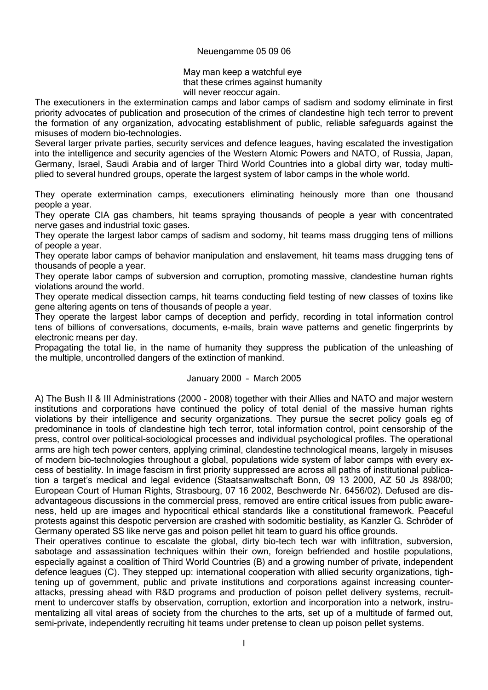### Neuengamme 05 09 06

May man keep a watchful eye that these crimes against humanity will never reoccur again.

The executioners in the extermination camps and labor camps of sadism and sodomy eliminate in first priority advocates of publication and prosecution of the crimes of clandestine high tech terror to prevent the formation of any organization, advocating establishment of public, reliable safeguards against the misuses of modern bio-technologies.

Several larger private parties, security services and defence leagues, having escalated the investigation into the intelligence and security agencies of the Western Atomic Powers and NATO, of Russia, Japan, Germany, Israel, Saudi Arabia and of larger Third World Countries into a global dirty war, today multiplied to several hundred groups, operate the largest system of labor camps in the whole world.

They operate extermination camps, executioners eliminating heinously more than one thousand people a year.

They operate CIA gas chambers, hit teams spraying thousands of people a year with concentrated nerve gases and industrial toxic gases.

They operate the largest labor camps of sadism and sodomy, hit teams mass drugging tens of millions of people a year.

They operate labor camps of behavior manipulation and enslavement, hit teams mass drugging tens of thousands of people a year.

They operate labor camps of subversion and corruption, promoting massive, clandestine human rights violations around the world.

They operate medical dissection camps, hit teams conducting field testing of new classes of toxins like gene altering agents on tens of thousands of people a year.

They operate the largest labor camps of deception and perfidy, recording in total information control tens of billions of conversations, documents, e-mails, brain wave patterns and genetic fingerprints by electronic means per day.

Propagating the total lie, in the name of humanity they suppress the publication of the unleashing of the multiple, uncontrolled dangers of the extinction of mankind.

# January 2000 – March 2005

A) The Bush II & III Administrations (2000 - 2008) together with their Allies and NATO and major western institutions and corporations have continued the policy of total denial of the massive human rights violations by their intelligence and security organizations. They pursue the secret policy goals eg of predominance in tools of clandestine high tech terror, total information control, point censorship of the press, control over political-sociological processes and individual psychological profiles. The operational arms are high tech power centers, applying criminal, clandestine technological means, largely in misuses of modern bio-technologies throughout a global, populations wide system of labor camps with every excess of bestiality. In image fascism in first priority suppressed are across all paths of institutional publication a target's medical and legal evidence (Staatsanwaltschaft Bonn, 09 13 2000, AZ 50 Js 898/00; European Court of Human Rights, Strasbourg, 07 16 2002, Beschwerde Nr. 6456/02). Defused are disadvantageous discussions in the commercial press, removed are entire critical issues from public awareness, held up are images and hypocritical ethical standards like a constitutional framework. Peaceful protests against this despotic perversion are crashed with sodomitic bestiality, as Kanzler G. Schröder of Germany operated SS like nerve gas and poison pellet hit team to guard his office grounds.

Their operatives continue to escalate the global, dirty bio-tech tech war with infiltration, subversion, sabotage and assassination techniques within their own, foreign befriended and hostile populations, especially against a coalition of Third World Countries (B) and a growing number of private, independent defence leagues (C). They stepped up: international cooperation with allied security organizations, tightening up of government, public and private institutions and corporations against increasing counterattacks, pressing ahead with R&D programs and production of poison pellet delivery systems, recruitment to undercover staffs by observation, corruption, extortion and incorporation into a network, instrumentalizing all vital areas of society from the churches to the arts, set up of a multitude of farmed out, semi-private, independently recruiting hit teams under pretense to clean up poison pellet systems.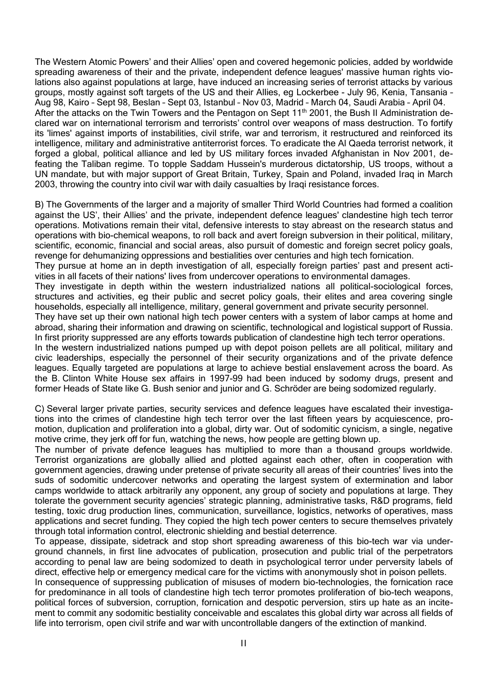The Western Atomic Powers' and their Allies' open and covered hegemonic policies, added by worldwide spreading awareness of their and the private, independent defence leagues' massive human rights violations also against populations at large, have induced an increasing series of terrorist attacks by various groups, mostly against soft targets of the US and their Allies, eg Lockerbee - July 96, Kenia, Tansania – Aug 98, Kairo – Sept 98, Beslan – Sept 03, Istanbul – Nov 03, Madrid – March 04, Saudi Arabia – April 04. After the attacks on the Twin Towers and the Pentagon on Sept 11<sup>th</sup> 2001, the Bush II Administration declared war on international terrorism and terrorists' control over weapons of mass destruction. To fortify its 'limes' against imports of instabilities, civil strife, war and terrorism, it restructured and reinforced its intelligence, military and administrative antiterrorist forces. To eradicate the Al Qaeda terrorist network, it forged a global, political alliance and led by US military forces invaded Afghanistan in Nov 2001, defeating the Taliban regime. To topple Saddam Hussein's murderous dictatorship, US troops, without a UN mandate, but with major support of Great Britain, Turkey, Spain and Poland, invaded Iraq in March 2003, throwing the country into civil war with daily casualties by Iraqi resistance forces.

B) The Governments of the larger and a majority of smaller Third World Countries had formed a coalition against the US', their Allies' and the private, independent defence leagues' clandestine high tech terror operations. Motivations remain their vital, defensive interests to stay abreast on the research status and operations with bio-chemical weapons, to roll back and avert foreign subversion in their political, military, scientific, economic, financial and social areas, also pursuit of domestic and foreign secret policy goals, revenge for dehumanizing oppressions and bestialities over centuries and high tech fornication. They pursue at home an in depth investigation of all, especially foreign parties' past and present activities in all facets of their nations' lives from undercover operations to environmental damages. They investigate in depth within the western industrialized nations all political-sociological forces, structures and activities, eg their public and secret policy goals, their elites and area covering single households, especially all intelligence, military, general government and private security personnel. They have set up their own national high tech power centers with a system of labor camps at home and abroad, sharing their information and drawing on scientific, technological and logistical support of Russia. In first priority suppressed are any efforts towards publication of clandestine high tech terror operations. In the western industrialized nations pumped up with depot poison pellets are all political, military and civic leaderships, especially the personnel of their security organizations and of the private defence leagues. Equally targeted are populations at large to achieve bestial enslavement across the board. As the B. Clinton White House sex affairs in 1997-99 had been induced by sodomy drugs, present and former Heads of State like G. Bush senior and junior and G. Schröder are being sodomized regularly.

C) Several larger private parties, security services and defence leagues have escalated their investigations into the crimes of clandestine high tech terror over the last fifteen years by acquiescence, promotion, duplication and proliferation into a global, dirty war. Out of sodomitic cynicism, a single, negative motive crime, they jerk off for fun, watching the news, how people are getting blown up.

The number of private defence leagues has multiplied to more than a thousand groups worldwide. Terrorist organizations are globally allied and plotted against each other, often in cooperation with government agencies, drawing under pretense of private security all areas of their countries' lives into the suds of sodomitic undercover networks and operating the largest system of extermination and labor camps worldwide to attack arbitrarily any opponent, any group of society and populations at large. They tolerate the government security agencies' strategic planning, administrative tasks, R&D programs, field testing, toxic drug production lines, communication, surveillance, logistics, networks of operatives, mass applications and secret funding. They copied the high tech power centers to secure themselves privately through total information control, electronic shielding and bestial deterrence.

To appease, dissipate, sidetrack and stop short spreading awareness of this bio-tech war via underground channels, in first line advocates of publication, prosecution and public trial of the perpetrators according to penal law are being sodomized to death in psychological terror under perversity labels of direct, effective help or emergency medical care for the victims with anonymously shot in poison pellets.

In consequence of suppressing publication of misuses of modern bio-technologies, the fornication race for predominance in all tools of clandestine high tech terror promotes proliferation of bio-tech weapons, political forces of subversion, corruption, fornication and despotic perversion, stirs up hate as an incitement to commit any sodomitic bestiality conceivable and escalates this global dirty war across all fields of life into terrorism, open civil strife and war with uncontrollable dangers of the extinction of mankind.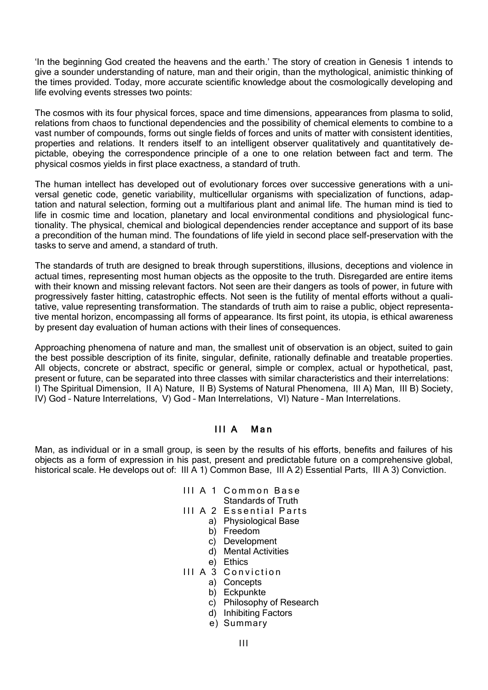'In the beginning God created the heavens and the earth.' The story of creation in Genesis 1 intends to give a sounder understanding of nature, man and their origin, than the mythological, animistic thinking of the times provided. Today, more accurate scientific knowledge about the cosmologically developing and life evolving events stresses two points:

The cosmos with its four physical forces, space and time dimensions, appearances from plasma to solid, relations from chaos to functional dependencies and the possibility of chemical elements to combine to a vast number of compounds, forms out single fields of forces and units of matter with consistent identities, properties and relations. It renders itself to an intelligent observer qualitatively and quantitatively depictable, obeying the correspondence principle of a one to one relation between fact and term. The physical cosmos yields in first place exactness, a standard of truth.

The human intellect has developed out of evolutionary forces over successive generations with a universal genetic code, genetic variability, multicellular organisms with specialization of functions, adaptation and natural selection, forming out a multifarious plant and animal life. The human mind is tied to life in cosmic time and location, planetary and local environmental conditions and physiological functionality. The physical, chemical and biological dependencies render acceptance and support of its base a precondition of the human mind. The foundations of life yield in second place self-preservation with the tasks to serve and amend, a standard of truth.

The standards of truth are designed to break through superstitions, illusions, deceptions and violence in actual times, representing most human objects as the opposite to the truth. Disregarded are entire items with their known and missing relevant factors. Not seen are their dangers as tools of power, in future with progressively faster hitting, catastrophic effects. Not seen is the futility of mental efforts without a qualitative, value representing transformation. The standards of truth aim to raise a public, object representative mental horizon, encompassing all forms of appearance. Its first point, its utopia, is ethical awareness by present day evaluation of human actions with their lines of consequences.

Approaching phenomena of nature and man, the smallest unit of observation is an object, suited to gain the best possible description of its finite, singular, definite, rationally definable and treatable properties. All objects, concrete or abstract, specific or general, simple or complex, actual or hypothetical, past, present or future, can be separated into three classes with similar characteristics and their interrelations: I) The Spiritual Dimension, II A) Nature, II B) Systems of Natural Phenomena, III A) Man, III B) Society, IV) God – Nature Interrelations, V) God – Man Interrelations, VI) Nature – Man Interrelations.

# III A Man

Man, as individual or in a small group, is seen by the results of his efforts, benefits and failures of his objects as a form of expression in his past, present and predictable future on a comprehensive global, historical scale. He develops out of: III A 1) Common Base, III A 2) Essential Parts, III A 3) Conviction.

- III A 1 Common Base Standards of Truth
- III A 2 Essential Parts
	- a) Physiological Base
	- b) Freedom
	- c) Development
	- d) Mental Activities
	- e) Ethics
- III A 3 Conviction
	- a) Concepts
	- b) Eckpunkte
	- c) Philosophy of Research
	- d) Inhibiting Factors
	- e) Summary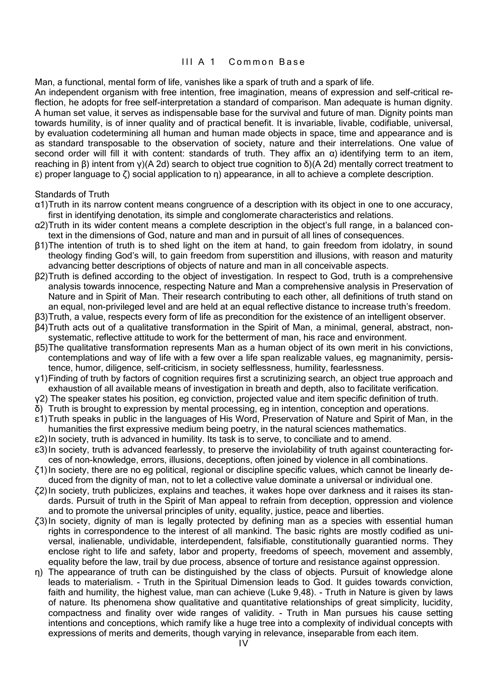### III A 1 Common Base

Man, a functional, mental form of life, vanishes like a spark of truth and a spark of life.

An independent organism with free intention, free imagination, means of expression and self-critical reflection, he adopts for free self-interpretation a standard of comparison. Man adequate is human dignity. A human set value, it serves as indispensable base for the survival and future of man. Dignity points man towards humility, is of inner quality and of practical benefit. It is invariable, livable, codifiable, universal, by evaluation codetermining all human and human made objects in space, time and appearance and is as standard transposable to the observation of society, nature and their interrelations. One value of second order will fill it with content: standards of truth. They affix an  $\alpha$ ) identifying term to an item, reaching in β) intent from γ)(A 2d) search to object true cognition to δ)(A 2d) mentally correct treatment to ε) proper language to ζ) social application to η) appearance, in all to achieve a complete description.

Standards of Truth

- α1)Truth in its narrow content means congruence of a description with its object in one to one accuracy, first in identifying denotation, its simple and conglomerate characteristics and relations.
- α2)Truth in its wider content means a complete description in the object's full range, in a balanced context in the dimensions of God, nature and man and in pursuit of all lines of consequences.
- β1)The intention of truth is to shed light on the item at hand, to gain freedom from idolatry, in sound theology finding God's will, to gain freedom from superstition and illusions, with reason and maturity advancing better descriptions of objects of nature and man in all conceivable aspects.
- β2)Truth is defined according to the object of investigation. In respect to God, truth is a comprehensive analysis towards innocence, respecting Nature and Man a comprehensive analysis in Preservation of Nature and in Spirit of Man. Their research contributing to each other, all definitions of truth stand on an equal, non-privileged level and are held at an equal reflective distance to increase truth's freedom.
- β3)Truth, a value, respects every form of life as precondition for the existence of an intelligent observer.
- β4)Truth acts out of a qualitative transformation in the Spirit of Man, a minimal, general, abstract, nonsystematic, reflective attitude to work for the betterment of man, his race and environment.
- β5)The qualitative transformation represents Man as a human object of its own merit in his convictions, contemplations and way of life with a few over a life span realizable values, eg magnanimity, persistence, humor, diligence, self-criticism, in society selflessness, humility, fearlessness.
- γ1)Finding of truth by factors of cognition requires first a scrutinizing search, an object true approach and exhaustion of all available means of investigation in breath and depth, also to facilitate verification.
- γ2) The speaker states his position, eg conviction, projected value and item specific definition of truth.
- δ) Truth is brought to expression by mental processing, eg in intention, conception and operations.
- ε1)Truth speaks in public in the languages of His Word, Preservation of Nature and Spirit of Man, in the humanities the first expressive medium being poetry, in the natural sciences mathematics.
- ε2)In society, truth is advanced in humility. Its task is to serve, to conciliate and to amend.
- ε3)In society, truth is advanced fearlessly, to preserve the inviolability of truth against counteracting forces of non-knowledge, errors, illusions, deceptions, often joined by violence in all combinations.
- ζ1)In society, there are no eg political, regional or discipline specific values, which cannot be linearly deduced from the dignity of man, not to let a collective value dominate a universal or individual one.
- ζ2)In society, truth publicizes, explains and teaches, it wakes hope over darkness and it raises its standards. Pursuit of truth in the Spirit of Man appeal to refrain from deception, oppression and violence and to promote the universal principles of unity, equality, justice, peace and liberties.
- ζ3)In society, dignity of man is legally protected by defining man as a species with essential human rights in correspondence to the interest of all mankind. The basic rights are mostly codified as universal, inalienable, undividable, interdependent, falsifiable, constitutionally guarantied norms. They enclose right to life and safety, labor and property, freedoms of speech, movement and assembly, equality before the law, trail by due process, absence of torture and resistance against oppression.
- η) The appearance of truth can be distinguished by the class of objects. Pursuit of knowledge alone leads to materialism. - Truth in the Spiritual Dimension leads to God. It guides towards conviction, faith and humility, the highest value, man can achieve (Luke 9,48). - Truth in Nature is given by laws of nature. Its phenomena show qualitative and quantitative relationships of great simplicity, lucidity, compactness and finality over wide ranges of validity. - Truth in Man pursues his cause setting intentions and conceptions, which ramify like a huge tree into a complexity of individual concepts with expressions of merits and demerits, though varying in relevance, inseparable from each item.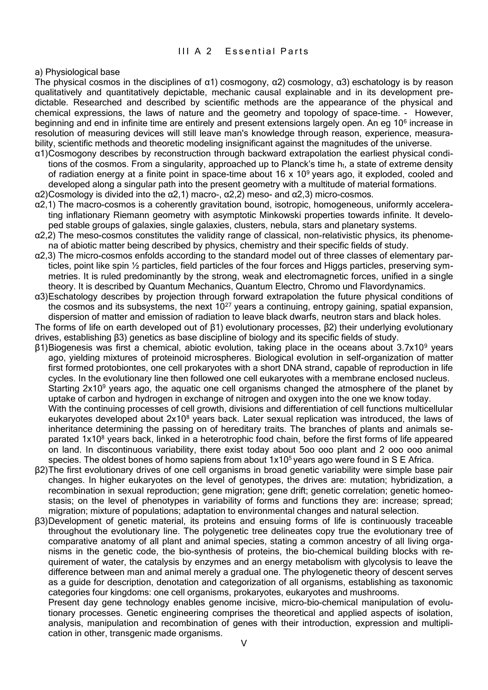# III A 2 Fssential Parts

a) Physiological base

The physical cosmos in the disciplines of  $α1)$  cosmogony,  $α2)$  cosmology,  $α3)$  eschatology is by reason qualitatively and quantitatively depictable, mechanic causal explainable and in its development predictable. Researched and described by scientific methods are the appearance of the physical and chemical expressions, the laws of nature and the geometry and topology of space-time. - However, beginning and end in infinite time are entirely and present extensions largely open. An eg 10<sup>6</sup> increase in resolution of measuring devices will still leave man's knowledge through reason, experience, measurability, scientific methods and theoretic modeling insignificant against the magnitudes of the universe.

- α1)Cosmogony describes by reconstruction through backward extrapolation the earliest physical conditions of the cosmos. From a singularity, approached up to Planck's time  $h_t$ , a state of extreme density of radiation energy at a finite point in space-time about  $16 \times 10^9$  years ago, it exploded, cooled and developed along a singular path into the present geometry with a multitude of material formations.
- α2)Cosmology is divided into the α2,1) macro-, α2,2) meso- and α2,3) micro-cosmos.
- α2,1) The macro-cosmos is a coherently gravitation bound, isotropic, homogeneous, uniformly accelerating inflationary Riemann geometry with asymptotic Minkowski properties towards infinite. It developed stable groups of galaxies, single galaxies, clusters, nebula, stars and planetary systems.
- α2,2) The meso-cosmos constitutes the validity range of classical, non-relativistic physics, its phenomena of abiotic matter being described by physics, chemistry and their specific fields of study.
- α2,3) The micro-cosmos enfolds according to the standard model out of three classes of elementary particles, point like spin ½ particles, field particles of the four forces and Higgs particles, preserving symmetries. It is ruled predominantly by the strong, weak and electromagnetic forces, unified in a single theory. It is described by Quantum Mechanics, Quantum Electro, Chromo und Flavordynamics.
- α3)Eschatology describes by projection through forward extrapolation the future physical conditions of the cosmos and its subsystems, the next  $10^{27}$  years a continuing, entropy gaining, spatial expansion, dispersion of matter and emission of radiation to leave black dwarfs, neutron stars and black holes.

The forms of life on earth developed out of β1) evolutionary processes, β2) their underlying evolutionary drives, establishing β3) genetics as base discipline of biology and its specific fields of study.

- β1)Biogenesis was first a chemical, abiotic evolution, taking place in the oceans about 3.7x10<sup>9</sup> years ago, yielding mixtures of proteinoid microspheres. Biological evolution in self-organization of matter first formed protobiontes, one cell prokaryotes with a short DNA strand, capable of reproduction in life cycles. In the evolutionary line then followed one cell eukaryotes with a membrane enclosed nucleus. Starting 2x10<sup>9</sup> years ago, the aguatic one cell organisms changed the atmosphere of the planet by uptake of carbon and hydrogen in exchange of nitrogen and oxygen into the one we know today. With the continuing processes of cell growth, divisions and differentiation of cell functions multicellular eukaryotes developed about 2x10<sup>8</sup> years back. Later sexual replication was introduced, the laws of inheritance determining the passing on of hereditary traits. The branches of plants and animals separated 1x10<sup>8</sup> years back, linked in a heterotrophic food chain, before the first forms of life appeared on land. In discontinuous variability, there exist today about 5oo ooo plant and 2 ooo ooo animal species. The oldest bones of homo sapiens from about  $1x10<sup>5</sup>$  years ago were found in S E Africa.
- β2)The first evolutionary drives of one cell organisms in broad genetic variability were simple base pair changes. In higher eukaryotes on the level of genotypes, the drives are: mutation; hybridization, a recombination in sexual reproduction; gene migration; gene drift; genetic correlation; genetic homeostasis; on the level of phenotypes in variability of forms and functions they are: increase; spread; migration; mixture of populations; adaptation to environmental changes and natural selection.
- β3)Development of genetic material, its proteins and ensuing forms of life is continuously traceable throughout the evolutionary line. The polygenetic tree delineates copy true the evolutionary tree of comparative anatomy of all plant and animal species, stating a common ancestry of all living organisms in the genetic code, the bio-synthesis of proteins, the bio-chemical building blocks with requirement of water, the catalysis by enzymes and an energy metabolism with glycolysis to leave the difference between man and animal merely a gradual one. The phylogenetic theory of descent serves as a guide for description, denotation and categorization of all organisms, establishing as taxonomic categories four kingdoms: one cell organisms, prokaryotes, eukaryotes and mushrooms.

Present day gene technology enables genome incisive, micro-bio-chemical manipulation of evolutionary processes. Genetic engineering comprises the theoretical and applied aspects of isolation, analysis, manipulation and recombination of genes with their introduction, expression and multiplication in other, transgenic made organisms.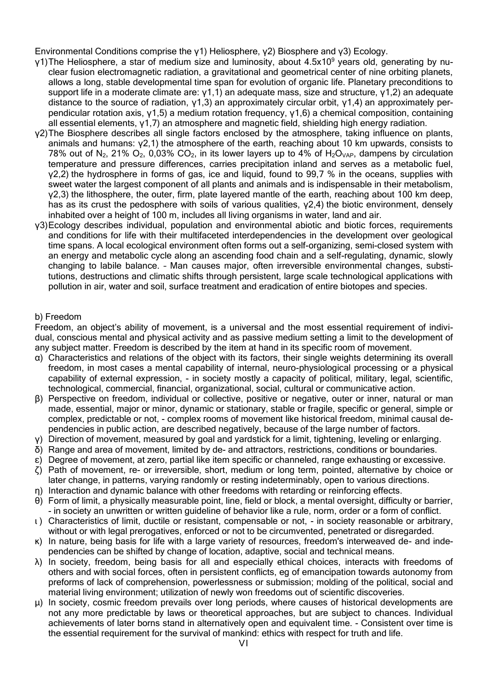Environmental Conditions comprise the γ1) Heliosphere, γ2) Biosphere and γ3) Ecology.

- γ1)The Heliosphere, a star of medium size and luminosity, about 4.5x10<sup>9</sup> years old, generating by nuclear fusion electromagnetic radiation, a gravitational and geometrical center of nine orbiting planets, allows a long, stable developmental time span for evolution of organic life. Planetary preconditions to support life in a moderate climate are:  $y1,1$ ) an adequate mass, size and structure,  $y1,2$ ) an adequate distance to the source of radiation,  $y1,3$ ) an approximately circular orbit,  $y1,4$ ) an approximately perpendicular rotation axis, γ1,5) a medium rotation frequency, γ1,6) a chemical composition, containing all essential elements, γ1,7) an atmosphere and magnetic field, shielding high energy radiation.
- γ2)The Biosphere describes all single factors enclosed by the atmosphere, taking influence on plants, animals and humans:  $y2,1$ ) the atmosphere of the earth, reaching about 10 km upwards, consists to 78% out of N<sub>2</sub>, 21% O<sub>2</sub>, 0,03% CO<sub>2</sub>, in its lower layers up to 4% of H<sub>2</sub>O<sub>VAP</sub>, dampens by circulation temperature and pressure differences, carries precipitation inland and serves as a metabolic fuel, γ2,2) the hydrosphere in forms of gas, ice and liquid, found to 99,7 % in the oceans, supplies with sweet water the largest component of all plants and animals and is indispensable in their metabolism, γ2,3) the lithosphere, the outer, firm, plate layered mantle of the earth, reaching about 100 km deep, has as its crust the pedosphere with soils of various qualities, γ2,4) the biotic environment, densely inhabited over a height of 100 m, includes all living organisms in water, land and air.
- γ3)Ecology describes individual, population and environmental abiotic and biotic forces, requirements and conditions for life with their multifaceted interdependencies in the development over geological time spans. A local ecological environment often forms out a self-organizing, semi-closed system with an energy and metabolic cycle along an ascending food chain and a self-regulating, dynamic, slowly changing to labile balance. – Man causes major, often irreversible environmental changes, substitutions, destructions and climatic shifts through persistent, large scale technological applications with pollution in air, water and soil, surface treatment and eradication of entire biotopes and species.

# b) Freedom

Freedom, an object's ability of movement, is a universal and the most essential requirement of individual, conscious mental and physical activity and as passive medium setting a limit to the development of any subject matter. Freedom is described by the item at hand in its specific room of movement.

- α) Characteristics and relations of the object with its factors, their single weights determining its overall freedom, in most cases a mental capability of internal, neuro-physiological processing or a physical capability of external expression, - in society mostly a capacity of political, military, legal, scientific, technological, commercial, financial, organizational, social, cultural or communicative action.
- β) Perspective on freedom, individual or collective, positive or negative, outer or inner, natural or man made, essential, major or minor, dynamic or stationary, stable or fragile, specific or general, simple or complex, predictable or not, - complex rooms of movement like historical freedom, minimal causal dependencies in public action, are described negatively, because of the large number of factors.
- γ) Direction of movement, measured by goal and yardstick for a limit, tightening, leveling or enlarging.
- δ) Range and area of movement, limited by de- and attractors, restrictions, conditions or boundaries.
- ε) Degree of movement, at zero, partial like item specific or channeled, range exhausting or excessive.
- ζ) Path of movement, re- or irreversible, short, medium or long term, pointed, alternative by choice or later change, in patterns, varying randomly or resting indeterminably, open to various directions.
- η) Interaction and dynamic balance with other freedoms with retarding or reinforcing effects.
- θ) Form of limit, a physically measurable point, line, field or block, a mental oversight, difficulty or barrier, - in society an unwritten or written guideline of behavior like a rule, norm, order or a form of conflict.
- ι ) Characteristics of limit, ductile or resistant, compensable or not, in society reasonable or arbitrary, without or with legal prerogatives, enforced or not to be circumvented, penetrated or disregarded.
- κ) In nature, being basis for life with a large variety of resources, freedom's interweaved de- and independencies can be shifted by change of location, adaptive, social and technical means.
- λ) In society, freedom, being basis for all and especially ethical choices, interacts with freedoms of others and with social forces, often in persistent conflicts, eg of emancipation towards autonomy from preforms of lack of comprehension, powerlessness or submission; molding of the political, social and material living environment; utilization of newly won freedoms out of scientific discoveries.
- μ) In society, cosmic freedom prevails over long periods, where causes of historical developments are not any more predictable by laws or theoretical approaches, but are subject to chances. Individual achievements of later borns stand in alternatively open and equivalent time. - Consistent over time is the essential requirement for the survival of mankind: ethics with respect for truth and life.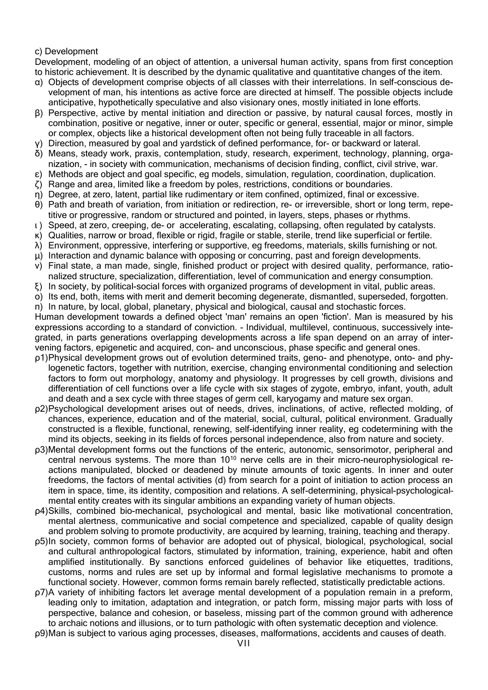# c) Development

Development, modeling of an object of attention, a universal human activity, spans from first conception to historic achievement. It is described by the dynamic qualitative and quantitative changes of the item.

- α) Objects of development comprise objects of all classes with their interrelations. In self-conscious development of man, his intentions as active force are directed at himself. The possible objects include anticipative, hypothetically speculative and also visionary ones, mostly initiated in lone efforts.
- β) Perspective, active by mental initiation and direction or passive, by natural causal forces, mostly in combination, positive or negative, inner or outer, specific or general, essential, major or minor, simple or complex, objects like a historical development often not being fully traceable in all factors.
- γ) Direction, measured by goal and yardstick of defined performance, for- or backward or lateral.
- δ) Means, steady work, praxis, contemplation, study, research, experiment, technology, planning, organization, - in society with communication, mechanisms of decision finding, conflict, civil strive, war.
- ε) Methods are object and goal specific, eg models, simulation, regulation, coordination, duplication.
- ζ) Range and area, limited like a freedom by poles, restrictions, conditions or boundaries.
- η) Degree, at zero, latent, partial like rudimentary or item confined, optimized, final or excessive.
- θ) Path and breath of variation, from initiation or redirection, re- or irreversible, short or long term, repetitive or progressive, random or structured and pointed, in layers, steps, phases or rhythms.
- ι ) Speed, at zero, creeping, de- or accelerating, escalating, collapsing, often regulated by catalysts.
- κ) Qualities, narrow or broad, flexible or rigid, fragile or stable, sterile, trend like superficial or fertile.
- λ) Environment, oppressive, interfering or supportive, eg freedoms, materials, skills furnishing or not.
- μ) Interaction and dynamic balance with opposing or concurring, past and foreign developments.
- ν) Final state, a man made, single, finished product or project with desired quality, performance, rationalized structure, specialization, differentiation, level of communication and energy consumption.
- ξ) In society, by political-social forces with organized programs of development in vital, public areas.
- ο) Its end, both, items with merit and demerit becoming degenerate, dismantled, superseded, forgotten.
- π) In nature, by local, global, planetary, physical and biological, causal and stochastic forces.

Human development towards a defined object 'man' remains an open 'fiction'. Man is measured by his expressions according to a standard of conviction. - Individual, multilevel, continuous, successively integrated, in parts generations overlapping developments across a life span depend on an array of intervening factors, epigenetic and acquired, con- and unconscious, phase specific and general ones.

- ρ1)Physical development grows out of evolution determined traits, geno- and phenotype, onto- and phylogenetic factors, together with nutrition, exercise, changing environmental conditioning and selection factors to form out morphology, anatomy and physiology. It progresses by cell growth, divisions and differentiation of cell functions over a life cycle with six stages of zygote, embryo, infant, youth, adult and death and a sex cycle with three stages of germ cell, karyogamy and mature sex organ.
- ρ2)Psychological development arises out of needs, drives, inclinations, of active, reflected molding, of chances, experience, education and of the material, social, cultural, political environment. Gradually constructed is a flexible, functional, renewing, self-identifying inner reality, eg codetermining with the mind its objects, seeking in its fields of forces personal independence, also from nature and society.
- ρ3)Mental development forms out the functions of the enteric, autonomic, sensorimotor, peripheral and central nervous systems. The more than 10<sup>10</sup> nerve cells are in their micro-neurophysiological reactions manipulated, blocked or deadened by minute amounts of toxic agents. In inner and outer freedoms, the factors of mental activities (d) from search for a point of initiation to action process an item in space, time, its identity, composition and relations. A self-determining, physical-psychological– mental entity creates with its singular ambitions an expanding variety of human objects.
- ρ4)Skills, combined bio-mechanical, psychological and mental, basic like motivational concentration, mental alertness, communicative and social competence and specialized, capable of quality design and problem solving to promote productivity, are acquired by learning, training, teaching and therapy.
- ρ5)In society, common forms of behavior are adopted out of physical, biological, psychological, social and cultural anthropological factors, stimulated by information, training, experience, habit and often amplified institutionally. By sanctions enforced guidelines of behavior like etiquettes, traditions, customs, norms and rules are set up by informal and formal legislative mechanisms to promote a functional society. However, common forms remain barely reflected, statistically predictable actions.
- ρ7)A variety of inhibiting factors let average mental development of a population remain in a preform, leading only to imitation, adaptation and integration, or patch form, missing major parts with loss of perspective, balance and cohesion, or baseless, missing part of the common ground with adherence to archaic notions and illusions, or to turn pathologic with often systematic deception and violence.
- ρ9)Man is subject to various aging processes, diseases, malformations, accidents and causes of death.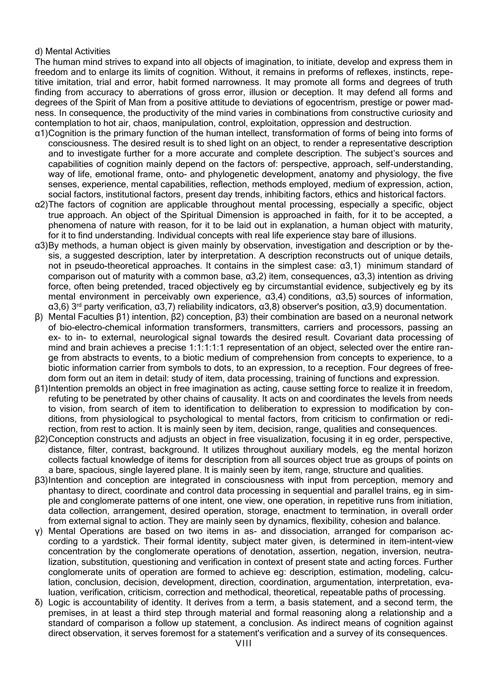### d) Mental Activities

The human mind strives to expand into all objects of imagination, to initiate, develop and express them in freedom and to enlarge its limits of cognition. Without, it remains in preforms of reflexes, instincts, repetitive imitation, trial and error, habit formed narrowness. It may promote all forms and degrees of truth finding from accuracy to aberrations of gross error, illusion or deception. It may defend all forms and degrees of the Spirit of Man from a positive attitude to deviations of egocentrism, prestige or power madness. In consequence, the productivity of the mind varies in combinations from constructive curiosity and contemplation to hot air, chaos, manipulation, control, exploitation, oppression and destruction.

- α1)Cognition is the primary function of the human intellect, transformation of forms of being into forms of consciousness. The desired result is to shed light on an object, to render a representative description and to investigate further for a more accurate and complete description. The subject's sources and capabilities of cognition mainly depend on the factors of: perspective, approach, self-understanding, way of life, emotional frame, onto- and phylogenetic development, anatomy and physiology, the five senses, experience, mental capabilities, reflection, methods employed, medium of expression, action, social factors, institutional factors, present day trends, inhibiting factors, ethics and historical factors.
- α2)The factors of cognition are applicable throughout mental processing, especially a specific, object true approach. An object of the Spiritual Dimension is approached in faith, for it to be accepted, a phenomena of nature with reason, for it to be laid out in explanation, a human object with maturity, for it to find understanding. Individual concepts with real life experience stay bare of illusions.
- α3)By methods, a human object is given mainly by observation, investigation and description or by thesis, a suggested description, later by interpretation. A description reconstructs out of unique details, not in pseudo-theoretical approaches. It contains in the simplest case: α3,1) minimum standard of comparison out of maturity with a common base, α3,2) item, consequences, α3,3) intention as driving force, often being pretended, traced objectively eg by circumstantial evidence, subjectively eg by its mental environment in perceivably own experience, α3,4) conditions, α3,5) sources of information,  $\alpha$ 3,6) 3<sup>rd</sup> party verification,  $\alpha$ 3,7) reliability indicators,  $\alpha$ 3,8) observer's position,  $\alpha$ 3,9) documentation.
- β) Mental Faculties β1) intention, β2) conception, β3) their combination are based on a neuronal network of bio-electro-chemical information transformers, transmitters, carriers and processors, passing an ex- to in- to external, neurological signal towards the desired result. Covariant data processing of mind and brain achieves a precise 1:1:1:1:1 representation of an object, selected over the entire range from abstracts to events, to a biotic medium of comprehension from concepts to experience, to a biotic information carrier from symbols to dots, to an expression, to a reception. Four degrees of freedom form out an item in detail: study of item, data processing, training of functions and expression.
- β1)Intention premolds an object in free imagination as acting, cause setting force to realize it in freedom, refuting to be penetrated by other chains of causality. It acts on and coordinates the levels from needs to vision, from search of item to identification to deliberation to expression to modification by conditions, from physiological to psychological to mental factors, from criticism to confirmation or redirection, from rest to action. It is mainly seen by item, decision, range, qualities and consequences.
- β2)Conception constructs and adjusts an object in free visualization, focusing it in eg order, perspective, distance, filter, contrast, background. It utilizes throughout auxiliary models, eg the mental horizon collects factual knowledge of items for description from all sources object true as groups of points on a bare, spacious, single layered plane. It is mainly seen by item, range, structure and qualities.
- β3)Intention and conception are integrated in consciousness with input from perception, memory and phantasy to direct, coordinate and control data processing in sequential and parallel trains, eg in simple and conglomerate patterns of one intent, one view, one operation, in repetitive runs from initiation, data collection, arrangement, desired operation, storage, enactment to termination, in overall order from external signal to action. They are mainly seen by dynamics, flexibility, cohesion and balance.
- γ) Mental Operations are based on two items in as- and dissociation, arranged for comparison according to a yardstick. Their formal identity, subject mater given, is determined in item-intent-view concentration by the conglomerate operations of denotation, assertion, negation, inversion, neutralization, substitution, questioning and verification in context of present state and acting forces. Further conglomerate units of operation are formed to achieve eg: description, estimation, modeling, calculation, conclusion, decision, development, direction, coordination, argumentation, interpretation, evaluation, verification, criticism, correction and methodical, theoretical, repeatable paths of processing.
- δ) Logic is accountability of identity. It derives from a term, a basis statement, and a second term, the premises, in at least a third step through material and formal reasoning along a relationship and a standard of comparison a follow up statement, a conclusion. As indirect means of cognition against direct observation, it serves foremost for a statement's verification and a survey of its consequences.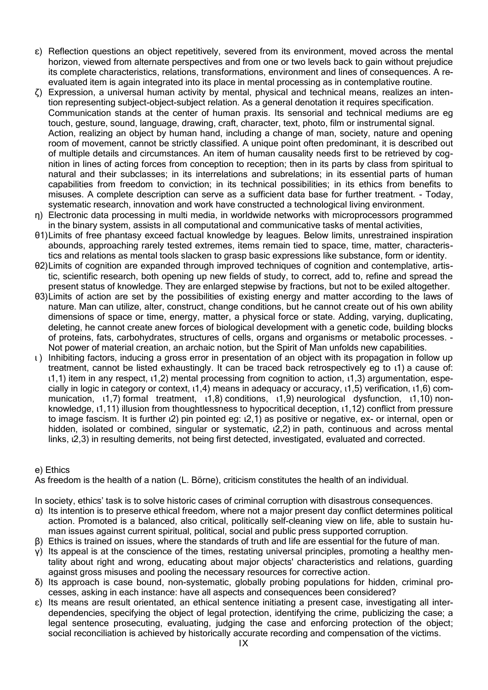- ε) Reflection questions an object repetitively, severed from its environment, moved across the mental horizon, viewed from alternate perspectives and from one or two levels back to gain without prejudice its complete characteristics, relations, transformations, environment and lines of consequences. A reevaluated item is again integrated into its place in mental processing as in contemplative routine.
- ζ) Expression, a universal human activity by mental, physical and technical means, realizes an intention representing subject-object-subject relation. As a general denotation it requires specification. Communication stands at the center of human praxis. Its sensorial and technical mediums are eg touch, gesture, sound, language, drawing, craft, character, text, photo, film or instrumental signal. Action, realizing an object by human hand, including a change of man, society, nature and opening room of movement, cannot be strictly classified. A unique point often predominant, it is described out of multiple details and circumstances. An item of human causality needs first to be retrieved by cognition in lines of acting forces from conception to reception; then in its parts by class from spiritual to natural and their subclasses; in its interrelations and subrelations; in its essential parts of human capabilities from freedom to conviction; in its technical possibilities; in its ethics from benefits to misuses. A complete description can serve as a sufficient data base for further treatment. - Today, systematic research, innovation and work have constructed a technological living environment.
- η) Electronic data processing in multi media, in worldwide networks with microprocessors programmed in the binary system, assists in all computational and communicative tasks of mental activities,
- θ1)Limits of free phantasy exceed factual knowledge by leagues. Below limits, unrestrained inspiration abounds, approaching rarely tested extremes, items remain tied to space, time, matter, characteristics and relations as mental tools slacken to grasp basic expressions like substance, form or identity.
- θ2)Limits of cognition are expanded through improved techniques of cognition and contemplative, artistic, scientific research, both opening up new fields of study, to correct, add to, refine and spread the present status of knowledge. They are enlarged stepwise by fractions, but not to be exiled altogether.
- θ3)Limits of action are set by the possibilities of existing energy and matter according to the laws of nature. Man can utilize, alter, construct, change conditions, but he cannot create out of his own ability dimensions of space or time, energy, matter, a physical force or state. Adding, varying, duplicating, deleting, he cannot create anew forces of biological development with a genetic code, building blocks of proteins, fats, carbohydrates, structures of cells, organs and organisms or metabolic processes. - Not power of material creation, an archaic notion, but the Spirit of Man unfolds new capabilities.
- ι ) Inhibiting factors, inducing a gross error in presentation of an object with its propagation in follow up treatment, cannot be listed exhaustingly. It can be traced back retrospectively eg to ι1) a cause of: ι1,1) item in any respect, ι1,2) mental processing from cognition to action, ι1,3) argumentation, especially in logic in category or context, ι1,4) means in adequacy or accuracy, ι1,5) verification, ι1,6) communication,  $(1,7)$  formal treatment,  $(1,8)$  conditions,  $(1,9)$  neurological dysfunction,  $(1,10)$  nonknowledge, ι1,11) illusion from thoughtlessness to hypocritical deception, ι1,12) conflict from pressure to image fascism. It is further ι2) pin pointed eg: ι2,1) as positive or negative, ex- or internal, open or hidden, isolated or combined, singular or systematic, ι2,2) in path, continuous and across mental links, ι2,3) in resulting demerits, not being first detected, investigated, evaluated and corrected.

# e) Ethics

As freedom is the health of a nation (L. Börne), criticism constitutes the health of an individual.

In society, ethics' task is to solve historic cases of criminal corruption with disastrous consequences.

- α) Its intention is to preserve ethical freedom, where not a major present day conflict determines political action. Promoted is a balanced, also critical, politically self-cleaning view on life, able to sustain human issues against current spiritual, political, social and public press supported corruption.
- β) Ethics is trained on issues, where the standards of truth and life are essential for the future of man.
- γ) Its appeal is at the conscience of the times, restating universal principles, promoting a healthy mentality about right and wrong, educating about major objects' characteristics and relations, guarding against gross misuses and pooling the necessary resources for corrective action.
- δ) Its approach is case bound, non-systematic, globally probing populations for hidden, criminal processes, asking in each instance: have all aspects and consequences been considered?
- ε) Its means are result orientated, an ethical sentence initiating a present case, investigating all interdependencies, specifying the object of legal protection, identifying the crime, publicizing the case; a legal sentence prosecuting, evaluating, judging the case and enforcing protection of the object; social reconciliation is achieved by historically accurate recording and compensation of the victims.